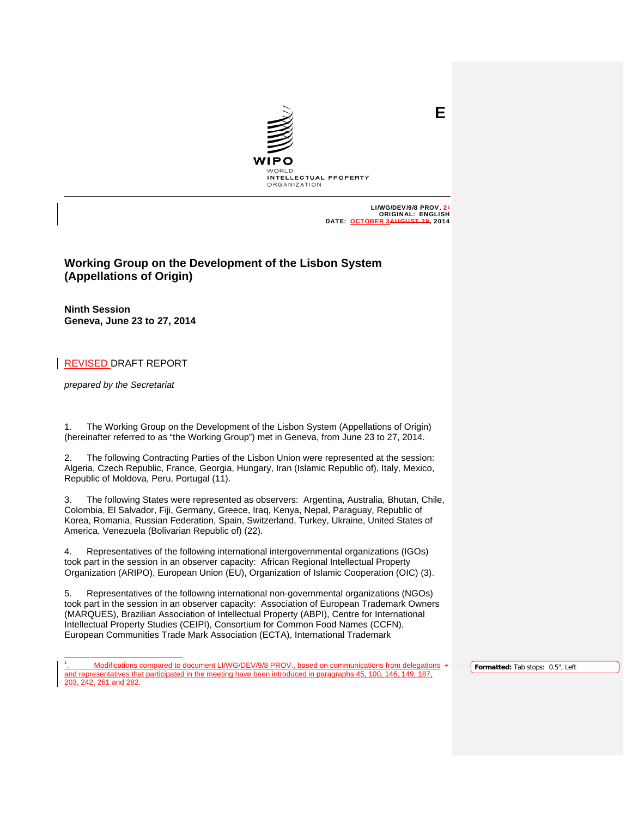

LI/WG/DEV/9/8 PROV.: ORIGINAL: ENGLISH<br>ER 3AUGUST 29, 2014 DATE: OCTOBER 3

**E**

# **Working Group on the Development of the Lisbon System (Appellations of Origin)**

**Ninth Session Geneva, June 23 to 27, 2014**

REVISED DRAFT REPORT

*prepared by the Secretariat* 

j

1. The Working Group on the Development of the Lisbon System (Appellations of Origin) (hereinafter referred to as "the Working Group") met in Geneva, from June 23 to 27, 2014.

2. The following Contracting Parties of the Lisbon Union were represented at the session: Algeria, Czech Republic, France, Georgia, Hungary, Iran (Islamic Republic of), Italy, Mexico, Republic of Moldova, Peru, Portugal (11).

3. The following States were represented as observers: Argentina, Australia, Bhutan, Chile, Colombia, El Salvador, Fiji, Germany, Greece, Iraq, Kenya, Nepal, Paraguay, Republic of Korea, Romania, Russian Federation, Spain, Switzerland, Turkey, Ukraine, United States of America, Venezuela (Bolivarian Republic of) (22).

4. Representatives of the following international intergovernmental organizations (IGOs) took part in the session in an observer capacity: African Regional Intellectual Property Organization (ARIPO), European Union (EU), Organization of Islamic Cooperation (OIC) (3).

5. Representatives of the following international non-governmental organizations (NGOs) took part in the session in an observer capacity: Association of European Trademark Owners (MARQUES), Brazilian Association of Intellectual Property (ABPI), Centre for International Intellectual Property Studies (CEIPI), Consortium for Common Food Names (CCFN), European Communities Trade Mark Association (ECTA), International Trademark

**Formatted:** Tab stops: 0.5", Left

<sup>1</sup> . Modifications compared to document LI/WG/DEV/9/8 PROV., based on communications from delegations and representatives that participated in the meeting have been introduced in paragraphs 45, 100, 146, 149, 187, 203, 242, 261 and 282.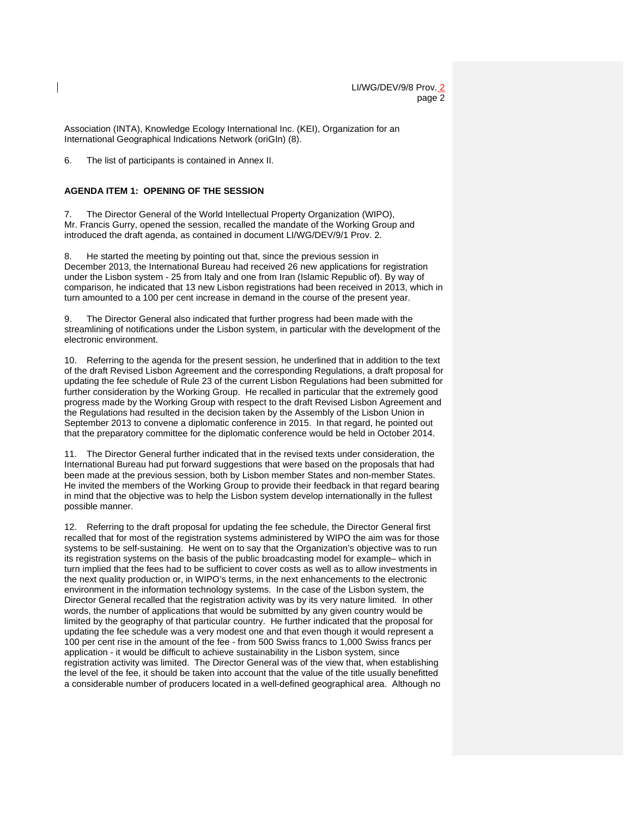Association (INTA), Knowledge Ecology International Inc. (KEI), Organization for an International Geographical Indications Network (oriGIn) (8).

6. The list of participants is contained in Annex II.

### **AGENDA ITEM 1: OPENING OF THE SESSION**

7. The Director General of the World Intellectual Property Organization (WIPO), Mr. Francis Gurry, opened the session, recalled the mandate of the Working Group and introduced the draft agenda, as contained in document LI/WG/DEV/9/1 Prov. 2.

8. He started the meeting by pointing out that, since the previous session in December 2013, the International Bureau had received 26 new applications for registration under the Lisbon system - 25 from Italy and one from Iran (Islamic Republic of). By way of comparison, he indicated that 13 new Lisbon registrations had been received in 2013, which in turn amounted to a 100 per cent increase in demand in the course of the present year.

The Director General also indicated that further progress had been made with the streamlining of notifications under the Lisbon system, in particular with the development of the electronic environment.

10. Referring to the agenda for the present session, he underlined that in addition to the text of the draft Revised Lisbon Agreement and the corresponding Regulations, a draft proposal for updating the fee schedule of Rule 23 of the current Lisbon Regulations had been submitted for further consideration by the Working Group. He recalled in particular that the extremely good progress made by the Working Group with respect to the draft Revised Lisbon Agreement and the Regulations had resulted in the decision taken by the Assembly of the Lisbon Union in September 2013 to convene a diplomatic conference in 2015. In that regard, he pointed out that the preparatory committee for the diplomatic conference would be held in October 2014.

11. The Director General further indicated that in the revised texts under consideration, the International Bureau had put forward suggestions that were based on the proposals that had been made at the previous session, both by Lisbon member States and non-member States. He invited the members of the Working Group to provide their feedback in that regard bearing in mind that the objective was to help the Lisbon system develop internationally in the fullest possible manner.

12. Referring to the draft proposal for updating the fee schedule, the Director General first recalled that for most of the registration systems administered by WIPO the aim was for those systems to be self-sustaining. He went on to say that the Organization's objective was to run its registration systems on the basis of the public broadcasting model for example– which in turn implied that the fees had to be sufficient to cover costs as well as to allow investments in the next quality production or, in WIPO's terms, in the next enhancements to the electronic environment in the information technology systems. In the case of the Lisbon system, the Director General recalled that the registration activity was by its very nature limited. In other words, the number of applications that would be submitted by any given country would be limited by the geography of that particular country. He further indicated that the proposal for updating the fee schedule was a very modest one and that even though it would represent a 100 per cent rise in the amount of the fee - from 500 Swiss francs to 1,000 Swiss francs per application - it would be difficult to achieve sustainability in the Lisbon system, since registration activity was limited. The Director General was of the view that, when establishing the level of the fee, it should be taken into account that the value of the title usually benefitted a considerable number of producers located in a well-defined geographical area. Although no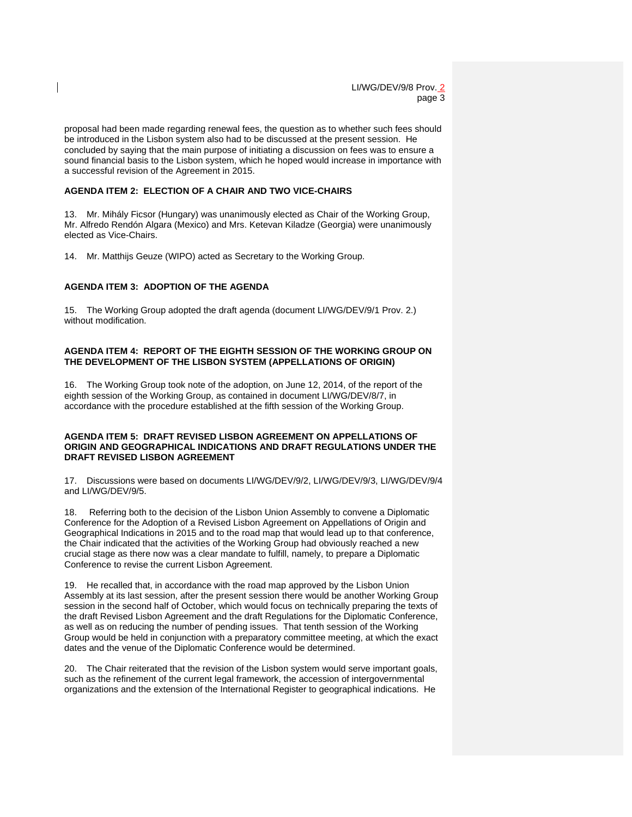proposal had been made regarding renewal fees, the question as to whether such fees should be introduced in the Lisbon system also had to be discussed at the present session. He concluded by saying that the main purpose of initiating a discussion on fees was to ensure a sound financial basis to the Lisbon system, which he hoped would increase in importance with a successful revision of the Agreement in 2015.

### **AGENDA ITEM 2: ELECTION OF A CHAIR AND TWO VICE-CHAIRS**

13. Mr. Mihály Ficsor (Hungary) was unanimously elected as Chair of the Working Group, Mr. Alfredo Rendón Algara (Mexico) and Mrs. Ketevan Kiladze (Georgia) were unanimously elected as Vice-Chairs.

14. Mr. Matthijs Geuze (WIPO) acted as Secretary to the Working Group.

### **AGENDA ITEM 3: ADOPTION OF THE AGENDA**

15. The Working Group adopted the draft agenda (document LI/WG/DEV/9/1 Prov. 2.) without modification.

#### **AGENDA ITEM 4: REPORT OF THE EIGHTH SESSION OF THE WORKING GROUP ON THE DEVELOPMENT OF THE LISBON SYSTEM (APPELLATIONS OF ORIGIN)**

16. The Working Group took note of the adoption, on June 12, 2014, of the report of the eighth session of the Working Group, as contained in document LI/WG/DEV/8/7, in accordance with the procedure established at the fifth session of the Working Group.

### **AGENDA ITEM 5: DRAFT REVISED LISBON AGREEMENT ON APPELLATIONS OF ORIGIN AND GEOGRAPHICAL INDICATIONS AND DRAFT REGULATIONS UNDER THE DRAFT REVISED LISBON AGREEMENT**

17. Discussions were based on documents LI/WG/DEV/9/2, LI/WG/DEV/9/3, LI/WG/DEV/9/4 and LI/WG/DEV/9/5.

18. Referring both to the decision of the Lisbon Union Assembly to convene a Diplomatic Conference for the Adoption of a Revised Lisbon Agreement on Appellations of Origin and Geographical Indications in 2015 and to the road map that would lead up to that conference, the Chair indicated that the activities of the Working Group had obviously reached a new crucial stage as there now was a clear mandate to fulfill, namely, to prepare a Diplomatic Conference to revise the current Lisbon Agreement.

19. He recalled that, in accordance with the road map approved by the Lisbon Union Assembly at its last session, after the present session there would be another Working Group session in the second half of October, which would focus on technically preparing the texts of the draft Revised Lisbon Agreement and the draft Regulations for the Diplomatic Conference, as well as on reducing the number of pending issues. That tenth session of the Working Group would be held in conjunction with a preparatory committee meeting, at which the exact dates and the venue of the Diplomatic Conference would be determined.

20. The Chair reiterated that the revision of the Lisbon system would serve important goals, such as the refinement of the current legal framework, the accession of intergovernmental organizations and the extension of the International Register to geographical indications. He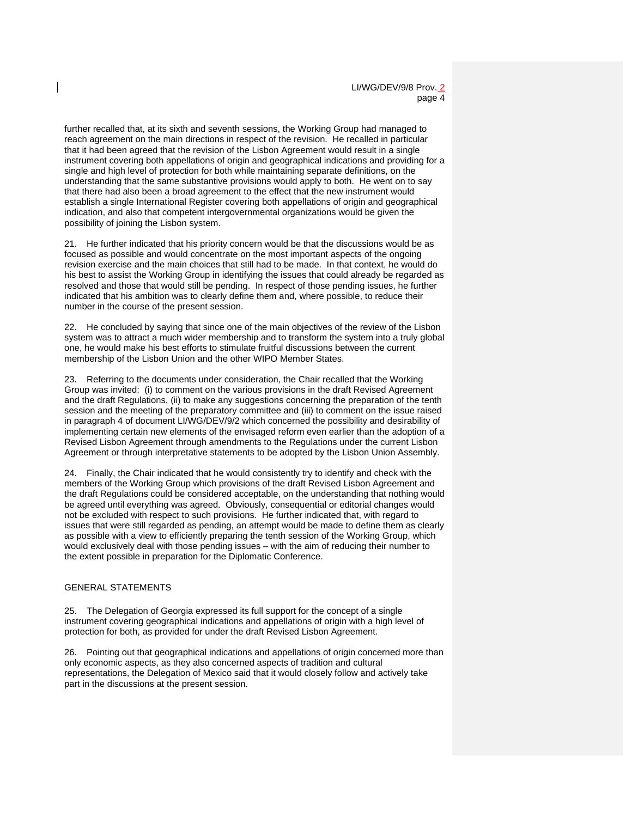further recalled that, at its sixth and seventh sessions, the Working Group had managed to reach agreement on the main directions in respect of the revision. He recalled in particular that it had been agreed that the revision of the Lisbon Agreement would result in a single instrument covering both appellations of origin and geographical indications and providing for a single and high level of protection for both while maintaining separate definitions, on the understanding that the same substantive provisions would apply to both. He went on to say that there had also been a broad agreement to the effect that the new instrument would establish a single International Register covering both appellations of origin and geographical indication, and also that competent intergovernmental organizations would be given the possibility of joining the Lisbon system.

21. He further indicated that his priority concern would be that the discussions would be as focused as possible and would concentrate on the most important aspects of the ongoing revision exercise and the main choices that still had to be made. In that context, he would do his best to assist the Working Group in identifying the issues that could already be regarded as resolved and those that would still be pending. In respect of those pending issues, he further indicated that his ambition was to clearly define them and, where possible, to reduce their number in the course of the present session.

22. He concluded by saying that since one of the main objectives of the review of the Lisbon system was to attract a much wider membership and to transform the system into a truly global one, he would make his best efforts to stimulate fruitful discussions between the current membership of the Lisbon Union and the other WIPO Member States.

23. Referring to the documents under consideration, the Chair recalled that the Working Group was invited: (i) to comment on the various provisions in the draft Revised Agreement and the draft Regulations, (ii) to make any suggestions concerning the preparation of the tenth session and the meeting of the preparatory committee and (iii) to comment on the issue raised in paragraph 4 of document LI/WG/DEV/9/2 which concerned the possibility and desirability of implementing certain new elements of the envisaged reform even earlier than the adoption of a Revised Lisbon Agreement through amendments to the Regulations under the current Lisbon Agreement or through interpretative statements to be adopted by the Lisbon Union Assembly.

24. Finally, the Chair indicated that he would consistently try to identify and check with the members of the Working Group which provisions of the draft Revised Lisbon Agreement and the draft Regulations could be considered acceptable, on the understanding that nothing would be agreed until everything was agreed. Obviously, consequential or editorial changes would not be excluded with respect to such provisions. He further indicated that, with regard to issues that were still regarded as pending, an attempt would be made to define them as clearly as possible with a view to efficiently preparing the tenth session of the Working Group, which would exclusively deal with those pending issues – with the aim of reducing their number to the extent possible in preparation for the Diplomatic Conference.

#### GENERAL STATEMENTS

25. The Delegation of Georgia expressed its full support for the concept of a single instrument covering geographical indications and appellations of origin with a high level of protection for both, as provided for under the draft Revised Lisbon Agreement.

26. Pointing out that geographical indications and appellations of origin concerned more than only economic aspects, as they also concerned aspects of tradition and cultural representations, the Delegation of Mexico said that it would closely follow and actively take part in the discussions at the present session.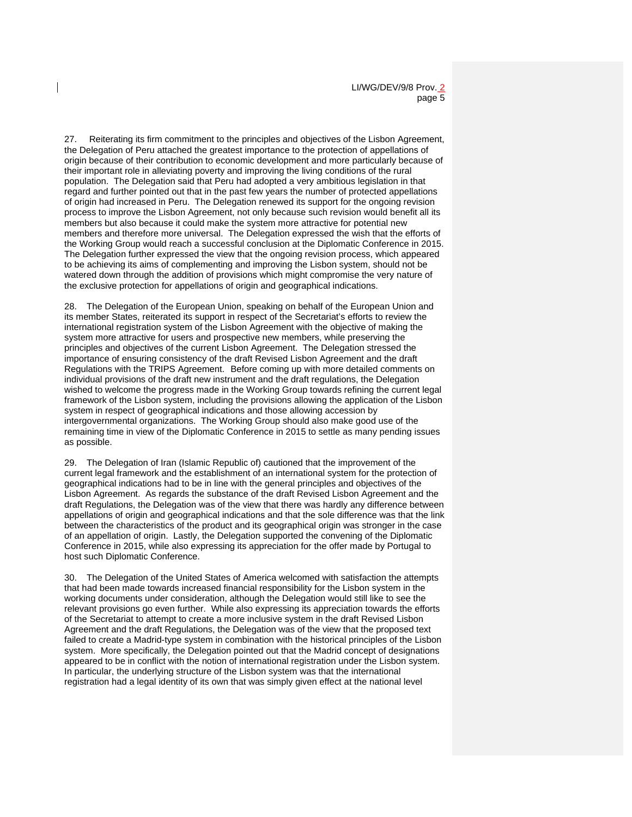27. Reiterating its firm commitment to the principles and objectives of the Lisbon Agreement, the Delegation of Peru attached the greatest importance to the protection of appellations of origin because of their contribution to economic development and more particularly because of their important role in alleviating poverty and improving the living conditions of the rural population. The Delegation said that Peru had adopted a very ambitious legislation in that regard and further pointed out that in the past few years the number of protected appellations of origin had increased in Peru. The Delegation renewed its support for the ongoing revision process to improve the Lisbon Agreement, not only because such revision would benefit all its members but also because it could make the system more attractive for potential new members and therefore more universal. The Delegation expressed the wish that the efforts of the Working Group would reach a successful conclusion at the Diplomatic Conference in 2015. The Delegation further expressed the view that the ongoing revision process, which appeared to be achieving its aims of complementing and improving the Lisbon system, should not be watered down through the addition of provisions which might compromise the very nature of the exclusive protection for appellations of origin and geographical indications.

28. The Delegation of the European Union, speaking on behalf of the European Union and its member States, reiterated its support in respect of the Secretariat's efforts to review the international registration system of the Lisbon Agreement with the objective of making the system more attractive for users and prospective new members, while preserving the principles and objectives of the current Lisbon Agreement. The Delegation stressed the importance of ensuring consistency of the draft Revised Lisbon Agreement and the draft Regulations with the TRIPS Agreement. Before coming up with more detailed comments on individual provisions of the draft new instrument and the draft regulations, the Delegation wished to welcome the progress made in the Working Group towards refining the current legal framework of the Lisbon system, including the provisions allowing the application of the Lisbon system in respect of geographical indications and those allowing accession by intergovernmental organizations. The Working Group should also make good use of the remaining time in view of the Diplomatic Conference in 2015 to settle as many pending issues as possible.

29. The Delegation of Iran (Islamic Republic of) cautioned that the improvement of the current legal framework and the establishment of an international system for the protection of geographical indications had to be in line with the general principles and objectives of the Lisbon Agreement. As regards the substance of the draft Revised Lisbon Agreement and the draft Regulations, the Delegation was of the view that there was hardly any difference between appellations of origin and geographical indications and that the sole difference was that the link between the characteristics of the product and its geographical origin was stronger in the case of an appellation of origin. Lastly, the Delegation supported the convening of the Diplomatic Conference in 2015, while also expressing its appreciation for the offer made by Portugal to host such Diplomatic Conference.

30. The Delegation of the United States of America welcomed with satisfaction the attempts that had been made towards increased financial responsibility for the Lisbon system in the working documents under consideration, although the Delegation would still like to see the relevant provisions go even further. While also expressing its appreciation towards the efforts of the Secretariat to attempt to create a more inclusive system in the draft Revised Lisbon Agreement and the draft Regulations, the Delegation was of the view that the proposed text failed to create a Madrid-type system in combination with the historical principles of the Lisbon system. More specifically, the Delegation pointed out that the Madrid concept of designations appeared to be in conflict with the notion of international registration under the Lisbon system. In particular, the underlying structure of the Lisbon system was that the international registration had a legal identity of its own that was simply given effect at the national level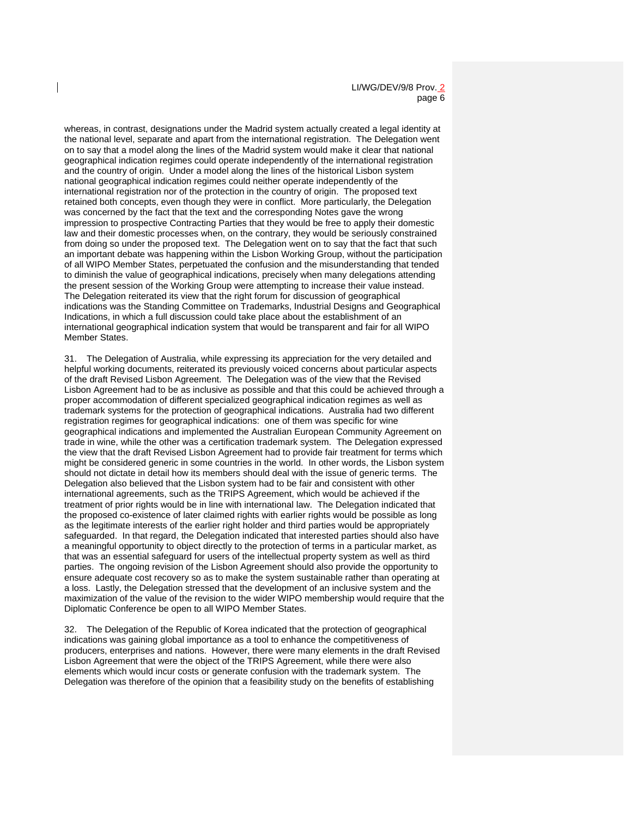LI/WG/DEV/9/8 Prov. 2 page 6

whereas, in contrast, designations under the Madrid system actually created a legal identity at the national level, separate and apart from the international registration. The Delegation went on to say that a model along the lines of the Madrid system would make it clear that national geographical indication regimes could operate independently of the international registration and the country of origin. Under a model along the lines of the historical Lisbon system national geographical indication regimes could neither operate independently of the international registration nor of the protection in the country of origin. The proposed text retained both concepts, even though they were in conflict. More particularly, the Delegation was concerned by the fact that the text and the corresponding Notes gave the wrong impression to prospective Contracting Parties that they would be free to apply their domestic law and their domestic processes when, on the contrary, they would be seriously constrained from doing so under the proposed text. The Delegation went on to say that the fact that such an important debate was happening within the Lisbon Working Group, without the participation of all WIPO Member States, perpetuated the confusion and the misunderstanding that tended to diminish the value of geographical indications, precisely when many delegations attending the present session of the Working Group were attempting to increase their value instead. The Delegation reiterated its view that the right forum for discussion of geographical indications was the Standing Committee on Trademarks, Industrial Designs and Geographical Indications, in which a full discussion could take place about the establishment of an international geographical indication system that would be transparent and fair for all WIPO Member States.

31. The Delegation of Australia, while expressing its appreciation for the very detailed and helpful working documents, reiterated its previously voiced concerns about particular aspects of the draft Revised Lisbon Agreement. The Delegation was of the view that the Revised Lisbon Agreement had to be as inclusive as possible and that this could be achieved through a proper accommodation of different specialized geographical indication regimes as well as trademark systems for the protection of geographical indications. Australia had two different registration regimes for geographical indications: one of them was specific for wine geographical indications and implemented the Australian European Community Agreement on trade in wine, while the other was a certification trademark system. The Delegation expressed the view that the draft Revised Lisbon Agreement had to provide fair treatment for terms which might be considered generic in some countries in the world. In other words, the Lisbon system should not dictate in detail how its members should deal with the issue of generic terms. The Delegation also believed that the Lisbon system had to be fair and consistent with other international agreements, such as the TRIPS Agreement, which would be achieved if the treatment of prior rights would be in line with international law. The Delegation indicated that the proposed co-existence of later claimed rights with earlier rights would be possible as long as the legitimate interests of the earlier right holder and third parties would be appropriately safeguarded. In that regard, the Delegation indicated that interested parties should also have a meaningful opportunity to object directly to the protection of terms in a particular market, as that was an essential safeguard for users of the intellectual property system as well as third parties. The ongoing revision of the Lisbon Agreement should also provide the opportunity to ensure adequate cost recovery so as to make the system sustainable rather than operating at a loss. Lastly, the Delegation stressed that the development of an inclusive system and the maximization of the value of the revision to the wider WIPO membership would require that the Diplomatic Conference be open to all WIPO Member States.

32. The Delegation of the Republic of Korea indicated that the protection of geographical indications was gaining global importance as a tool to enhance the competitiveness of producers, enterprises and nations. However, there were many elements in the draft Revised Lisbon Agreement that were the object of the TRIPS Agreement, while there were also elements which would incur costs or generate confusion with the trademark system. The Delegation was therefore of the opinion that a feasibility study on the benefits of establishing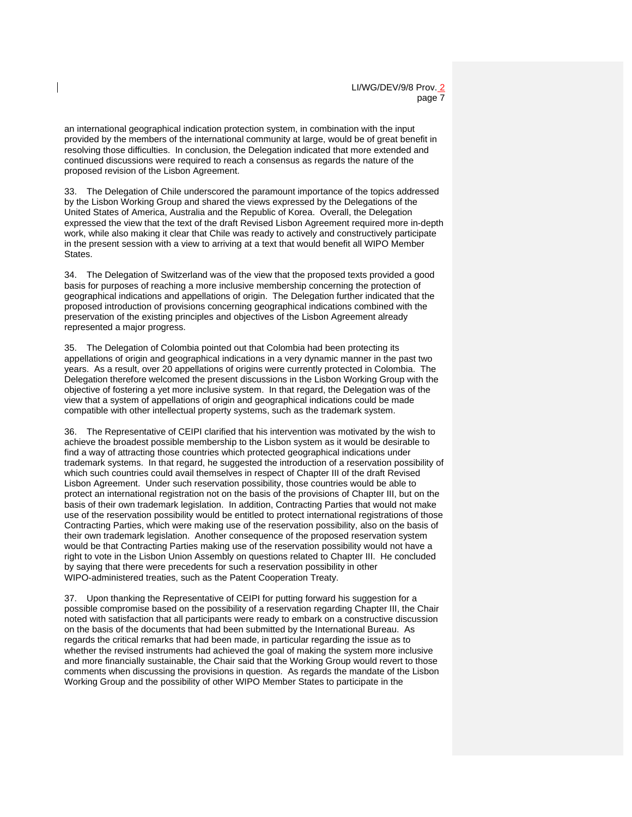an international geographical indication protection system, in combination with the input provided by the members of the international community at large, would be of great benefit in resolving those difficulties. In conclusion, the Delegation indicated that more extended and continued discussions were required to reach a consensus as regards the nature of the proposed revision of the Lisbon Agreement.

33. The Delegation of Chile underscored the paramount importance of the topics addressed by the Lisbon Working Group and shared the views expressed by the Delegations of the United States of America, Australia and the Republic of Korea. Overall, the Delegation expressed the view that the text of the draft Revised Lisbon Agreement required more in-depth work, while also making it clear that Chile was ready to actively and constructively participate in the present session with a view to arriving at a text that would benefit all WIPO Member **States** 

34. The Delegation of Switzerland was of the view that the proposed texts provided a good basis for purposes of reaching a more inclusive membership concerning the protection of geographical indications and appellations of origin. The Delegation further indicated that the proposed introduction of provisions concerning geographical indications combined with the preservation of the existing principles and objectives of the Lisbon Agreement already represented a major progress.

35. The Delegation of Colombia pointed out that Colombia had been protecting its appellations of origin and geographical indications in a very dynamic manner in the past two years. As a result, over 20 appellations of origins were currently protected in Colombia. The Delegation therefore welcomed the present discussions in the Lisbon Working Group with the objective of fostering a yet more inclusive system. In that regard, the Delegation was of the view that a system of appellations of origin and geographical indications could be made compatible with other intellectual property systems, such as the trademark system.

36. The Representative of CEIPI clarified that his intervention was motivated by the wish to achieve the broadest possible membership to the Lisbon system as it would be desirable to find a way of attracting those countries which protected geographical indications under trademark systems. In that regard, he suggested the introduction of a reservation possibility of which such countries could avail themselves in respect of Chapter III of the draft Revised Lisbon Agreement. Under such reservation possibility, those countries would be able to protect an international registration not on the basis of the provisions of Chapter III, but on the basis of their own trademark legislation. In addition, Contracting Parties that would not make use of the reservation possibility would be entitled to protect international registrations of those Contracting Parties, which were making use of the reservation possibility, also on the basis of their own trademark legislation. Another consequence of the proposed reservation system would be that Contracting Parties making use of the reservation possibility would not have a right to vote in the Lisbon Union Assembly on questions related to Chapter III. He concluded by saying that there were precedents for such a reservation possibility in other WIPO-administered treaties, such as the Patent Cooperation Treaty.

37. Upon thanking the Representative of CEIPI for putting forward his suggestion for a possible compromise based on the possibility of a reservation regarding Chapter III, the Chair noted with satisfaction that all participants were ready to embark on a constructive discussion on the basis of the documents that had been submitted by the International Bureau. As regards the critical remarks that had been made, in particular regarding the issue as to whether the revised instruments had achieved the goal of making the system more inclusive and more financially sustainable, the Chair said that the Working Group would revert to those comments when discussing the provisions in question. As regards the mandate of the Lisbon Working Group and the possibility of other WIPO Member States to participate in the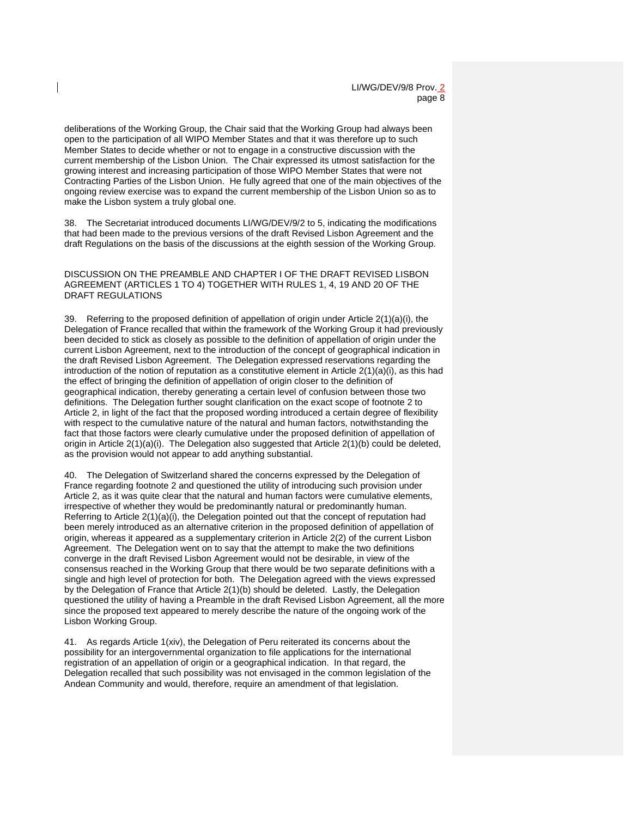deliberations of the Working Group, the Chair said that the Working Group had always been open to the participation of all WIPO Member States and that it was therefore up to such Member States to decide whether or not to engage in a constructive discussion with the current membership of the Lisbon Union. The Chair expressed its utmost satisfaction for the growing interest and increasing participation of those WIPO Member States that were not Contracting Parties of the Lisbon Union. He fully agreed that one of the main objectives of the ongoing review exercise was to expand the current membership of the Lisbon Union so as to make the Lisbon system a truly global one.

38. The Secretariat introduced documents LI/WG/DEV/9/2 to 5, indicating the modifications that had been made to the previous versions of the draft Revised Lisbon Agreement and the draft Regulations on the basis of the discussions at the eighth session of the Working Group.

DISCUSSION ON THE PREAMBLE AND CHAPTER I OF THE DRAFT REVISED LISBON AGREEMENT (ARTICLES 1 TO 4) TOGETHER WITH RULES 1, 4, 19 AND 20 OF THE DRAFT REGULATIONS

39. Referring to the proposed definition of appellation of origin under Article  $2(1)(a)(i)$ , the Delegation of France recalled that within the framework of the Working Group it had previously been decided to stick as closely as possible to the definition of appellation of origin under the current Lisbon Agreement, next to the introduction of the concept of geographical indication in the draft Revised Lisbon Agreement. The Delegation expressed reservations regarding the introduction of the notion of reputation as a constitutive element in Article  $2(1)(a)(i)$ , as this had the effect of bringing the definition of appellation of origin closer to the definition of geographical indication, thereby generating a certain level of confusion between those two definitions. The Delegation further sought clarification on the exact scope of footnote 2 to Article 2, in light of the fact that the proposed wording introduced a certain degree of flexibility with respect to the cumulative nature of the natural and human factors, notwithstanding the fact that those factors were clearly cumulative under the proposed definition of appellation of origin in Article 2(1)(a)(i). The Delegation also suggested that Article 2(1)(b) could be deleted, as the provision would not appear to add anything substantial.

40. The Delegation of Switzerland shared the concerns expressed by the Delegation of France regarding footnote 2 and questioned the utility of introducing such provision under Article 2, as it was quite clear that the natural and human factors were cumulative elements, irrespective of whether they would be predominantly natural or predominantly human. Referring to Article 2(1)(a)(i), the Delegation pointed out that the concept of reputation had been merely introduced as an alternative criterion in the proposed definition of appellation of origin, whereas it appeared as a supplementary criterion in Article 2(2) of the current Lisbon Agreement. The Delegation went on to say that the attempt to make the two definitions converge in the draft Revised Lisbon Agreement would not be desirable, in view of the consensus reached in the Working Group that there would be two separate definitions with a single and high level of protection for both. The Delegation agreed with the views expressed by the Delegation of France that Article 2(1)(b) should be deleted. Lastly, the Delegation questioned the utility of having a Preamble in the draft Revised Lisbon Agreement, all the more since the proposed text appeared to merely describe the nature of the ongoing work of the Lisbon Working Group.

41. As regards Article 1(xiv), the Delegation of Peru reiterated its concerns about the possibility for an intergovernmental organization to file applications for the international registration of an appellation of origin or a geographical indication. In that regard, the Delegation recalled that such possibility was not envisaged in the common legislation of the Andean Community and would, therefore, require an amendment of that legislation.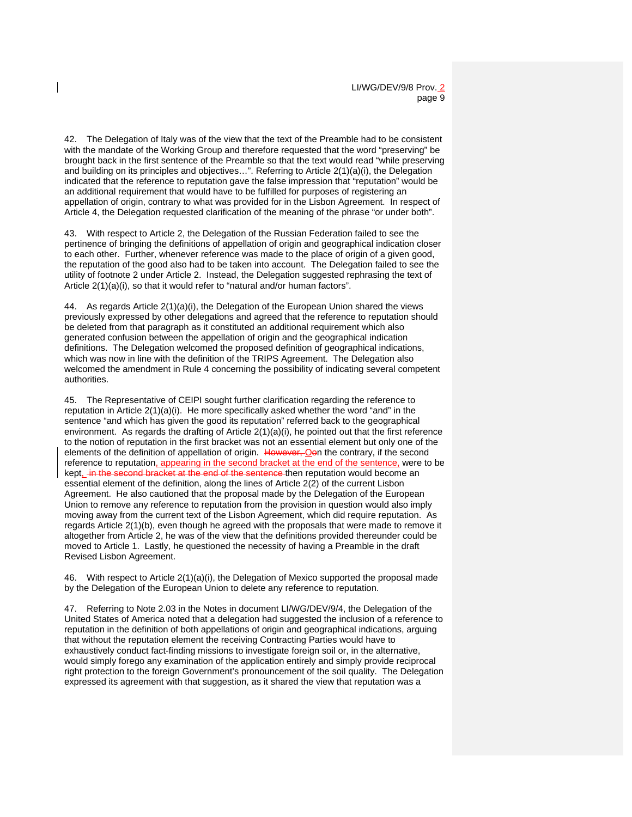42. The Delegation of Italy was of the view that the text of the Preamble had to be consistent with the mandate of the Working Group and therefore requested that the word "preserving" be brought back in the first sentence of the Preamble so that the text would read "while preserving and building on its principles and objectives…". Referring to Article 2(1)(a)(i), the Delegation indicated that the reference to reputation gave the false impression that "reputation" would be an additional requirement that would have to be fulfilled for purposes of registering an appellation of origin, contrary to what was provided for in the Lisbon Agreement. In respect of Article 4, the Delegation requested clarification of the meaning of the phrase "or under both".

43. With respect to Article 2, the Delegation of the Russian Federation failed to see the pertinence of bringing the definitions of appellation of origin and geographical indication closer to each other. Further, whenever reference was made to the place of origin of a given good, the reputation of the good also had to be taken into account. The Delegation failed to see the utility of footnote 2 under Article 2. Instead, the Delegation suggested rephrasing the text of Article 2(1)(a)(i), so that it would refer to "natural and/or human factors".

44. As regards Article  $2(1)(a)(i)$ , the Delegation of the European Union shared the views previously expressed by other delegations and agreed that the reference to reputation should be deleted from that paragraph as it constituted an additional requirement which also generated confusion between the appellation of origin and the geographical indication definitions. The Delegation welcomed the proposed definition of geographical indications, which was now in line with the definition of the TRIPS Agreement. The Delegation also welcomed the amendment in Rule 4 concerning the possibility of indicating several competent authorities.

45. The Representative of CEIPI sought further clarification regarding the reference to reputation in Article  $2(1)(a)(i)$ . He more specifically asked whether the word "and" in the sentence "and which has given the good its reputation" referred back to the geographical environment. As regards the drafting of Article 2(1)(a)(i), he pointed out that the first reference to the notion of reputation in the first bracket was not an essential element but only one of the elements of the definition of appellation of origin. However, Oon the contrary, if the second reference to reputation, appearing in the second bracket at the end of the sentence, were to be kept, in the second bracket at the end of the sentence then reputation would become an essential element of the definition, along the lines of Article 2(2) of the current Lisbon Agreement. He also cautioned that the proposal made by the Delegation of the European Union to remove any reference to reputation from the provision in question would also imply moving away from the current text of the Lisbon Agreement, which did require reputation. As regards Article 2(1)(b), even though he agreed with the proposals that were made to remove it altogether from Article 2, he was of the view that the definitions provided thereunder could be moved to Article 1. Lastly, he questioned the necessity of having a Preamble in the draft Revised Lisbon Agreement.

46. With respect to Article 2(1)(a)(i), the Delegation of Mexico supported the proposal made by the Delegation of the European Union to delete any reference to reputation.

47. Referring to Note 2.03 in the Notes in document LI/WG/DEV/9/4, the Delegation of the United States of America noted that a delegation had suggested the inclusion of a reference to reputation in the definition of both appellations of origin and geographical indications, arguing that without the reputation element the receiving Contracting Parties would have to exhaustively conduct fact-finding missions to investigate foreign soil or, in the alternative, would simply forego any examination of the application entirely and simply provide reciprocal right protection to the foreign Government's pronouncement of the soil quality. The Delegation expressed its agreement with that suggestion, as it shared the view that reputation was a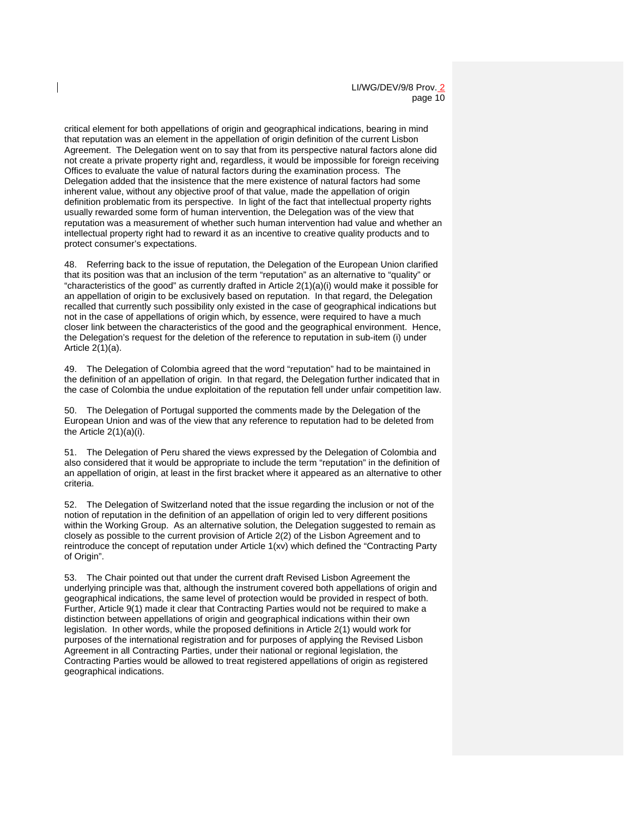critical element for both appellations of origin and geographical indications, bearing in mind that reputation was an element in the appellation of origin definition of the current Lisbon Agreement. The Delegation went on to say that from its perspective natural factors alone did not create a private property right and, regardless, it would be impossible for foreign receiving Offices to evaluate the value of natural factors during the examination process. The Delegation added that the insistence that the mere existence of natural factors had some inherent value, without any objective proof of that value, made the appellation of origin definition problematic from its perspective. In light of the fact that intellectual property rights usually rewarded some form of human intervention, the Delegation was of the view that reputation was a measurement of whether such human intervention had value and whether an intellectual property right had to reward it as an incentive to creative quality products and to protect consumer's expectations.

48. Referring back to the issue of reputation, the Delegation of the European Union clarified that its position was that an inclusion of the term "reputation" as an alternative to "quality" or "characteristics of the good" as currently drafted in Article  $2(1)(a)(i)$  would make it possible for an appellation of origin to be exclusively based on reputation. In that regard, the Delegation recalled that currently such possibility only existed in the case of geographical indications but not in the case of appellations of origin which, by essence, were required to have a much closer link between the characteristics of the good and the geographical environment. Hence, the Delegation's request for the deletion of the reference to reputation in sub-item (i) under Article 2(1)(a).

49. The Delegation of Colombia agreed that the word "reputation" had to be maintained in the definition of an appellation of origin. In that regard, the Delegation further indicated that in the case of Colombia the undue exploitation of the reputation fell under unfair competition law.

50. The Delegation of Portugal supported the comments made by the Delegation of the European Union and was of the view that any reference to reputation had to be deleted from the Article 2(1)(a)(i).

51. The Delegation of Peru shared the views expressed by the Delegation of Colombia and also considered that it would be appropriate to include the term "reputation" in the definition of an appellation of origin, at least in the first bracket where it appeared as an alternative to other criteria.

52. The Delegation of Switzerland noted that the issue regarding the inclusion or not of the notion of reputation in the definition of an appellation of origin led to very different positions within the Working Group. As an alternative solution, the Delegation suggested to remain as closely as possible to the current provision of Article 2(2) of the Lisbon Agreement and to reintroduce the concept of reputation under Article 1(xv) which defined the "Contracting Party of Origin".

53. The Chair pointed out that under the current draft Revised Lisbon Agreement the underlying principle was that, although the instrument covered both appellations of origin and geographical indications, the same level of protection would be provided in respect of both. Further, Article 9(1) made it clear that Contracting Parties would not be required to make a distinction between appellations of origin and geographical indications within their own legislation. In other words, while the proposed definitions in Article 2(1) would work for purposes of the international registration and for purposes of applying the Revised Lisbon Agreement in all Contracting Parties, under their national or regional legislation, the Contracting Parties would be allowed to treat registered appellations of origin as registered geographical indications.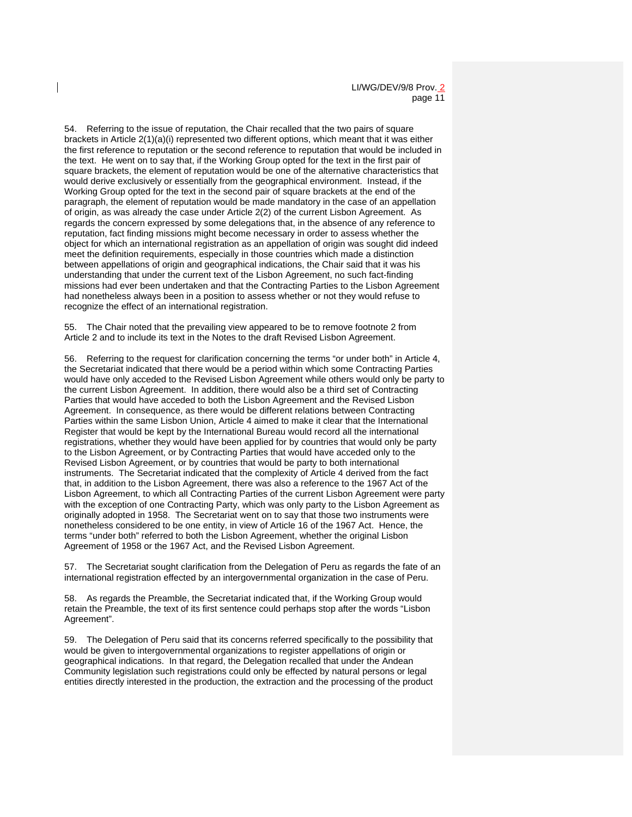54. Referring to the issue of reputation, the Chair recalled that the two pairs of square brackets in Article 2(1)(a)(i) represented two different options, which meant that it was either the first reference to reputation or the second reference to reputation that would be included in the text. He went on to say that, if the Working Group opted for the text in the first pair of square brackets, the element of reputation would be one of the alternative characteristics that would derive exclusively or essentially from the geographical environment. Instead, if the Working Group opted for the text in the second pair of square brackets at the end of the paragraph, the element of reputation would be made mandatory in the case of an appellation of origin, as was already the case under Article 2(2) of the current Lisbon Agreement. As regards the concern expressed by some delegations that, in the absence of any reference to reputation, fact finding missions might become necessary in order to assess whether the object for which an international registration as an appellation of origin was sought did indeed meet the definition requirements, especially in those countries which made a distinction between appellations of origin and geographical indications, the Chair said that it was his understanding that under the current text of the Lisbon Agreement, no such fact-finding missions had ever been undertaken and that the Contracting Parties to the Lisbon Agreement had nonetheless always been in a position to assess whether or not they would refuse to recognize the effect of an international registration.

55. The Chair noted that the prevailing view appeared to be to remove footnote 2 from Article 2 and to include its text in the Notes to the draft Revised Lisbon Agreement.

56. Referring to the request for clarification concerning the terms "or under both" in Article 4, the Secretariat indicated that there would be a period within which some Contracting Parties would have only acceded to the Revised Lisbon Agreement while others would only be party to the current Lisbon Agreement. In addition, there would also be a third set of Contracting Parties that would have acceded to both the Lisbon Agreement and the Revised Lisbon Agreement. In consequence, as there would be different relations between Contracting Parties within the same Lisbon Union, Article 4 aimed to make it clear that the International Register that would be kept by the International Bureau would record all the international registrations, whether they would have been applied for by countries that would only be party to the Lisbon Agreement, or by Contracting Parties that would have acceded only to the Revised Lisbon Agreement, or by countries that would be party to both international instruments. The Secretariat indicated that the complexity of Article 4 derived from the fact that, in addition to the Lisbon Agreement, there was also a reference to the 1967 Act of the Lisbon Agreement, to which all Contracting Parties of the current Lisbon Agreement were party with the exception of one Contracting Party, which was only party to the Lisbon Agreement as originally adopted in 1958. The Secretariat went on to say that those two instruments were nonetheless considered to be one entity, in view of Article 16 of the 1967 Act. Hence, the terms "under both" referred to both the Lisbon Agreement, whether the original Lisbon Agreement of 1958 or the 1967 Act, and the Revised Lisbon Agreement.

57. The Secretariat sought clarification from the Delegation of Peru as regards the fate of an international registration effected by an intergovernmental organization in the case of Peru.

58. As regards the Preamble, the Secretariat indicated that, if the Working Group would retain the Preamble, the text of its first sentence could perhaps stop after the words "Lisbon Agreement".

59. The Delegation of Peru said that its concerns referred specifically to the possibility that would be given to intergovernmental organizations to register appellations of origin or geographical indications. In that regard, the Delegation recalled that under the Andean Community legislation such registrations could only be effected by natural persons or legal entities directly interested in the production, the extraction and the processing of the product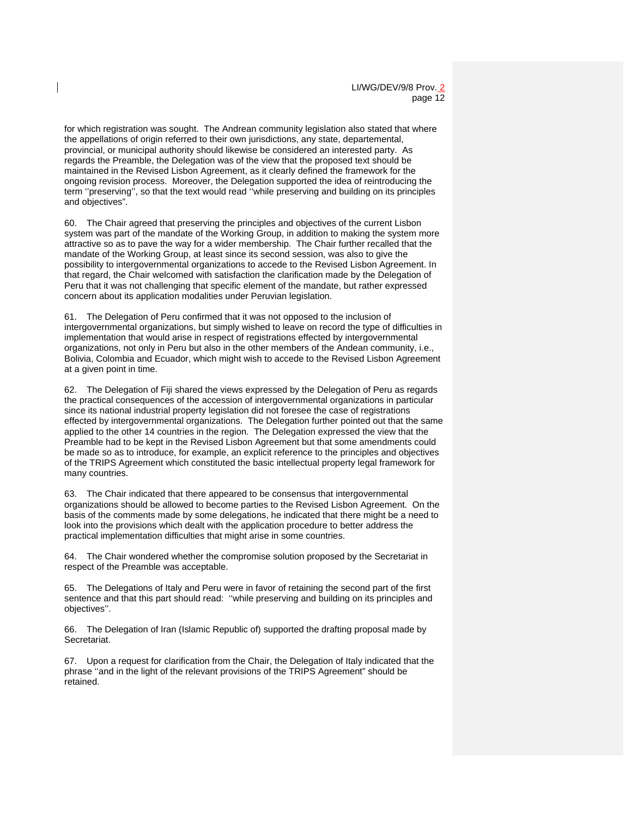for which registration was sought. The Andrean community legislation also stated that where the appellations of origin referred to their own jurisdictions, any state, departemental, provincial, or municipal authority should likewise be considered an interested party. As regards the Preamble, the Delegation was of the view that the proposed text should be maintained in the Revised Lisbon Agreement, as it clearly defined the framework for the ongoing revision process. Moreover, the Delegation supported the idea of reintroducing the term ''preserving'', so that the text would read ''while preserving and building on its principles and objectives".

60. The Chair agreed that preserving the principles and objectives of the current Lisbon system was part of the mandate of the Working Group, in addition to making the system more attractive so as to pave the way for a wider membership. The Chair further recalled that the mandate of the Working Group, at least since its second session, was also to give the possibility to intergovernmental organizations to accede to the Revised Lisbon Agreement. In that regard, the Chair welcomed with satisfaction the clarification made by the Delegation of Peru that it was not challenging that specific element of the mandate, but rather expressed concern about its application modalities under Peruvian legislation.

61. The Delegation of Peru confirmed that it was not opposed to the inclusion of intergovernmental organizations, but simply wished to leave on record the type of difficulties in implementation that would arise in respect of registrations effected by intergovernmental organizations, not only in Peru but also in the other members of the Andean community, i.e., Bolivia, Colombia and Ecuador, which might wish to accede to the Revised Lisbon Agreement at a given point in time.

62. The Delegation of Fiji shared the views expressed by the Delegation of Peru as regards the practical consequences of the accession of intergovernmental organizations in particular since its national industrial property legislation did not foresee the case of registrations effected by intergovernmental organizations. The Delegation further pointed out that the same applied to the other 14 countries in the region. The Delegation expressed the view that the Preamble had to be kept in the Revised Lisbon Agreement but that some amendments could be made so as to introduce, for example, an explicit reference to the principles and objectives of the TRIPS Agreement which constituted the basic intellectual property legal framework for many countries.

63. The Chair indicated that there appeared to be consensus that intergovernmental organizations should be allowed to become parties to the Revised Lisbon Agreement. On the basis of the comments made by some delegations, he indicated that there might be a need to look into the provisions which dealt with the application procedure to better address the practical implementation difficulties that might arise in some countries.

64. The Chair wondered whether the compromise solution proposed by the Secretariat in respect of the Preamble was acceptable.

65. The Delegations of Italy and Peru were in favor of retaining the second part of the first sentence and that this part should read: ''while preserving and building on its principles and objectives''.

66. The Delegation of Iran (Islamic Republic of) supported the drafting proposal made by Secretariat.

67. Upon a request for clarification from the Chair, the Delegation of Italy indicated that the phrase ''and in the light of the relevant provisions of the TRIPS Agreement" should be retained.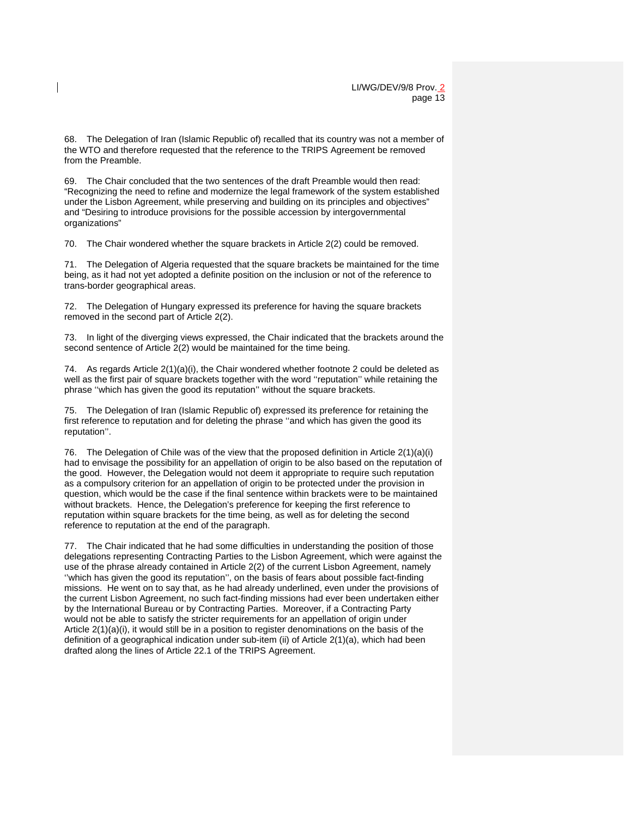68. The Delegation of Iran (Islamic Republic of) recalled that its country was not a member of the WTO and therefore requested that the reference to the TRIPS Agreement be removed from the Preamble.

69. The Chair concluded that the two sentences of the draft Preamble would then read: "Recognizing the need to refine and modernize the legal framework of the system established under the Lisbon Agreement, while preserving and building on its principles and objectives" and "Desiring to introduce provisions for the possible accession by intergovernmental organizations"

70. The Chair wondered whether the square brackets in Article 2(2) could be removed.

71. The Delegation of Algeria requested that the square brackets be maintained for the time being, as it had not yet adopted a definite position on the inclusion or not of the reference to trans-border geographical areas.

72. The Delegation of Hungary expressed its preference for having the square brackets removed in the second part of Article 2(2).

73. In light of the diverging views expressed, the Chair indicated that the brackets around the second sentence of Article 2(2) would be maintained for the time being.

74. As regards Article  $2(1)(a)(i)$ , the Chair wondered whether footnote 2 could be deleted as well as the first pair of square brackets together with the word ''reputation'' while retaining the phrase ''which has given the good its reputation'' without the square brackets.

75. The Delegation of Iran (Islamic Republic of) expressed its preference for retaining the first reference to reputation and for deleting the phrase ''and which has given the good its reputation''.

76. The Delegation of Chile was of the view that the proposed definition in Article 2(1)(a)(i) had to envisage the possibility for an appellation of origin to be also based on the reputation of the good. However, the Delegation would not deem it appropriate to require such reputation as a compulsory criterion for an appellation of origin to be protected under the provision in question, which would be the case if the final sentence within brackets were to be maintained without brackets. Hence, the Delegation's preference for keeping the first reference to reputation within square brackets for the time being, as well as for deleting the second reference to reputation at the end of the paragraph.

77. The Chair indicated that he had some difficulties in understanding the position of those delegations representing Contracting Parties to the Lisbon Agreement, which were against the use of the phrase already contained in Article 2(2) of the current Lisbon Agreement, namely ''which has given the good its reputation'', on the basis of fears about possible fact-finding missions. He went on to say that, as he had already underlined, even under the provisions of the current Lisbon Agreement, no such fact-finding missions had ever been undertaken either by the International Bureau or by Contracting Parties. Moreover, if a Contracting Party would not be able to satisfy the stricter requirements for an appellation of origin under Article 2(1)(a)(i), it would still be in a position to register denominations on the basis of the definition of a geographical indication under sub-item (ii) of Article 2(1)(a), which had been drafted along the lines of Article 22.1 of the TRIPS Agreement.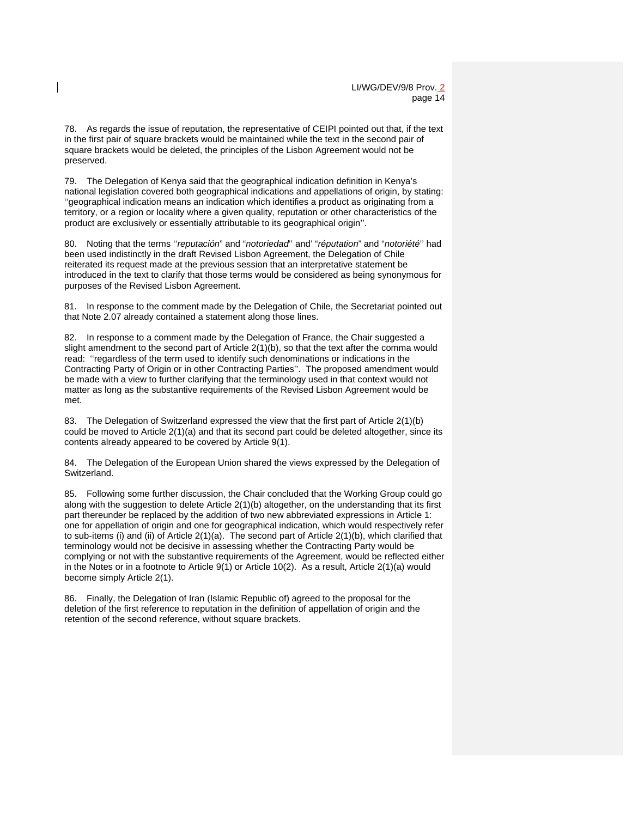78. As regards the issue of reputation, the representative of CEIPI pointed out that, if the text in the first pair of square brackets would be maintained while the text in the second pair of square brackets would be deleted, the principles of the Lisbon Agreement would not be preserved.

79. The Delegation of Kenya said that the geographical indication definition in Kenya's national legislation covered both geographical indications and appellations of origin, by stating: ''geographical indication means an indication which identifies a product as originating from a territory, or a region or locality where a given quality, reputation or other characteristics of the product are exclusively or essentially attributable to its geographical origin''.

80. Noting that the terms ''*reputación*" and "*notoriedad*'' and' "*réputation*" and "*notoriété*'' had been used indistinctly in the draft Revised Lisbon Agreement, the Delegation of Chile reiterated its request made at the previous session that an interpretative statement be introduced in the text to clarify that those terms would be considered as being synonymous for purposes of the Revised Lisbon Agreement.

81. In response to the comment made by the Delegation of Chile, the Secretariat pointed out that Note 2.07 already contained a statement along those lines.

82. In response to a comment made by the Delegation of France, the Chair suggested a slight amendment to the second part of Article 2(1)(b), so that the text after the comma would read: ''regardless of the term used to identify such denominations or indications in the Contracting Party of Origin or in other Contracting Parties''. The proposed amendment would be made with a view to further clarifying that the terminology used in that context would not matter as long as the substantive requirements of the Revised Lisbon Agreement would be met.

83. The Delegation of Switzerland expressed the view that the first part of Article 2(1)(b) could be moved to Article 2(1)(a) and that its second part could be deleted altogether, since its contents already appeared to be covered by Article 9(1).

84. The Delegation of the European Union shared the views expressed by the Delegation of Switzerland.

85. Following some further discussion, the Chair concluded that the Working Group could go along with the suggestion to delete Article 2(1)(b) altogether, on the understanding that its first part thereunder be replaced by the addition of two new abbreviated expressions in Article 1: one for appellation of origin and one for geographical indication, which would respectively refer to sub-items (i) and (ii) of Article 2(1)(a). The second part of Article 2(1)(b), which clarified that terminology would not be decisive in assessing whether the Contracting Party would be complying or not with the substantive requirements of the Agreement, would be reflected either in the Notes or in a footnote to Article 9(1) or Article 10(2). As a result, Article 2(1)(a) would become simply Article 2(1).

86. Finally, the Delegation of Iran (Islamic Republic of) agreed to the proposal for the deletion of the first reference to reputation in the definition of appellation of origin and the retention of the second reference, without square brackets.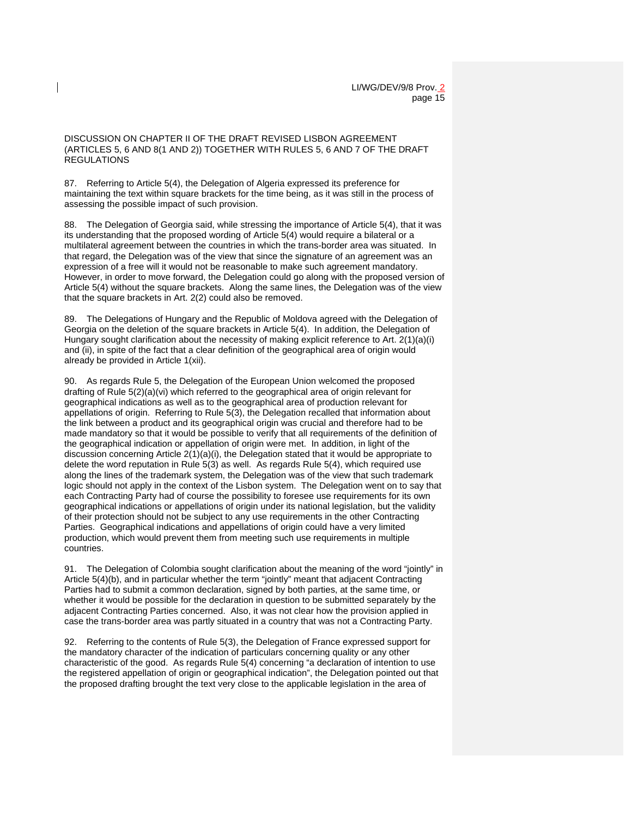DISCUSSION ON CHAPTER II OF THE DRAFT REVISED LISBON AGREEMENT (ARTICLES 5, 6 AND 8(1 AND 2)) TOGETHER WITH RULES 5, 6 AND 7 OF THE DRAFT REGULATIONS

87. Referring to Article 5(4), the Delegation of Algeria expressed its preference for maintaining the text within square brackets for the time being, as it was still in the process of assessing the possible impact of such provision.

88. The Delegation of Georgia said, while stressing the importance of Article 5(4), that it was its understanding that the proposed wording of Article 5(4) would require a bilateral or a multilateral agreement between the countries in which the trans-border area was situated. In that regard, the Delegation was of the view that since the signature of an agreement was an expression of a free will it would not be reasonable to make such agreement mandatory. However, in order to move forward, the Delegation could go along with the proposed version of Article 5(4) without the square brackets. Along the same lines, the Delegation was of the view that the square brackets in Art. 2(2) could also be removed.

89. The Delegations of Hungary and the Republic of Moldova agreed with the Delegation of Georgia on the deletion of the square brackets in Article 5(4). In addition, the Delegation of Hungary sought clarification about the necessity of making explicit reference to Art. 2(1)(a)(i) and (ii), in spite of the fact that a clear definition of the geographical area of origin would already be provided in Article 1(xii).

90. As regards Rule 5, the Delegation of the European Union welcomed the proposed drafting of Rule 5(2)(a)(vi) which referred to the geographical area of origin relevant for geographical indications as well as to the geographical area of production relevant for appellations of origin. Referring to Rule 5(3), the Delegation recalled that information about the link between a product and its geographical origin was crucial and therefore had to be made mandatory so that it would be possible to verify that all requirements of the definition of the geographical indication or appellation of origin were met. In addition, in light of the discussion concerning Article 2(1)(a)(i), the Delegation stated that it would be appropriate to delete the word reputation in Rule 5(3) as well. As regards Rule 5(4), which required use along the lines of the trademark system, the Delegation was of the view that such trademark logic should not apply in the context of the Lisbon system. The Delegation went on to say that each Contracting Party had of course the possibility to foresee use requirements for its own geographical indications or appellations of origin under its national legislation, but the validity of their protection should not be subject to any use requirements in the other Contracting Parties. Geographical indications and appellations of origin could have a very limited production, which would prevent them from meeting such use requirements in multiple countries.

91. The Delegation of Colombia sought clarification about the meaning of the word "jointly" in Article 5(4)(b), and in particular whether the term "jointly" meant that adjacent Contracting Parties had to submit a common declaration, signed by both parties, at the same time, or whether it would be possible for the declaration in question to be submitted separately by the adjacent Contracting Parties concerned. Also, it was not clear how the provision applied in case the trans-border area was partly situated in a country that was not a Contracting Party.

92. Referring to the contents of Rule 5(3), the Delegation of France expressed support for the mandatory character of the indication of particulars concerning quality or any other characteristic of the good. As regards Rule 5(4) concerning "a declaration of intention to use the registered appellation of origin or geographical indication", the Delegation pointed out that the proposed drafting brought the text very close to the applicable legislation in the area of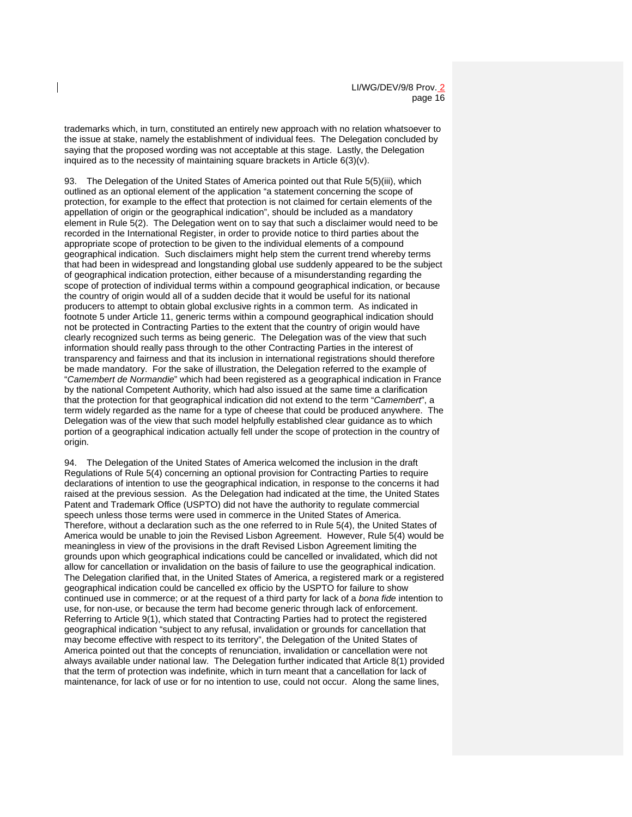trademarks which, in turn, constituted an entirely new approach with no relation whatsoever to the issue at stake, namely the establishment of individual fees. The Delegation concluded by saying that the proposed wording was not acceptable at this stage. Lastly, the Delegation inquired as to the necessity of maintaining square brackets in Article 6(3)(v).

93. The Delegation of the United States of America pointed out that Rule 5(5)(iii), which outlined as an optional element of the application "a statement concerning the scope of protection, for example to the effect that protection is not claimed for certain elements of the appellation of origin or the geographical indication", should be included as a mandatory element in Rule 5(2). The Delegation went on to say that such a disclaimer would need to be recorded in the International Register, in order to provide notice to third parties about the appropriate scope of protection to be given to the individual elements of a compound geographical indication. Such disclaimers might help stem the current trend whereby terms that had been in widespread and longstanding global use suddenly appeared to be the subject of geographical indication protection, either because of a misunderstanding regarding the scope of protection of individual terms within a compound geographical indication, or because the country of origin would all of a sudden decide that it would be useful for its national producers to attempt to obtain global exclusive rights in a common term. As indicated in footnote 5 under Article 11, generic terms within a compound geographical indication should not be protected in Contracting Parties to the extent that the country of origin would have clearly recognized such terms as being generic. The Delegation was of the view that such information should really pass through to the other Contracting Parties in the interest of transparency and fairness and that its inclusion in international registrations should therefore be made mandatory. For the sake of illustration, the Delegation referred to the example of "*Camembert de Normandie*" which had been registered as a geographical indication in France by the national Competent Authority, which had also issued at the same time a clarification that the protection for that geographical indication did not extend to the term "*Camembert*", a term widely regarded as the name for a type of cheese that could be produced anywhere. The Delegation was of the view that such model helpfully established clear guidance as to which portion of a geographical indication actually fell under the scope of protection in the country of origin.

94. The Delegation of the United States of America welcomed the inclusion in the draft Regulations of Rule 5(4) concerning an optional provision for Contracting Parties to require declarations of intention to use the geographical indication, in response to the concerns it had raised at the previous session. As the Delegation had indicated at the time, the United States Patent and Trademark Office (USPTO) did not have the authority to regulate commercial speech unless those terms were used in commerce in the United States of America. Therefore, without a declaration such as the one referred to in Rule 5(4), the United States of America would be unable to join the Revised Lisbon Agreement. However, Rule 5(4) would be meaningless in view of the provisions in the draft Revised Lisbon Agreement limiting the grounds upon which geographical indications could be cancelled or invalidated, which did not allow for cancellation or invalidation on the basis of failure to use the geographical indication. The Delegation clarified that, in the United States of America, a registered mark or a registered geographical indication could be cancelled ex officio by the USPTO for failure to show continued use in commerce; or at the request of a third party for lack of a *bona fide* intention to use, for non-use, or because the term had become generic through lack of enforcement. Referring to Article 9(1), which stated that Contracting Parties had to protect the registered geographical indication "subject to any refusal, invalidation or grounds for cancellation that may become effective with respect to its territory", the Delegation of the United States of America pointed out that the concepts of renunciation, invalidation or cancellation were not always available under national law. The Delegation further indicated that Article 8(1) provided that the term of protection was indefinite, which in turn meant that a cancellation for lack of maintenance, for lack of use or for no intention to use, could not occur. Along the same lines,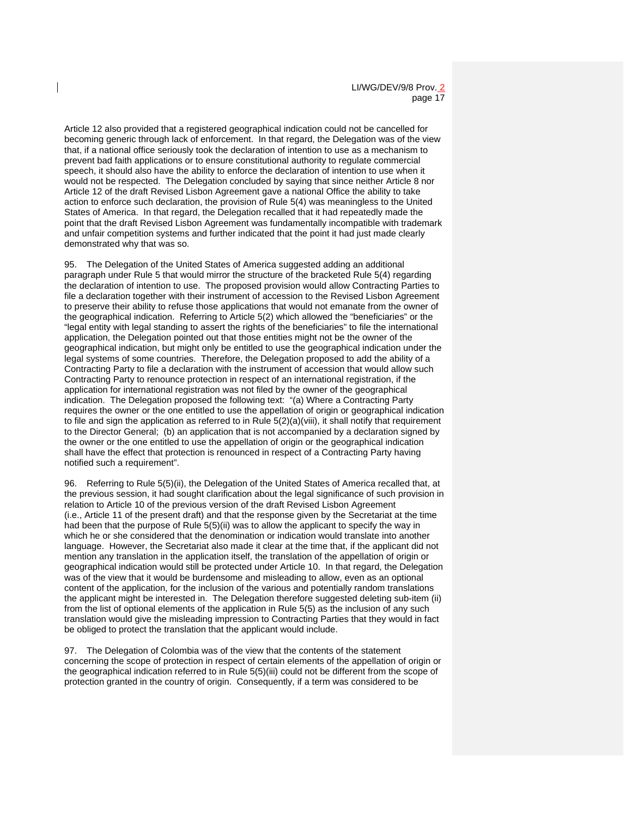Article 12 also provided that a registered geographical indication could not be cancelled for becoming generic through lack of enforcement. In that regard, the Delegation was of the view that, if a national office seriously took the declaration of intention to use as a mechanism to prevent bad faith applications or to ensure constitutional authority to regulate commercial speech, it should also have the ability to enforce the declaration of intention to use when it would not be respected. The Delegation concluded by saying that since neither Article 8 nor Article 12 of the draft Revised Lisbon Agreement gave a national Office the ability to take action to enforce such declaration, the provision of Rule 5(4) was meaningless to the United States of America. In that regard, the Delegation recalled that it had repeatedly made the point that the draft Revised Lisbon Agreement was fundamentally incompatible with trademark and unfair competition systems and further indicated that the point it had just made clearly demonstrated why that was so.

95. The Delegation of the United States of America suggested adding an additional paragraph under Rule 5 that would mirror the structure of the bracketed Rule 5(4) regarding the declaration of intention to use. The proposed provision would allow Contracting Parties to file a declaration together with their instrument of accession to the Revised Lisbon Agreement to preserve their ability to refuse those applications that would not emanate from the owner of the geographical indication. Referring to Article 5(2) which allowed the "beneficiaries" or the "legal entity with legal standing to assert the rights of the beneficiaries" to file the international application, the Delegation pointed out that those entities might not be the owner of the geographical indication, but might only be entitled to use the geographical indication under the legal systems of some countries. Therefore, the Delegation proposed to add the ability of a Contracting Party to file a declaration with the instrument of accession that would allow such Contracting Party to renounce protection in respect of an international registration, if the application for international registration was not filed by the owner of the geographical indication. The Delegation proposed the following text: "(a) Where a Contracting Party requires the owner or the one entitled to use the appellation of origin or geographical indication to file and sign the application as referred to in Rule  $5(2)(a)(viii)$ , it shall notify that requirement to the Director General; (b) an application that is not accompanied by a declaration signed by the owner or the one entitled to use the appellation of origin or the geographical indication shall have the effect that protection is renounced in respect of a Contracting Party having notified such a requirement".

96. Referring to Rule 5(5)(ii), the Delegation of the United States of America recalled that, at the previous session, it had sought clarification about the legal significance of such provision in relation to Article 10 of the previous version of the draft Revised Lisbon Agreement (i.e., Article 11 of the present draft) and that the response given by the Secretariat at the time had been that the purpose of Rule 5(5)(ii) was to allow the applicant to specify the way in which he or she considered that the denomination or indication would translate into another language. However, the Secretariat also made it clear at the time that, if the applicant did not mention any translation in the application itself, the translation of the appellation of origin or geographical indication would still be protected under Article 10. In that regard, the Delegation was of the view that it would be burdensome and misleading to allow, even as an optional content of the application, for the inclusion of the various and potentially random translations the applicant might be interested in. The Delegation therefore suggested deleting sub-item (ii) from the list of optional elements of the application in Rule 5(5) as the inclusion of any such translation would give the misleading impression to Contracting Parties that they would in fact be obliged to protect the translation that the applicant would include.

97. The Delegation of Colombia was of the view that the contents of the statement concerning the scope of protection in respect of certain elements of the appellation of origin or the geographical indication referred to in Rule 5(5)(iii) could not be different from the scope of protection granted in the country of origin. Consequently, if a term was considered to be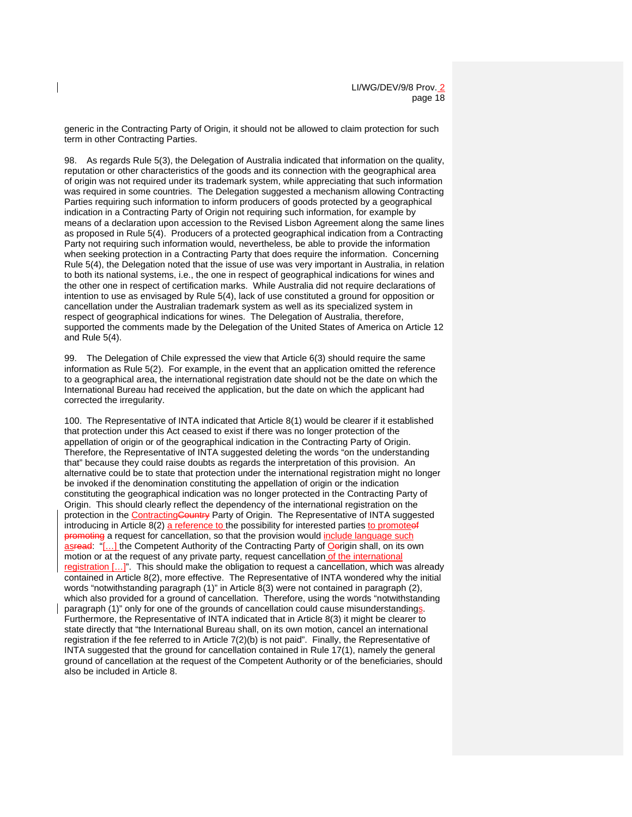generic in the Contracting Party of Origin, it should not be allowed to claim protection for such term in other Contracting Parties.

98. As regards Rule 5(3), the Delegation of Australia indicated that information on the quality, reputation or other characteristics of the goods and its connection with the geographical area of origin was not required under its trademark system, while appreciating that such information was required in some countries. The Delegation suggested a mechanism allowing Contracting Parties requiring such information to inform producers of goods protected by a geographical indication in a Contracting Party of Origin not requiring such information, for example by means of a declaration upon accession to the Revised Lisbon Agreement along the same lines as proposed in Rule 5(4). Producers of a protected geographical indication from a Contracting Party not requiring such information would, nevertheless, be able to provide the information when seeking protection in a Contracting Party that does require the information. Concerning Rule 5(4), the Delegation noted that the issue of use was very important in Australia, in relation to both its national systems, i.e., the one in respect of geographical indications for wines and the other one in respect of certification marks. While Australia did not require declarations of intention to use as envisaged by Rule 5(4), lack of use constituted a ground for opposition or cancellation under the Australian trademark system as well as its specialized system in respect of geographical indications for wines. The Delegation of Australia, therefore, supported the comments made by the Delegation of the United States of America on Article 12 and Rule 5(4).

99. The Delegation of Chile expressed the view that Article 6(3) should require the same information as Rule 5(2). For example, in the event that an application omitted the reference to a geographical area, the international registration date should not be the date on which the International Bureau had received the application, but the date on which the applicant had corrected the irregularity.

100. The Representative of INTA indicated that Article 8(1) would be clearer if it established that protection under this Act ceased to exist if there was no longer protection of the appellation of origin or of the geographical indication in the Contracting Party of Origin. Therefore, the Representative of INTA suggested deleting the words "on the understanding that" because they could raise doubts as regards the interpretation of this provision. An alternative could be to state that protection under the international registration might no longer be invoked if the denomination constituting the appellation of origin or the indication constituting the geographical indication was no longer protected in the Contracting Party of Origin. This should clearly reflect the dependency of the international registration on the protection in the ContractingCountry Party of Origin. The Representative of INTA suggested introducing in Article 8(2) a reference to the possibility for interested parties to promoteef promoting a request for cancellation, so that the provision would include language such asread: "[...] the Competent Authority of the Contracting Party of Oerigin shall, on its own motion or at the request of any private party, request cancellation of the international registration [...]". This should make the obligation to request a cancellation, which was already contained in Article 8(2), more effective. The Representative of INTA wondered why the initial words "notwithstanding paragraph (1)" in Article 8(3) were not contained in paragraph (2), which also provided for a ground of cancellation. Therefore, using the words "notwithstanding paragraph (1)" only for one of the grounds of cancellation could cause misunderstandings. Furthermore, the Representative of INTA indicated that in Article 8(3) it might be clearer to state directly that "the International Bureau shall, on its own motion, cancel an international registration if the fee referred to in Article 7(2)(b) is not paid". Finally, the Representative of INTA suggested that the ground for cancellation contained in Rule 17(1), namely the general ground of cancellation at the request of the Competent Authority or of the beneficiaries, should also be included in Article 8.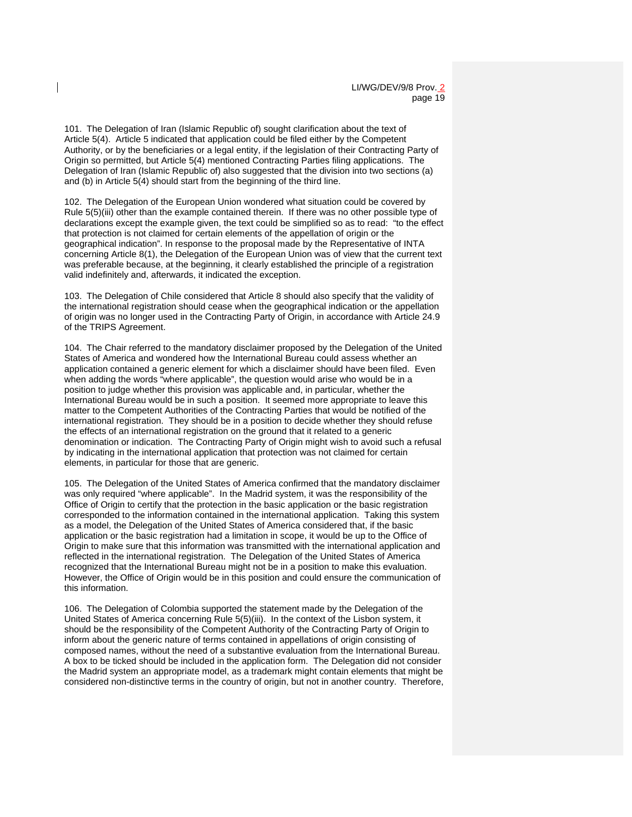101. The Delegation of Iran (Islamic Republic of) sought clarification about the text of Article 5(4). Article 5 indicated that application could be filed either by the Competent Authority, or by the beneficiaries or a legal entity, if the legislation of their Contracting Party of Origin so permitted, but Article 5(4) mentioned Contracting Parties filing applications. The Delegation of Iran (Islamic Republic of) also suggested that the division into two sections (a) and (b) in Article 5(4) should start from the beginning of the third line.

102. The Delegation of the European Union wondered what situation could be covered by Rule 5(5)(iii) other than the example contained therein. If there was no other possible type of declarations except the example given, the text could be simplified so as to read: "to the effect that protection is not claimed for certain elements of the appellation of origin or the geographical indication". In response to the proposal made by the Representative of INTA concerning Article 8(1), the Delegation of the European Union was of view that the current text was preferable because, at the beginning, it clearly established the principle of a registration valid indefinitely and, afterwards, it indicated the exception.

103. The Delegation of Chile considered that Article 8 should also specify that the validity of the international registration should cease when the geographical indication or the appellation of origin was no longer used in the Contracting Party of Origin, in accordance with Article 24.9 of the TRIPS Agreement.

104. The Chair referred to the mandatory disclaimer proposed by the Delegation of the United States of America and wondered how the International Bureau could assess whether an application contained a generic element for which a disclaimer should have been filed. Even when adding the words "where applicable", the question would arise who would be in a position to judge whether this provision was applicable and, in particular, whether the International Bureau would be in such a position. It seemed more appropriate to leave this matter to the Competent Authorities of the Contracting Parties that would be notified of the international registration. They should be in a position to decide whether they should refuse the effects of an international registration on the ground that it related to a generic denomination or indication. The Contracting Party of Origin might wish to avoid such a refusal by indicating in the international application that protection was not claimed for certain elements, in particular for those that are generic.

105. The Delegation of the United States of America confirmed that the mandatory disclaimer was only required "where applicable". In the Madrid system, it was the responsibility of the Office of Origin to certify that the protection in the basic application or the basic registration corresponded to the information contained in the international application. Taking this system as a model, the Delegation of the United States of America considered that, if the basic application or the basic registration had a limitation in scope, it would be up to the Office of Origin to make sure that this information was transmitted with the international application and reflected in the international registration. The Delegation of the United States of America recognized that the International Bureau might not be in a position to make this evaluation. However, the Office of Origin would be in this position and could ensure the communication of this information.

106. The Delegation of Colombia supported the statement made by the Delegation of the United States of America concerning Rule 5(5)(iii). In the context of the Lisbon system, it should be the responsibility of the Competent Authority of the Contracting Party of Origin to inform about the generic nature of terms contained in appellations of origin consisting of composed names, without the need of a substantive evaluation from the International Bureau. A box to be ticked should be included in the application form. The Delegation did not consider the Madrid system an appropriate model, as a trademark might contain elements that might be considered non-distinctive terms in the country of origin, but not in another country. Therefore,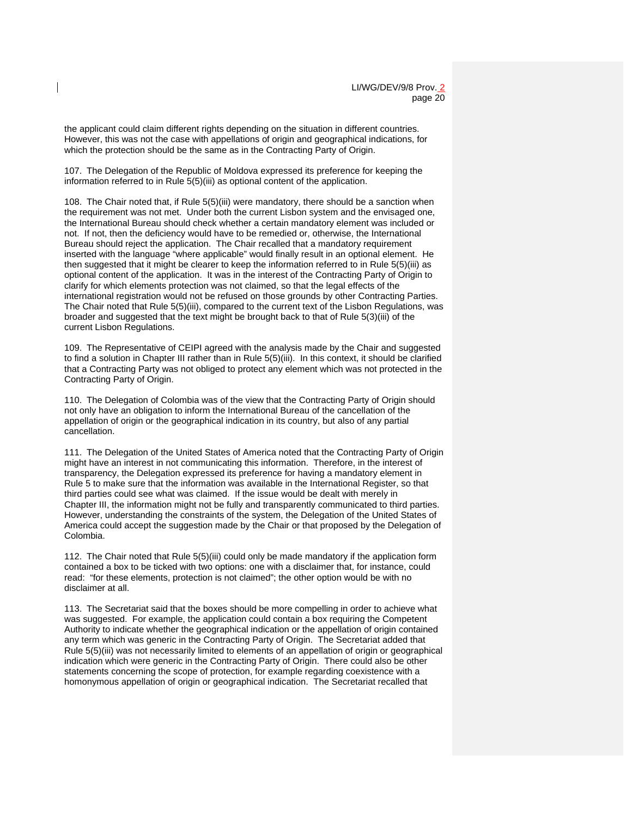the applicant could claim different rights depending on the situation in different countries. However, this was not the case with appellations of origin and geographical indications, for which the protection should be the same as in the Contracting Party of Origin.

107. The Delegation of the Republic of Moldova expressed its preference for keeping the information referred to in Rule 5(5)(iii) as optional content of the application.

108. The Chair noted that, if Rule 5(5)(iii) were mandatory, there should be a sanction when the requirement was not met. Under both the current Lisbon system and the envisaged one, the International Bureau should check whether a certain mandatory element was included or not. If not, then the deficiency would have to be remedied or, otherwise, the International Bureau should reject the application. The Chair recalled that a mandatory requirement inserted with the language "where applicable" would finally result in an optional element. He then suggested that it might be clearer to keep the information referred to in Rule 5(5)(iii) as optional content of the application. It was in the interest of the Contracting Party of Origin to clarify for which elements protection was not claimed, so that the legal effects of the international registration would not be refused on those grounds by other Contracting Parties. The Chair noted that Rule 5(5)(iii), compared to the current text of the Lisbon Regulations, was broader and suggested that the text might be brought back to that of Rule 5(3)(iii) of the current Lisbon Regulations.

109. The Representative of CEIPI agreed with the analysis made by the Chair and suggested to find a solution in Chapter III rather than in Rule 5(5)(iii). In this context, it should be clarified that a Contracting Party was not obliged to protect any element which was not protected in the Contracting Party of Origin.

110. The Delegation of Colombia was of the view that the Contracting Party of Origin should not only have an obligation to inform the International Bureau of the cancellation of the appellation of origin or the geographical indication in its country, but also of any partial cancellation.

111. The Delegation of the United States of America noted that the Contracting Party of Origin might have an interest in not communicating this information. Therefore, in the interest of transparency, the Delegation expressed its preference for having a mandatory element in Rule 5 to make sure that the information was available in the International Register, so that third parties could see what was claimed. If the issue would be dealt with merely in Chapter III, the information might not be fully and transparently communicated to third parties. However, understanding the constraints of the system, the Delegation of the United States of America could accept the suggestion made by the Chair or that proposed by the Delegation of Colombia.

112. The Chair noted that Rule 5(5)(iii) could only be made mandatory if the application form contained a box to be ticked with two options: one with a disclaimer that, for instance, could read: "for these elements, protection is not claimed"; the other option would be with no disclaimer at all.

113. The Secretariat said that the boxes should be more compelling in order to achieve what was suggested. For example, the application could contain a box requiring the Competent Authority to indicate whether the geographical indication or the appellation of origin contained any term which was generic in the Contracting Party of Origin. The Secretariat added that Rule 5(5)(iii) was not necessarily limited to elements of an appellation of origin or geographical indication which were generic in the Contracting Party of Origin. There could also be other statements concerning the scope of protection, for example regarding coexistence with a homonymous appellation of origin or geographical indication. The Secretariat recalled that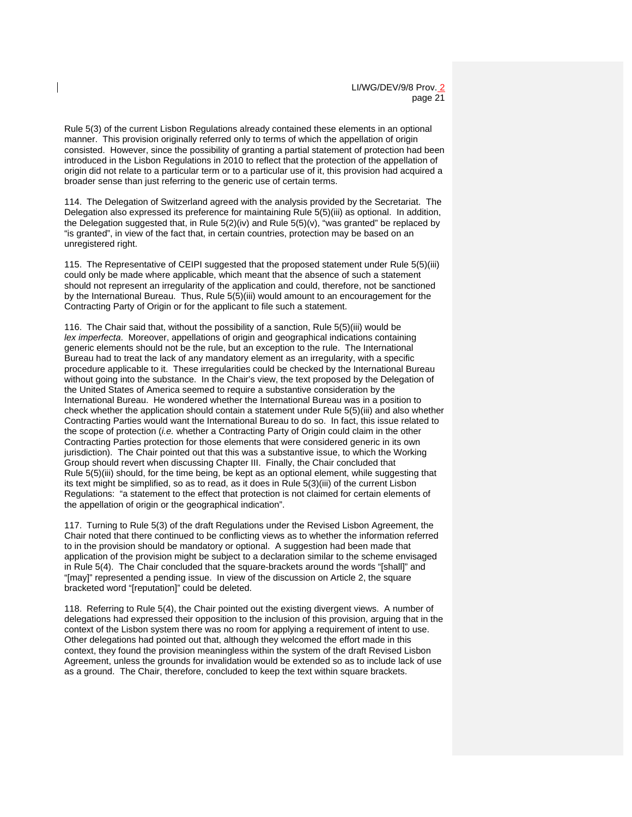Rule 5(3) of the current Lisbon Regulations already contained these elements in an optional manner. This provision originally referred only to terms of which the appellation of origin consisted. However, since the possibility of granting a partial statement of protection had been introduced in the Lisbon Regulations in 2010 to reflect that the protection of the appellation of origin did not relate to a particular term or to a particular use of it, this provision had acquired a broader sense than just referring to the generic use of certain terms.

114. The Delegation of Switzerland agreed with the analysis provided by the Secretariat. The Delegation also expressed its preference for maintaining Rule 5(5)(iii) as optional. In addition, the Delegation suggested that, in Rule  $5(2)(iv)$  and Rule  $5(5)(v)$ , "was granted" be replaced by "is granted", in view of the fact that, in certain countries, protection may be based on an unregistered right.

115. The Representative of CEIPI suggested that the proposed statement under Rule 5(5)(iii) could only be made where applicable, which meant that the absence of such a statement should not represent an irregularity of the application and could, therefore, not be sanctioned by the International Bureau. Thus, Rule 5(5)(iii) would amount to an encouragement for the Contracting Party of Origin or for the applicant to file such a statement.

116. The Chair said that, without the possibility of a sanction, Rule 5(5)(iii) would be *lex imperfecta*. Moreover, appellations of origin and geographical indications containing generic elements should not be the rule, but an exception to the rule. The International Bureau had to treat the lack of any mandatory element as an irregularity, with a specific procedure applicable to it. These irregularities could be checked by the International Bureau without going into the substance. In the Chair's view, the text proposed by the Delegation of the United States of America seemed to require a substantive consideration by the International Bureau. He wondered whether the International Bureau was in a position to check whether the application should contain a statement under Rule 5(5)(iii) and also whether Contracting Parties would want the International Bureau to do so. In fact, this issue related to the scope of protection (*i.e.* whether a Contracting Party of Origin could claim in the other Contracting Parties protection for those elements that were considered generic in its own jurisdiction). The Chair pointed out that this was a substantive issue, to which the Working Group should revert when discussing Chapter III. Finally, the Chair concluded that Rule 5(5)(iii) should, for the time being, be kept as an optional element, while suggesting that its text might be simplified, so as to read, as it does in Rule 5(3)(iii) of the current Lisbon Regulations: "a statement to the effect that protection is not claimed for certain elements of the appellation of origin or the geographical indication".

117. Turning to Rule 5(3) of the draft Regulations under the Revised Lisbon Agreement, the Chair noted that there continued to be conflicting views as to whether the information referred to in the provision should be mandatory or optional. A suggestion had been made that application of the provision might be subject to a declaration similar to the scheme envisaged in Rule 5(4). The Chair concluded that the square-brackets around the words "[shall]" and "[may]" represented a pending issue. In view of the discussion on Article 2, the square bracketed word "[reputation]" could be deleted.

118. Referring to Rule 5(4), the Chair pointed out the existing divergent views. A number of delegations had expressed their opposition to the inclusion of this provision, arguing that in the context of the Lisbon system there was no room for applying a requirement of intent to use. Other delegations had pointed out that, although they welcomed the effort made in this context, they found the provision meaningless within the system of the draft Revised Lisbon Agreement, unless the grounds for invalidation would be extended so as to include lack of use as a ground. The Chair, therefore, concluded to keep the text within square brackets.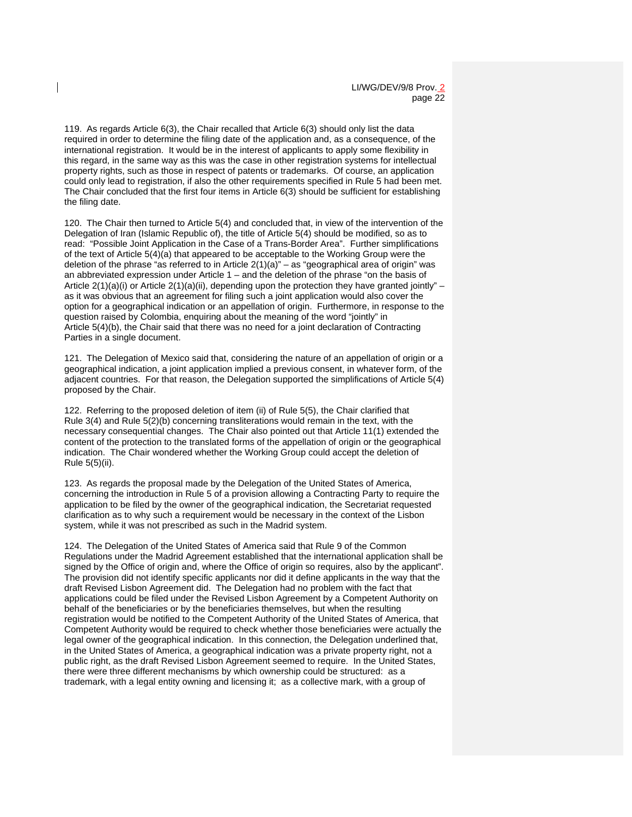119. As regards Article 6(3), the Chair recalled that Article 6(3) should only list the data required in order to determine the filing date of the application and, as a consequence, of the international registration. It would be in the interest of applicants to apply some flexibility in this regard, in the same way as this was the case in other registration systems for intellectual property rights, such as those in respect of patents or trademarks. Of course, an application could only lead to registration, if also the other requirements specified in Rule 5 had been met. The Chair concluded that the first four items in Article 6(3) should be sufficient for establishing the filing date.

120. The Chair then turned to Article 5(4) and concluded that, in view of the intervention of the Delegation of Iran (Islamic Republic of), the title of Article 5(4) should be modified, so as to read: "Possible Joint Application in the Case of a Trans-Border Area". Further simplifications of the text of Article 5(4)(a) that appeared to be acceptable to the Working Group were the deletion of the phrase "as referred to in Article  $2(1)(a)$ " – as "geographical area of origin" was an abbreviated expression under Article 1 – and the deletion of the phrase "on the basis of Article  $2(1)(a)(i)$  or Article  $2(1)(a)(ii)$ , depending upon the protection they have granted jointly" – as it was obvious that an agreement for filing such a joint application would also cover the option for a geographical indication or an appellation of origin. Furthermore, in response to the question raised by Colombia, enquiring about the meaning of the word "jointly" in Article 5(4)(b), the Chair said that there was no need for a joint declaration of Contracting Parties in a single document.

121. The Delegation of Mexico said that, considering the nature of an appellation of origin or a geographical indication, a joint application implied a previous consent, in whatever form, of the adjacent countries. For that reason, the Delegation supported the simplifications of Article 5(4) proposed by the Chair.

122. Referring to the proposed deletion of item (ii) of Rule 5(5), the Chair clarified that Rule 3(4) and Rule 5(2)(b) concerning transliterations would remain in the text, with the necessary consequential changes. The Chair also pointed out that Article 11(1) extended the content of the protection to the translated forms of the appellation of origin or the geographical indication. The Chair wondered whether the Working Group could accept the deletion of Rule 5(5)(ii).

123. As regards the proposal made by the Delegation of the United States of America, concerning the introduction in Rule 5 of a provision allowing a Contracting Party to require the application to be filed by the owner of the geographical indication, the Secretariat requested clarification as to why such a requirement would be necessary in the context of the Lisbon system, while it was not prescribed as such in the Madrid system.

124. The Delegation of the United States of America said that Rule 9 of the Common Regulations under the Madrid Agreement established that the international application shall be signed by the Office of origin and, where the Office of origin so requires, also by the applicant". The provision did not identify specific applicants nor did it define applicants in the way that the draft Revised Lisbon Agreement did. The Delegation had no problem with the fact that applications could be filed under the Revised Lisbon Agreement by a Competent Authority on behalf of the beneficiaries or by the beneficiaries themselves, but when the resulting registration would be notified to the Competent Authority of the United States of America, that Competent Authority would be required to check whether those beneficiaries were actually the legal owner of the geographical indication. In this connection, the Delegation underlined that, in the United States of America, a geographical indication was a private property right, not a public right, as the draft Revised Lisbon Agreement seemed to require. In the United States, there were three different mechanisms by which ownership could be structured: as a trademark, with a legal entity owning and licensing it; as a collective mark, with a group of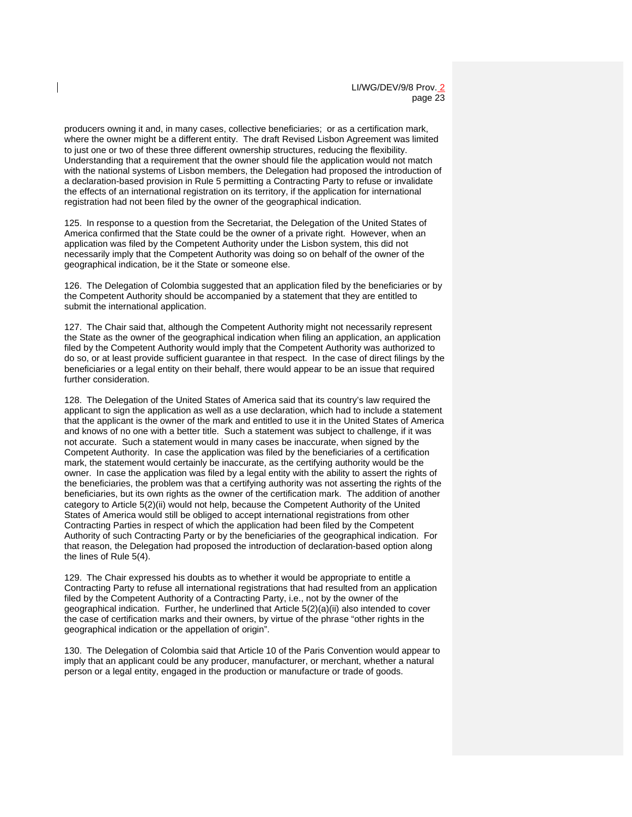producers owning it and, in many cases, collective beneficiaries; or as a certification mark, where the owner might be a different entity. The draft Revised Lisbon Agreement was limited to just one or two of these three different ownership structures, reducing the flexibility. Understanding that a requirement that the owner should file the application would not match with the national systems of Lisbon members, the Delegation had proposed the introduction of a declaration-based provision in Rule 5 permitting a Contracting Party to refuse or invalidate the effects of an international registration on its territory, if the application for international registration had not been filed by the owner of the geographical indication.

125. In response to a question from the Secretariat, the Delegation of the United States of America confirmed that the State could be the owner of a private right. However, when an application was filed by the Competent Authority under the Lisbon system, this did not necessarily imply that the Competent Authority was doing so on behalf of the owner of the geographical indication, be it the State or someone else.

126. The Delegation of Colombia suggested that an application filed by the beneficiaries or by the Competent Authority should be accompanied by a statement that they are entitled to submit the international application.

127. The Chair said that, although the Competent Authority might not necessarily represent the State as the owner of the geographical indication when filing an application, an application filed by the Competent Authority would imply that the Competent Authority was authorized to do so, or at least provide sufficient guarantee in that respect. In the case of direct filings by the beneficiaries or a legal entity on their behalf, there would appear to be an issue that required further consideration.

128. The Delegation of the United States of America said that its country's law required the applicant to sign the application as well as a use declaration, which had to include a statement that the applicant is the owner of the mark and entitled to use it in the United States of America and knows of no one with a better title. Such a statement was subject to challenge, if it was not accurate. Such a statement would in many cases be inaccurate, when signed by the Competent Authority. In case the application was filed by the beneficiaries of a certification mark, the statement would certainly be inaccurate, as the certifying authority would be the owner. In case the application was filed by a legal entity with the ability to assert the rights of the beneficiaries, the problem was that a certifying authority was not asserting the rights of the beneficiaries, but its own rights as the owner of the certification mark. The addition of another category to Article 5(2)(ii) would not help, because the Competent Authority of the United States of America would still be obliged to accept international registrations from other Contracting Parties in respect of which the application had been filed by the Competent Authority of such Contracting Party or by the beneficiaries of the geographical indication. For that reason, the Delegation had proposed the introduction of declaration-based option along the lines of Rule 5(4).

129. The Chair expressed his doubts as to whether it would be appropriate to entitle a Contracting Party to refuse all international registrations that had resulted from an application filed by the Competent Authority of a Contracting Party, i.e., not by the owner of the geographical indication. Further, he underlined that Article 5(2)(a)(ii) also intended to cover the case of certification marks and their owners, by virtue of the phrase "other rights in the geographical indication or the appellation of origin".

130. The Delegation of Colombia said that Article 10 of the Paris Convention would appear to imply that an applicant could be any producer, manufacturer, or merchant, whether a natural person or a legal entity, engaged in the production or manufacture or trade of goods.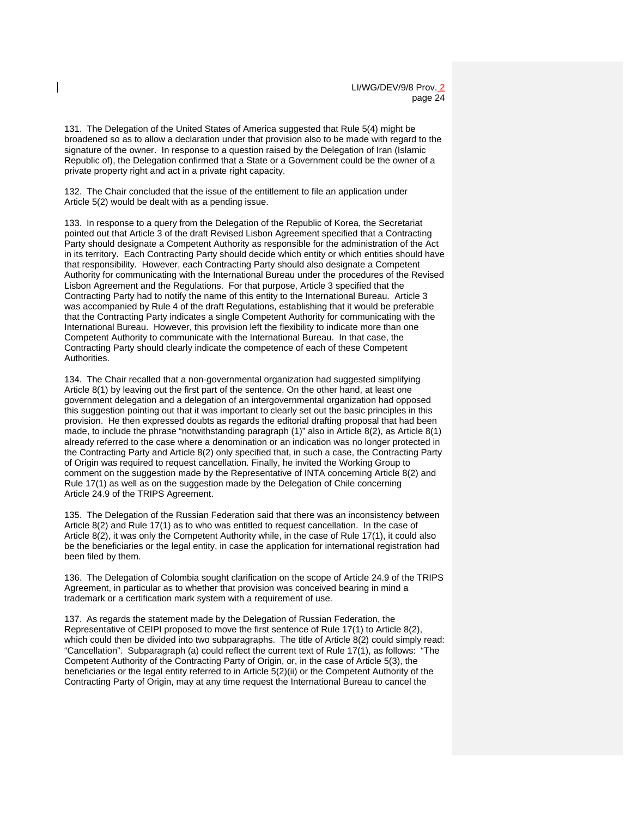131. The Delegation of the United States of America suggested that Rule 5(4) might be broadened so as to allow a declaration under that provision also to be made with regard to the signature of the owner. In response to a question raised by the Delegation of Iran (Islamic Republic of), the Delegation confirmed that a State or a Government could be the owner of a private property right and act in a private right capacity.

132. The Chair concluded that the issue of the entitlement to file an application under Article 5(2) would be dealt with as a pending issue.

133. In response to a query from the Delegation of the Republic of Korea, the Secretariat pointed out that Article 3 of the draft Revised Lisbon Agreement specified that a Contracting Party should designate a Competent Authority as responsible for the administration of the Act in its territory. Each Contracting Party should decide which entity or which entities should have that responsibility. However, each Contracting Party should also designate a Competent Authority for communicating with the International Bureau under the procedures of the Revised Lisbon Agreement and the Regulations. For that purpose, Article 3 specified that the Contracting Party had to notify the name of this entity to the International Bureau. Article 3 was accompanied by Rule 4 of the draft Regulations, establishing that it would be preferable that the Contracting Party indicates a single Competent Authority for communicating with the International Bureau. However, this provision left the flexibility to indicate more than one Competent Authority to communicate with the International Bureau. In that case, the Contracting Party should clearly indicate the competence of each of these Competent Authorities.

134. The Chair recalled that a non-governmental organization had suggested simplifying Article 8(1) by leaving out the first part of the sentence. On the other hand, at least one government delegation and a delegation of an intergovernmental organization had opposed this suggestion pointing out that it was important to clearly set out the basic principles in this provision. He then expressed doubts as regards the editorial drafting proposal that had been made, to include the phrase "notwithstanding paragraph (1)" also in Article 8(2), as Article 8(1) already referred to the case where a denomination or an indication was no longer protected in the Contracting Party and Article 8(2) only specified that, in such a case, the Contracting Party of Origin was required to request cancellation. Finally, he invited the Working Group to comment on the suggestion made by the Representative of INTA concerning Article 8(2) and Rule 17(1) as well as on the suggestion made by the Delegation of Chile concerning Article 24.9 of the TRIPS Agreement.

135. The Delegation of the Russian Federation said that there was an inconsistency between Article 8(2) and Rule 17(1) as to who was entitled to request cancellation. In the case of Article 8(2), it was only the Competent Authority while, in the case of Rule 17(1), it could also be the beneficiaries or the legal entity, in case the application for international registration had been filed by them.

136. The Delegation of Colombia sought clarification on the scope of Article 24.9 of the TRIPS Agreement, in particular as to whether that provision was conceived bearing in mind a trademark or a certification mark system with a requirement of use.

137. As regards the statement made by the Delegation of Russian Federation, the Representative of CEIPI proposed to move the first sentence of Rule 17(1) to Article 8(2), which could then be divided into two subparagraphs. The title of Article 8(2) could simply read: "Cancellation". Subparagraph (a) could reflect the current text of Rule 17(1), as follows: "The Competent Authority of the Contracting Party of Origin, or, in the case of Article 5(3), the beneficiaries or the legal entity referred to in Article 5(2)(ii) or the Competent Authority of the Contracting Party of Origin, may at any time request the International Bureau to cancel the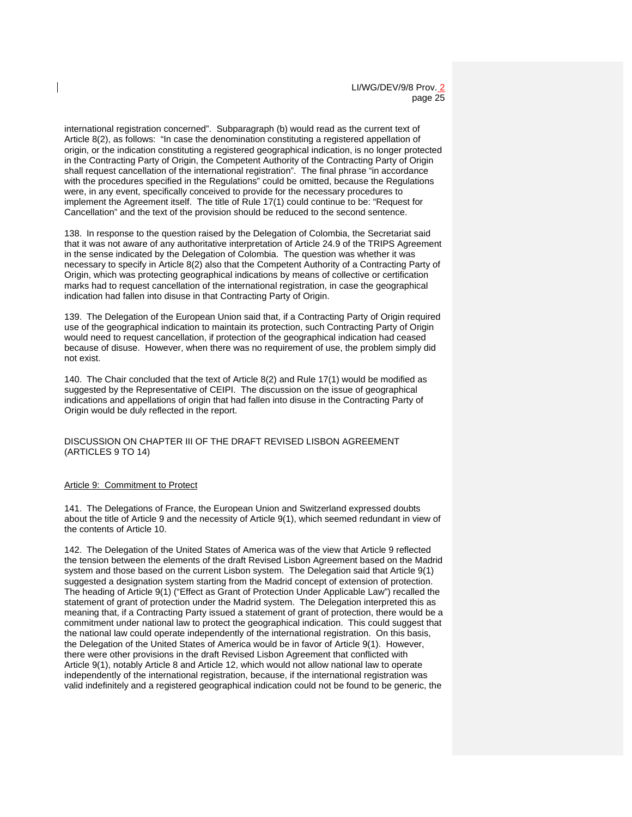international registration concerned". Subparagraph (b) would read as the current text of Article 8(2), as follows: "In case the denomination constituting a registered appellation of origin, or the indication constituting a registered geographical indication, is no longer protected in the Contracting Party of Origin, the Competent Authority of the Contracting Party of Origin shall request cancellation of the international registration". The final phrase "in accordance with the procedures specified in the Regulations" could be omitted, because the Regulations were, in any event, specifically conceived to provide for the necessary procedures to implement the Agreement itself. The title of Rule 17(1) could continue to be: "Request for Cancellation" and the text of the provision should be reduced to the second sentence.

138. In response to the question raised by the Delegation of Colombia, the Secretariat said that it was not aware of any authoritative interpretation of Article 24.9 of the TRIPS Agreement in the sense indicated by the Delegation of Colombia. The question was whether it was necessary to specify in Article 8(2) also that the Competent Authority of a Contracting Party of Origin, which was protecting geographical indications by means of collective or certification marks had to request cancellation of the international registration, in case the geographical indication had fallen into disuse in that Contracting Party of Origin.

139. The Delegation of the European Union said that, if a Contracting Party of Origin required use of the geographical indication to maintain its protection, such Contracting Party of Origin would need to request cancellation, if protection of the geographical indication had ceased because of disuse. However, when there was no requirement of use, the problem simply did not exist.

140. The Chair concluded that the text of Article 8(2) and Rule 17(1) would be modified as suggested by the Representative of CEIPI. The discussion on the issue of geographical indications and appellations of origin that had fallen into disuse in the Contracting Party of Origin would be duly reflected in the report.

DISCUSSION ON CHAPTER III OF THE DRAFT REVISED LISBON AGREEMENT (ARTICLES 9 TO 14)

#### Article 9: Commitment to Protect

141. The Delegations of France, the European Union and Switzerland expressed doubts about the title of Article 9 and the necessity of Article 9(1), which seemed redundant in view of the contents of Article 10.

142. The Delegation of the United States of America was of the view that Article 9 reflected the tension between the elements of the draft Revised Lisbon Agreement based on the Madrid system and those based on the current Lisbon system. The Delegation said that Article 9(1) suggested a designation system starting from the Madrid concept of extension of protection. The heading of Article 9(1) ("Effect as Grant of Protection Under Applicable Law") recalled the statement of grant of protection under the Madrid system. The Delegation interpreted this as meaning that, if a Contracting Party issued a statement of grant of protection, there would be a commitment under national law to protect the geographical indication. This could suggest that the national law could operate independently of the international registration. On this basis, the Delegation of the United States of America would be in favor of Article 9(1). However, there were other provisions in the draft Revised Lisbon Agreement that conflicted with Article 9(1), notably Article 8 and Article 12, which would not allow national law to operate independently of the international registration, because, if the international registration was valid indefinitely and a registered geographical indication could not be found to be generic, the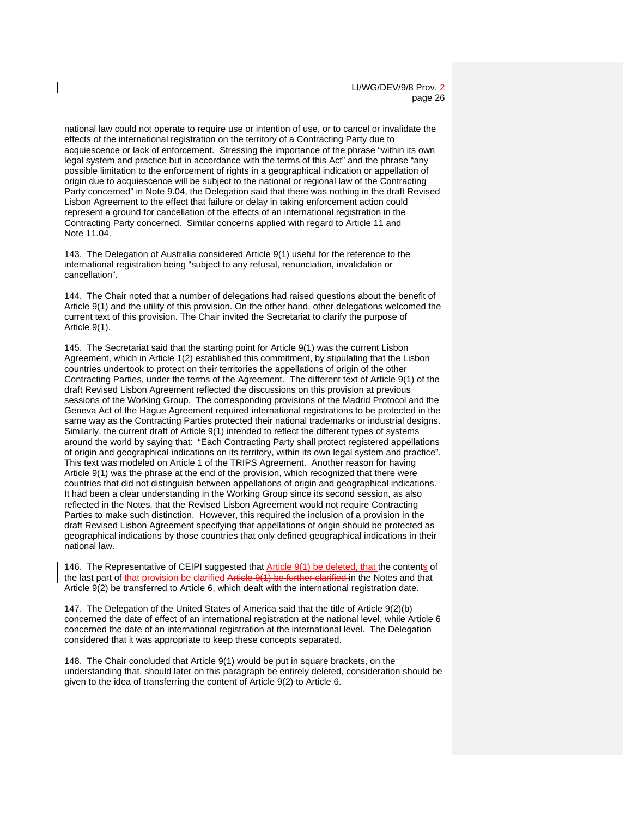national law could not operate to require use or intention of use, or to cancel or invalidate the effects of the international registration on the territory of a Contracting Party due to acquiescence or lack of enforcement. Stressing the importance of the phrase "within its own legal system and practice but in accordance with the terms of this Act" and the phrase "any possible limitation to the enforcement of rights in a geographical indication or appellation of origin due to acquiescence will be subject to the national or regional law of the Contracting Party concerned" in Note 9.04, the Delegation said that there was nothing in the draft Revised Lisbon Agreement to the effect that failure or delay in taking enforcement action could represent a ground for cancellation of the effects of an international registration in the Contracting Party concerned. Similar concerns applied with regard to Article 11 and Note 11.04.

143. The Delegation of Australia considered Article 9(1) useful for the reference to the international registration being "subject to any refusal, renunciation, invalidation or cancellation".

144. The Chair noted that a number of delegations had raised questions about the benefit of Article 9(1) and the utility of this provision. On the other hand, other delegations welcomed the current text of this provision. The Chair invited the Secretariat to clarify the purpose of Article 9(1).

145. The Secretariat said that the starting point for Article 9(1) was the current Lisbon Agreement, which in Article 1(2) established this commitment, by stipulating that the Lisbon countries undertook to protect on their territories the appellations of origin of the other Contracting Parties, under the terms of the Agreement. The different text of Article 9(1) of the draft Revised Lisbon Agreement reflected the discussions on this provision at previous sessions of the Working Group. The corresponding provisions of the Madrid Protocol and the Geneva Act of the Hague Agreement required international registrations to be protected in the same way as the Contracting Parties protected their national trademarks or industrial designs. Similarly, the current draft of Article 9(1) intended to reflect the different types of systems around the world by saying that: "Each Contracting Party shall protect registered appellations of origin and geographical indications on its territory, within its own legal system and practice". This text was modeled on Article 1 of the TRIPS Agreement. Another reason for having Article 9(1) was the phrase at the end of the provision, which recognized that there were countries that did not distinguish between appellations of origin and geographical indications. It had been a clear understanding in the Working Group since its second session, as also reflected in the Notes, that the Revised Lisbon Agreement would not require Contracting Parties to make such distinction. However, this required the inclusion of a provision in the draft Revised Lisbon Agreement specifying that appellations of origin should be protected as geographical indications by those countries that only defined geographical indications in their national law.

146. The Representative of CEIPI suggested that Article 9(1) be deleted, that the contents of the last part of that provision be clarified Article 9(1) be further clarified in the Notes and that Article 9(2) be transferred to Article 6, which dealt with the international registration date.

147. The Delegation of the United States of America said that the title of Article 9(2)(b) concerned the date of effect of an international registration at the national level, while Article 6 concerned the date of an international registration at the international level. The Delegation considered that it was appropriate to keep these concepts separated.

148. The Chair concluded that Article 9(1) would be put in square brackets, on the understanding that, should later on this paragraph be entirely deleted, consideration should be given to the idea of transferring the content of Article 9(2) to Article 6.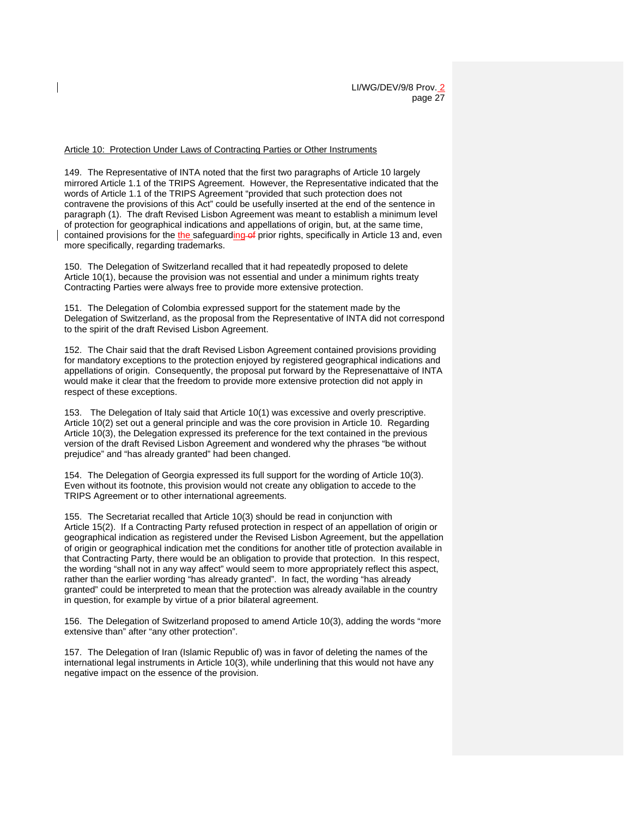#### Article 10: Protection Under Laws of Contracting Parties or Other Instruments

149. The Representative of INTA noted that the first two paragraphs of Article 10 largely mirrored Article 1.1 of the TRIPS Agreement. However, the Representative indicated that the words of Article 1.1 of the TRIPS Agreement "provided that such protection does not contravene the provisions of this Act" could be usefully inserted at the end of the sentence in paragraph (1). The draft Revised Lisbon Agreement was meant to establish a minimum level of protection for geographical indications and appellations of origin, but, at the same time, contained provisions for the the safeguarding of prior rights, specifically in Article 13 and, even more specifically, regarding trademarks.

150. The Delegation of Switzerland recalled that it had repeatedly proposed to delete Article 10(1), because the provision was not essential and under a minimum rights treaty Contracting Parties were always free to provide more extensive protection.

151. The Delegation of Colombia expressed support for the statement made by the Delegation of Switzerland, as the proposal from the Representative of INTA did not correspond to the spirit of the draft Revised Lisbon Agreement.

152. The Chair said that the draft Revised Lisbon Agreement contained provisions providing for mandatory exceptions to the protection enjoyed by registered geographical indications and appellations of origin. Consequently, the proposal put forward by the Represenattaive of INTA would make it clear that the freedom to provide more extensive protection did not apply in respect of these exceptions.

153. The Delegation of Italy said that Article 10(1) was excessive and overly prescriptive. Article 10(2) set out a general principle and was the core provision in Article 10. Regarding Article 10(3), the Delegation expressed its preference for the text contained in the previous version of the draft Revised Lisbon Agreement and wondered why the phrases "be without prejudice" and "has already granted" had been changed.

154. The Delegation of Georgia expressed its full support for the wording of Article 10(3). Even without its footnote, this provision would not create any obligation to accede to the TRIPS Agreement or to other international agreements.

155. The Secretariat recalled that Article 10(3) should be read in conjunction with Article 15(2). If a Contracting Party refused protection in respect of an appellation of origin or geographical indication as registered under the Revised Lisbon Agreement, but the appellation of origin or geographical indication met the conditions for another title of protection available in that Contracting Party, there would be an obligation to provide that protection. In this respect, the wording "shall not in any way affect" would seem to more appropriately reflect this aspect, rather than the earlier wording "has already granted". In fact, the wording "has already granted" could be interpreted to mean that the protection was already available in the country in question, for example by virtue of a prior bilateral agreement.

156. The Delegation of Switzerland proposed to amend Article 10(3), adding the words "more extensive than" after "any other protection".

157. The Delegation of Iran (Islamic Republic of) was in favor of deleting the names of the international legal instruments in Article 10(3), while underlining that this would not have any negative impact on the essence of the provision.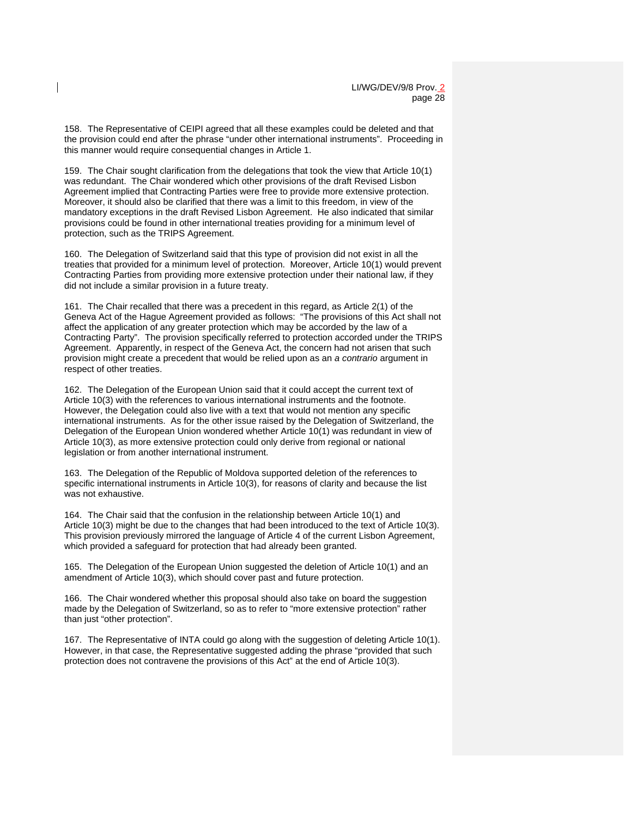158. The Representative of CEIPI agreed that all these examples could be deleted and that the provision could end after the phrase "under other international instruments". Proceeding in this manner would require consequential changes in Article 1.

159. The Chair sought clarification from the delegations that took the view that Article 10(1) was redundant. The Chair wondered which other provisions of the draft Revised Lisbon Agreement implied that Contracting Parties were free to provide more extensive protection. Moreover, it should also be clarified that there was a limit to this freedom, in view of the mandatory exceptions in the draft Revised Lisbon Agreement. He also indicated that similar provisions could be found in other international treaties providing for a minimum level of protection, such as the TRIPS Agreement.

160. The Delegation of Switzerland said that this type of provision did not exist in all the treaties that provided for a minimum level of protection. Moreover, Article 10(1) would prevent Contracting Parties from providing more extensive protection under their national law, if they did not include a similar provision in a future treaty.

161. The Chair recalled that there was a precedent in this regard, as Article 2(1) of the Geneva Act of the Hague Agreement provided as follows: "The provisions of this Act shall not affect the application of any greater protection which may be accorded by the law of a Contracting Party". The provision specifically referred to protection accorded under the TRIPS Agreement. Apparently, in respect of the Geneva Act, the concern had not arisen that such provision might create a precedent that would be relied upon as an *a contrario* argument in respect of other treaties.

162. The Delegation of the European Union said that it could accept the current text of Article 10(3) with the references to various international instruments and the footnote. However, the Delegation could also live with a text that would not mention any specific international instruments. As for the other issue raised by the Delegation of Switzerland, the Delegation of the European Union wondered whether Article 10(1) was redundant in view of Article 10(3), as more extensive protection could only derive from regional or national legislation or from another international instrument.

163. The Delegation of the Republic of Moldova supported deletion of the references to specific international instruments in Article 10(3), for reasons of clarity and because the list was not exhaustive.

164. The Chair said that the confusion in the relationship between Article 10(1) and Article 10(3) might be due to the changes that had been introduced to the text of Article 10(3). This provision previously mirrored the language of Article 4 of the current Lisbon Agreement, which provided a safeguard for protection that had already been granted.

165. The Delegation of the European Union suggested the deletion of Article 10(1) and an amendment of Article 10(3), which should cover past and future protection.

166. The Chair wondered whether this proposal should also take on board the suggestion made by the Delegation of Switzerland, so as to refer to "more extensive protection" rather than just "other protection".

167. The Representative of INTA could go along with the suggestion of deleting Article 10(1). However, in that case, the Representative suggested adding the phrase "provided that such protection does not contravene the provisions of this Act" at the end of Article 10(3).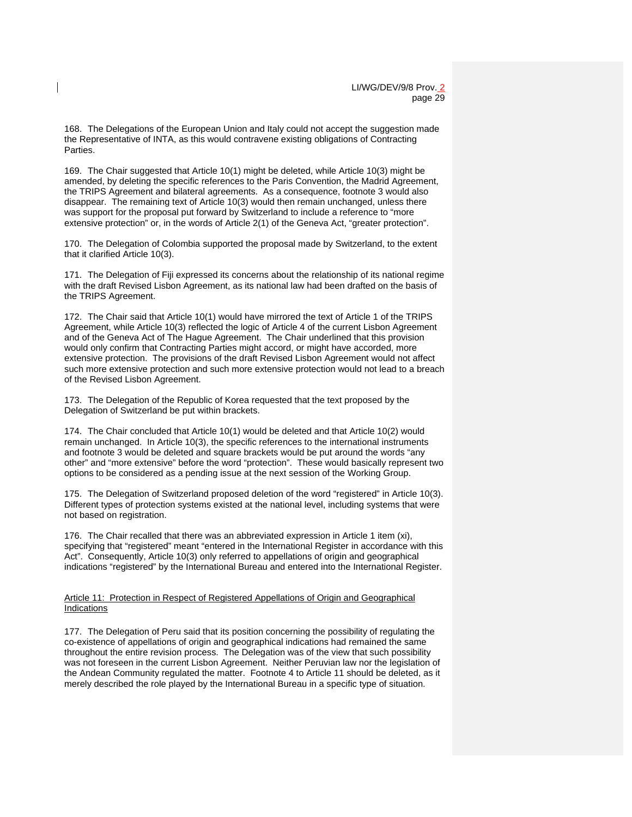168. The Delegations of the European Union and Italy could not accept the suggestion made the Representative of INTA, as this would contravene existing obligations of Contracting Parties.

169. The Chair suggested that Article 10(1) might be deleted, while Article 10(3) might be amended, by deleting the specific references to the Paris Convention, the Madrid Agreement, the TRIPS Agreement and bilateral agreements. As a consequence, footnote 3 would also disappear. The remaining text of Article 10(3) would then remain unchanged, unless there was support for the proposal put forward by Switzerland to include a reference to "more extensive protection" or, in the words of Article 2(1) of the Geneva Act, "greater protection".

170. The Delegation of Colombia supported the proposal made by Switzerland, to the extent that it clarified Article 10(3).

171. The Delegation of Fiji expressed its concerns about the relationship of its national regime with the draft Revised Lisbon Agreement, as its national law had been drafted on the basis of the TRIPS Agreement.

172. The Chair said that Article 10(1) would have mirrored the text of Article 1 of the TRIPS Agreement, while Article 10(3) reflected the logic of Article 4 of the current Lisbon Agreement and of the Geneva Act of The Hague Agreement. The Chair underlined that this provision would only confirm that Contracting Parties might accord, or might have accorded, more extensive protection. The provisions of the draft Revised Lisbon Agreement would not affect such more extensive protection and such more extensive protection would not lead to a breach of the Revised Lisbon Agreement.

173. The Delegation of the Republic of Korea requested that the text proposed by the Delegation of Switzerland be put within brackets.

174. The Chair concluded that Article 10(1) would be deleted and that Article 10(2) would remain unchanged. In Article 10(3), the specific references to the international instruments and footnote 3 would be deleted and square brackets would be put around the words "any other" and "more extensive" before the word "protection". These would basically represent two options to be considered as a pending issue at the next session of the Working Group.

175. The Delegation of Switzerland proposed deletion of the word "registered" in Article 10(3). Different types of protection systems existed at the national level, including systems that were not based on registration.

176. The Chair recalled that there was an abbreviated expression in Article 1 item (xi), specifying that "registered" meant "entered in the International Register in accordance with this Act". Consequently, Article 10(3) only referred to appellations of origin and geographical indications "registered" by the International Bureau and entered into the International Register.

#### Article 11: Protection in Respect of Registered Appellations of Origin and Geographical Indications

177. The Delegation of Peru said that its position concerning the possibility of regulating the co-existence of appellations of origin and geographical indications had remained the same throughout the entire revision process. The Delegation was of the view that such possibility was not foreseen in the current Lisbon Agreement. Neither Peruvian law nor the legislation of the Andean Community regulated the matter. Footnote 4 to Article 11 should be deleted, as it merely described the role played by the International Bureau in a specific type of situation.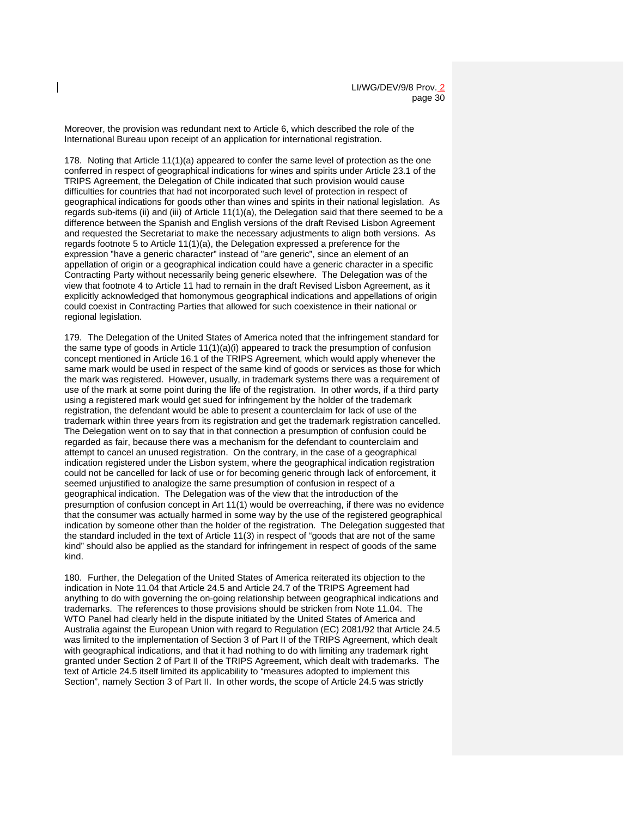Moreover, the provision was redundant next to Article 6, which described the role of the International Bureau upon receipt of an application for international registration.

178. Noting that Article 11(1)(a) appeared to confer the same level of protection as the one conferred in respect of geographical indications for wines and spirits under Article 23.1 of the TRIPS Agreement, the Delegation of Chile indicated that such provision would cause difficulties for countries that had not incorporated such level of protection in respect of geographical indications for goods other than wines and spirits in their national legislation. As regards sub-items (ii) and (iii) of Article 11(1)(a), the Delegation said that there seemed to be a difference between the Spanish and English versions of the draft Revised Lisbon Agreement and requested the Secretariat to make the necessary adjustments to align both versions. As regards footnote 5 to Article 11(1)(a), the Delegation expressed a preference for the expression "have a generic character" instead of "are generic", since an element of an appellation of origin or a geographical indication could have a generic character in a specific Contracting Party without necessarily being generic elsewhere. The Delegation was of the view that footnote 4 to Article 11 had to remain in the draft Revised Lisbon Agreement, as it explicitly acknowledged that homonymous geographical indications and appellations of origin could coexist in Contracting Parties that allowed for such coexistence in their national or regional legislation.

179. The Delegation of the United States of America noted that the infringement standard for the same type of goods in Article  $11(1)(a)(i)$  appeared to track the presumption of confusion concept mentioned in Article 16.1 of the TRIPS Agreement, which would apply whenever the same mark would be used in respect of the same kind of goods or services as those for which the mark was registered. However, usually, in trademark systems there was a requirement of use of the mark at some point during the life of the registration. In other words, if a third party using a registered mark would get sued for infringement by the holder of the trademark registration, the defendant would be able to present a counterclaim for lack of use of the trademark within three years from its registration and get the trademark registration cancelled. The Delegation went on to say that in that connection a presumption of confusion could be regarded as fair, because there was a mechanism for the defendant to counterclaim and attempt to cancel an unused registration. On the contrary, in the case of a geographical indication registered under the Lisbon system, where the geographical indication registration could not be cancelled for lack of use or for becoming generic through lack of enforcement, it seemed unjustified to analogize the same presumption of confusion in respect of a geographical indication. The Delegation was of the view that the introduction of the presumption of confusion concept in Art 11(1) would be overreaching, if there was no evidence that the consumer was actually harmed in some way by the use of the registered geographical indication by someone other than the holder of the registration. The Delegation suggested that the standard included in the text of Article 11(3) in respect of "goods that are not of the same kind" should also be applied as the standard for infringement in respect of goods of the same kind.

180. Further, the Delegation of the United States of America reiterated its objection to the indication in Note 11.04 that Article 24.5 and Article 24.7 of the TRIPS Agreement had anything to do with governing the on-going relationship between geographical indications and trademarks. The references to those provisions should be stricken from Note 11.04. The WTO Panel had clearly held in the dispute initiated by the United States of America and Australia against the European Union with regard to Regulation (EC) 2081/92 that Article 24.5 was limited to the implementation of Section 3 of Part II of the TRIPS Agreement, which dealt with geographical indications, and that it had nothing to do with limiting any trademark right granted under Section 2 of Part II of the TRIPS Agreement, which dealt with trademarks. The text of Article 24.5 itself limited its applicability to "measures adopted to implement this Section", namely Section 3 of Part II. In other words, the scope of Article 24.5 was strictly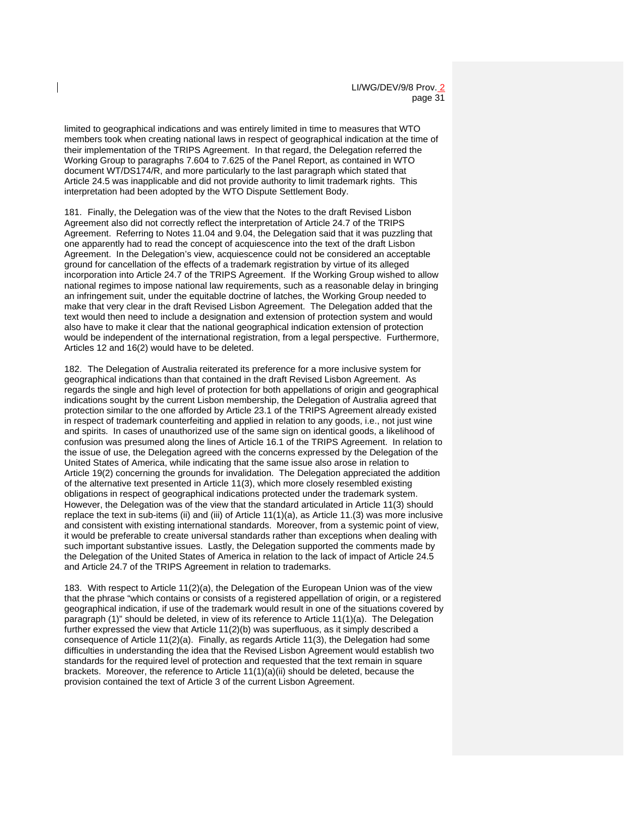limited to geographical indications and was entirely limited in time to measures that WTO members took when creating national laws in respect of geographical indication at the time of their implementation of the TRIPS Agreement. In that regard, the Delegation referred the Working Group to paragraphs 7.604 to 7.625 of the Panel Report, as contained in WTO document WT/DS174/R, and more particularly to the last paragraph which stated that Article 24.5 was inapplicable and did not provide authority to limit trademark rights. This interpretation had been adopted by the WTO Dispute Settlement Body.

181. Finally, the Delegation was of the view that the Notes to the draft Revised Lisbon Agreement also did not correctly reflect the interpretation of Article 24.7 of the TRIPS Agreement. Referring to Notes 11.04 and 9.04, the Delegation said that it was puzzling that one apparently had to read the concept of acquiescence into the text of the draft Lisbon Agreement. In the Delegation's view, acquiescence could not be considered an acceptable ground for cancellation of the effects of a trademark registration by virtue of its alleged incorporation into Article 24.7 of the TRIPS Agreement. If the Working Group wished to allow national regimes to impose national law requirements, such as a reasonable delay in bringing an infringement suit, under the equitable doctrine of latches, the Working Group needed to make that very clear in the draft Revised Lisbon Agreement. The Delegation added that the text would then need to include a designation and extension of protection system and would also have to make it clear that the national geographical indication extension of protection would be independent of the international registration, from a legal perspective. Furthermore, Articles 12 and 16(2) would have to be deleted.

182. The Delegation of Australia reiterated its preference for a more inclusive system for geographical indications than that contained in the draft Revised Lisbon Agreement. As regards the single and high level of protection for both appellations of origin and geographical indications sought by the current Lisbon membership, the Delegation of Australia agreed that protection similar to the one afforded by Article 23.1 of the TRIPS Agreement already existed in respect of trademark counterfeiting and applied in relation to any goods, i.e., not just wine and spirits. In cases of unauthorized use of the same sign on identical goods, a likelihood of confusion was presumed along the lines of Article 16.1 of the TRIPS Agreement. In relation to the issue of use, the Delegation agreed with the concerns expressed by the Delegation of the United States of America, while indicating that the same issue also arose in relation to Article 19(2) concerning the grounds for invalidation. The Delegation appreciated the addition of the alternative text presented in Article 11(3), which more closely resembled existing obligations in respect of geographical indications protected under the trademark system. However, the Delegation was of the view that the standard articulated in Article 11(3) should replace the text in sub-items (ii) and (iii) of Article 11(1)(a), as Article 11.(3) was more inclusive and consistent with existing international standards. Moreover, from a systemic point of view, it would be preferable to create universal standards rather than exceptions when dealing with such important substantive issues. Lastly, the Delegation supported the comments made by the Delegation of the United States of America in relation to the lack of impact of Article 24.5 and Article 24.7 of the TRIPS Agreement in relation to trademarks.

183. With respect to Article 11(2)(a), the Delegation of the European Union was of the view that the phrase "which contains or consists of a registered appellation of origin, or a registered geographical indication, if use of the trademark would result in one of the situations covered by paragraph (1)" should be deleted, in view of its reference to Article 11(1)(a). The Delegation further expressed the view that Article 11(2)(b) was superfluous, as it simply described a consequence of Article 11(2)(a). Finally, as regards Article 11(3), the Delegation had some difficulties in understanding the idea that the Revised Lisbon Agreement would establish two standards for the required level of protection and requested that the text remain in square brackets. Moreover, the reference to Article  $11(1)(a)(ii)$  should be deleted, because the provision contained the text of Article 3 of the current Lisbon Agreement.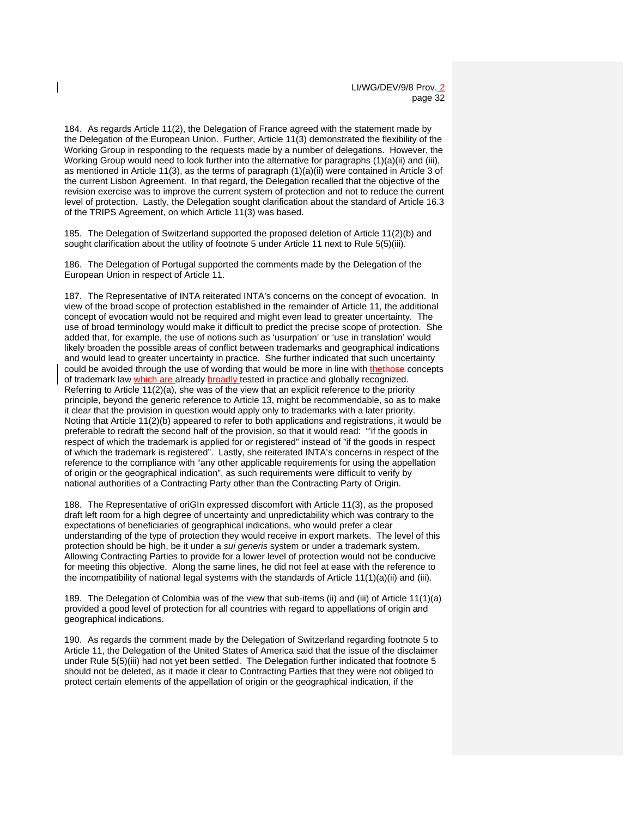184. As regards Article 11(2), the Delegation of France agreed with the statement made by the Delegation of the European Union. Further, Article 11(3) demonstrated the flexibility of the Working Group in responding to the requests made by a number of delegations. However, the Working Group would need to look further into the alternative for paragraphs (1)(a)(ii) and (iii), as mentioned in Article 11(3), as the terms of paragraph (1)(a)(ii) were contained in Article 3 of the current Lisbon Agreement. In that regard, the Delegation recalled that the objective of the revision exercise was to improve the current system of protection and not to reduce the current level of protection. Lastly, the Delegation sought clarification about the standard of Article 16.3 of the TRIPS Agreement, on which Article 11(3) was based.

185. The Delegation of Switzerland supported the proposed deletion of Article 11(2)(b) and sought clarification about the utility of footnote 5 under Article 11 next to Rule 5(5)(iii).

186. The Delegation of Portugal supported the comments made by the Delegation of the European Union in respect of Article 11.

187. The Representative of INTA reiterated INTA's concerns on the concept of evocation. In view of the broad scope of protection established in the remainder of Article 11, the additional concept of evocation would not be required and might even lead to greater uncertainty. The use of broad terminology would make it difficult to predict the precise scope of protection. She added that, for example, the use of notions such as 'usurpation' or 'use in translation' would likely broaden the possible areas of conflict between trademarks and geographical indications and would lead to greater uncertainty in practice. She further indicated that such uncertainty could be avoided through the use of wording that would be more in line with thethose concepts of trademark law which are already broadly tested in practice and globally recognized. Referring to Article 11(2)(a), she was of the view that an explicit reference to the priority principle, beyond the generic reference to Article 13, might be recommendable, so as to make it clear that the provision in question would apply only to trademarks with a later priority. Noting that Article 11(2)(b) appeared to refer to both applications and registrations, it would be preferable to redraft the second half of the provision, so that it would read: "'if the goods in respect of which the trademark is applied for or registered" instead of "if the goods in respect of which the trademark is registered". Lastly, she reiterated INTA's concerns in respect of the reference to the compliance with "any other applicable requirements for using the appellation of origin or the geographical indication", as such requirements were difficult to verify by national authorities of a Contracting Party other than the Contracting Party of Origin.

188. The Representative of oriGIn expressed discomfort with Article 11(3), as the proposed draft left room for a high degree of uncertainty and unpredictability which was contrary to the expectations of beneficiaries of geographical indications, who would prefer a clear understanding of the type of protection they would receive in export markets. The level of this protection should be high, be it under a *sui generis* system or under a trademark system. Allowing Contracting Parties to provide for a lower level of protection would not be conducive for meeting this objective. Along the same lines, he did not feel at ease with the reference to the incompatibility of national legal systems with the standards of Article 11(1)(a)(ii) and (iii).

189. The Delegation of Colombia was of the view that sub-items (ii) and (iii) of Article 11(1)(a) provided a good level of protection for all countries with regard to appellations of origin and geographical indications.

190. As regards the comment made by the Delegation of Switzerland regarding footnote 5 to Article 11, the Delegation of the United States of America said that the issue of the disclaimer under Rule 5(5)(iii) had not yet been settled. The Delegation further indicated that footnote 5 should not be deleted, as it made it clear to Contracting Parties that they were not obliged to protect certain elements of the appellation of origin or the geographical indication, if the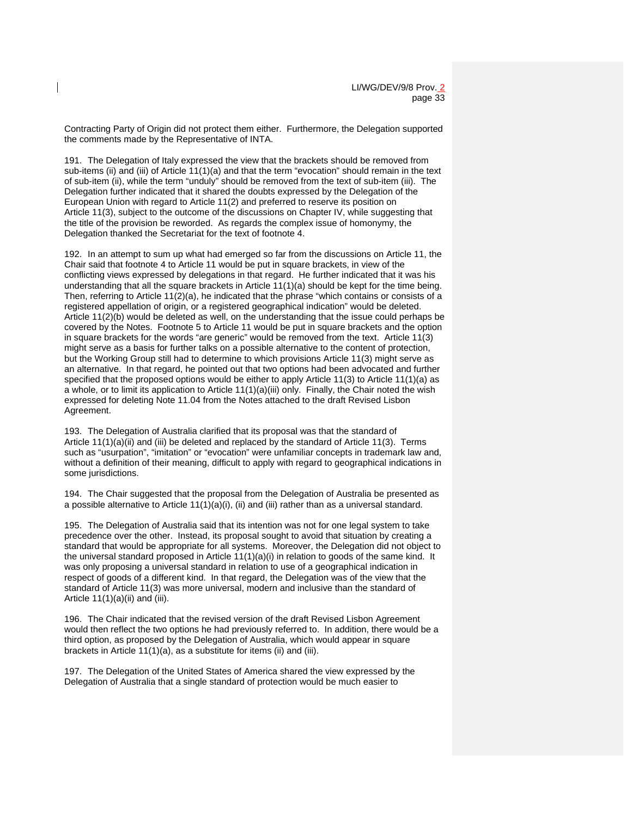Contracting Party of Origin did not protect them either. Furthermore, the Delegation supported the comments made by the Representative of INTA.

191. The Delegation of Italy expressed the view that the brackets should be removed from sub-items (ii) and (iii) of Article 11(1)(a) and that the term "evocation" should remain in the text of sub-item (ii), while the term "unduly" should be removed from the text of sub-item (iii). The Delegation further indicated that it shared the doubts expressed by the Delegation of the European Union with regard to Article 11(2) and preferred to reserve its position on Article 11(3), subject to the outcome of the discussions on Chapter IV, while suggesting that the title of the provision be reworded. As regards the complex issue of homonymy, the Delegation thanked the Secretariat for the text of footnote 4.

192. In an attempt to sum up what had emerged so far from the discussions on Article 11, the Chair said that footnote 4 to Article 11 would be put in square brackets, in view of the conflicting views expressed by delegations in that regard. He further indicated that it was his understanding that all the square brackets in Article 11(1)(a) should be kept for the time being. Then, referring to Article 11(2)(a), he indicated that the phrase "which contains or consists of a registered appellation of origin, or a registered geographical indication" would be deleted. Article 11(2)(b) would be deleted as well, on the understanding that the issue could perhaps be covered by the Notes. Footnote 5 to Article 11 would be put in square brackets and the option in square brackets for the words "are generic" would be removed from the text. Article 11(3) might serve as a basis for further talks on a possible alternative to the content of protection, but the Working Group still had to determine to which provisions Article 11(3) might serve as an alternative. In that regard, he pointed out that two options had been advocated and further specified that the proposed options would be either to apply Article 11(3) to Article 11(1)(a) as a whole, or to limit its application to Article 11(1)(a)(iii) only. Finally, the Chair noted the wish expressed for deleting Note 11.04 from the Notes attached to the draft Revised Lisbon Agreement.

193. The Delegation of Australia clarified that its proposal was that the standard of Article  $11(1)(a)(ii)$  and (iii) be deleted and replaced by the standard of Article 11(3). Terms such as "usurpation", "imitation" or "evocation" were unfamiliar concepts in trademark law and, without a definition of their meaning, difficult to apply with regard to geographical indications in some jurisdictions.

194. The Chair suggested that the proposal from the Delegation of Australia be presented as a possible alternative to Article  $11(1)(a)(i)$ , (ii) and (iii) rather than as a universal standard.

195. The Delegation of Australia said that its intention was not for one legal system to take precedence over the other. Instead, its proposal sought to avoid that situation by creating a standard that would be appropriate for all systems. Moreover, the Delegation did not object to the universal standard proposed in Article 11(1)(a)(i) in relation to goods of the same kind. It was only proposing a universal standard in relation to use of a geographical indication in respect of goods of a different kind. In that regard, the Delegation was of the view that the standard of Article 11(3) was more universal, modern and inclusive than the standard of Article  $11(1)(a)(ii)$  and (iii).

196. The Chair indicated that the revised version of the draft Revised Lisbon Agreement would then reflect the two options he had previously referred to. In addition, there would be a third option, as proposed by the Delegation of Australia, which would appear in square brackets in Article 11(1)(a), as a substitute for items (ii) and (iii).

197. The Delegation of the United States of America shared the view expressed by the Delegation of Australia that a single standard of protection would be much easier to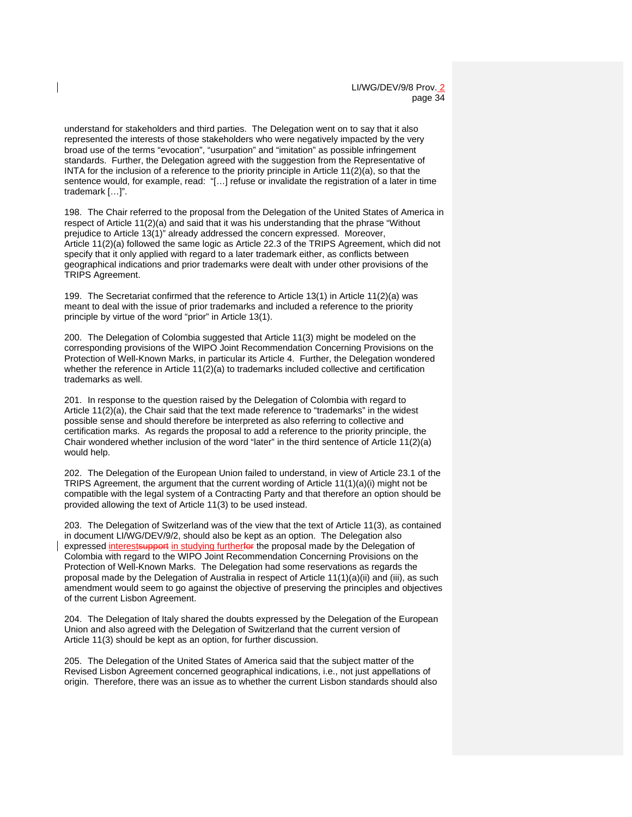understand for stakeholders and third parties. The Delegation went on to say that it also represented the interests of those stakeholders who were negatively impacted by the very broad use of the terms "evocation", "usurpation" and "imitation" as possible infringement standards. Further, the Delegation agreed with the suggestion from the Representative of INTA for the inclusion of a reference to the priority principle in Article  $11(2)(a)$ , so that the sentence would, for example, read: "[…] refuse or invalidate the registration of a later in time trademark […]".

198. The Chair referred to the proposal from the Delegation of the United States of America in respect of Article 11(2)(a) and said that it was his understanding that the phrase "Without prejudice to Article 13(1)" already addressed the concern expressed. Moreover, Article 11(2)(a) followed the same logic as Article 22.3 of the TRIPS Agreement, which did not specify that it only applied with regard to a later trademark either, as conflicts between geographical indications and prior trademarks were dealt with under other provisions of the TRIPS Agreement.

199. The Secretariat confirmed that the reference to Article 13(1) in Article 11(2)(a) was meant to deal with the issue of prior trademarks and included a reference to the priority principle by virtue of the word "prior" in Article 13(1).

200. The Delegation of Colombia suggested that Article 11(3) might be modeled on the corresponding provisions of the WIPO Joint Recommendation Concerning Provisions on the Protection of Well-Known Marks, in particular its Article 4. Further, the Delegation wondered whether the reference in Article 11(2)(a) to trademarks included collective and certification trademarks as well.

201. In response to the question raised by the Delegation of Colombia with regard to Article 11(2)(a), the Chair said that the text made reference to "trademarks" in the widest possible sense and should therefore be interpreted as also referring to collective and certification marks. As regards the proposal to add a reference to the priority principle, the Chair wondered whether inclusion of the word "later" in the third sentence of Article 11(2)(a) would help.

202. The Delegation of the European Union failed to understand, in view of Article 23.1 of the TRIPS Agreement, the argument that the current wording of Article  $11(1)(a)(i)$  might not be compatible with the legal system of a Contracting Party and that therefore an option should be provided allowing the text of Article 11(3) to be used instead.

203. The Delegation of Switzerland was of the view that the text of Article 11(3), as contained in document LI/WG/DEV/9/2, should also be kept as an option. The Delegation also expressed interestsupport in studying furtherfor the proposal made by the Delegation of Colombia with regard to the WIPO Joint Recommendation Concerning Provisions on the Protection of Well-Known Marks. The Delegation had some reservations as regards the proposal made by the Delegation of Australia in respect of Article 11(1)(a)(ii) and (iii), as such amendment would seem to go against the objective of preserving the principles and objectives of the current Lisbon Agreement.

204. The Delegation of Italy shared the doubts expressed by the Delegation of the European Union and also agreed with the Delegation of Switzerland that the current version of Article 11(3) should be kept as an option, for further discussion.

205. The Delegation of the United States of America said that the subject matter of the Revised Lisbon Agreement concerned geographical indications, i.e., not just appellations of origin. Therefore, there was an issue as to whether the current Lisbon standards should also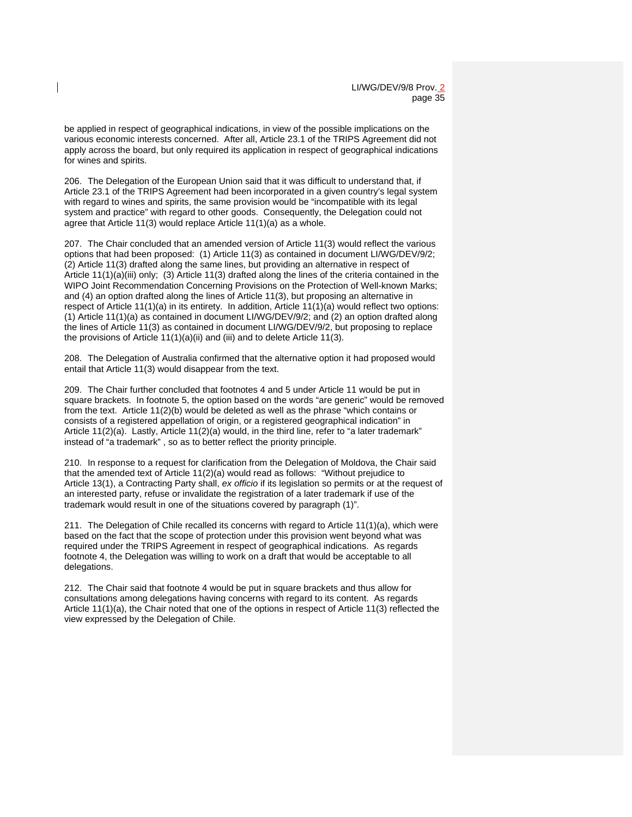be applied in respect of geographical indications, in view of the possible implications on the various economic interests concerned. After all, Article 23.1 of the TRIPS Agreement did not apply across the board, but only required its application in respect of geographical indications for wines and spirits.

206. The Delegation of the European Union said that it was difficult to understand that, if Article 23.1 of the TRIPS Agreement had been incorporated in a given country's legal system with regard to wines and spirits, the same provision would be "incompatible with its legal system and practice" with regard to other goods. Consequently, the Delegation could not agree that Article 11(3) would replace Article 11(1)(a) as a whole.

207. The Chair concluded that an amended version of Article 11(3) would reflect the various options that had been proposed: (1) Article 11(3) as contained in document LI/WG/DEV/9/2; (2) Article 11(3) drafted along the same lines, but providing an alternative in respect of Article 11(1)(a)(iii) only; (3) Article 11(3) drafted along the lines of the criteria contained in the WIPO Joint Recommendation Concerning Provisions on the Protection of Well-known Marks; and (4) an option drafted along the lines of Article 11(3), but proposing an alternative in respect of Article 11(1)(a) in its entirety. In addition, Article 11(1)(a) would reflect two options: (1) Article 11(1)(a) as contained in document LI/WG/DEV/9/2; and (2) an option drafted along the lines of Article 11(3) as contained in document LI/WG/DEV/9/2, but proposing to replace the provisions of Article 11(1)(a)(ii) and (iii) and to delete Article 11(3).

208. The Delegation of Australia confirmed that the alternative option it had proposed would entail that Article 11(3) would disappear from the text.

209. The Chair further concluded that footnotes 4 and 5 under Article 11 would be put in square brackets. In footnote 5, the option based on the words "are generic" would be removed from the text. Article 11(2)(b) would be deleted as well as the phrase "which contains or consists of a registered appellation of origin, or a registered geographical indication" in Article 11(2)(a). Lastly, Article 11(2)(a) would, in the third line, refer to "a later trademark" instead of "a trademark" , so as to better reflect the priority principle.

210. In response to a request for clarification from the Delegation of Moldova, the Chair said that the amended text of Article 11(2)(a) would read as follows: "Without prejudice to Article 13(1), a Contracting Party shall, *ex officio* if its legislation so permits or at the request of an interested party, refuse or invalidate the registration of a later trademark if use of the trademark would result in one of the situations covered by paragraph (1)".

211. The Delegation of Chile recalled its concerns with regard to Article 11(1)(a), which were based on the fact that the scope of protection under this provision went beyond what was required under the TRIPS Agreement in respect of geographical indications. As regards footnote 4, the Delegation was willing to work on a draft that would be acceptable to all delegations.

212. The Chair said that footnote 4 would be put in square brackets and thus allow for consultations among delegations having concerns with regard to its content. As regards Article 11(1)(a), the Chair noted that one of the options in respect of Article 11(3) reflected the view expressed by the Delegation of Chile.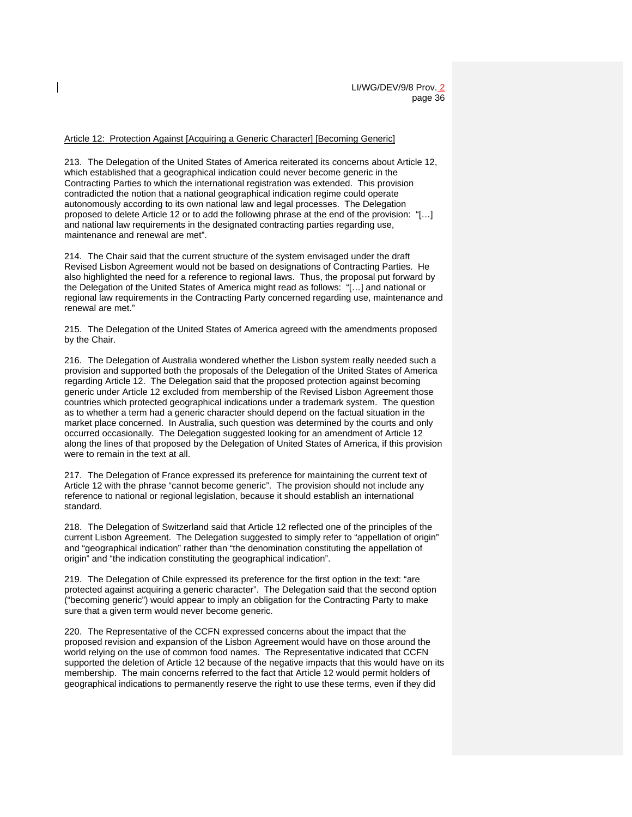Article 12: Protection Against [Acquiring a Generic Character] [Becoming Generic]

213. The Delegation of the United States of America reiterated its concerns about Article 12, which established that a geographical indication could never become generic in the Contracting Parties to which the international registration was extended. This provision contradicted the notion that a national geographical indication regime could operate autonomously according to its own national law and legal processes. The Delegation proposed to delete Article 12 or to add the following phrase at the end of the provision: "[…] and national law requirements in the designated contracting parties regarding use, maintenance and renewal are met".

214. The Chair said that the current structure of the system envisaged under the draft Revised Lisbon Agreement would not be based on designations of Contracting Parties. He also highlighted the need for a reference to regional laws. Thus, the proposal put forward by the Delegation of the United States of America might read as follows: "[…] and national or regional law requirements in the Contracting Party concerned regarding use, maintenance and renewal are met."

215. The Delegation of the United States of America agreed with the amendments proposed by the Chair.

216. The Delegation of Australia wondered whether the Lisbon system really needed such a provision and supported both the proposals of the Delegation of the United States of America regarding Article 12. The Delegation said that the proposed protection against becoming generic under Article 12 excluded from membership of the Revised Lisbon Agreement those countries which protected geographical indications under a trademark system. The question as to whether a term had a generic character should depend on the factual situation in the market place concerned. In Australia, such question was determined by the courts and only occurred occasionally. The Delegation suggested looking for an amendment of Article 12 along the lines of that proposed by the Delegation of United States of America, if this provision were to remain in the text at all.

217. The Delegation of France expressed its preference for maintaining the current text of Article 12 with the phrase "cannot become generic". The provision should not include any reference to national or regional legislation, because it should establish an international standard.

218. The Delegation of Switzerland said that Article 12 reflected one of the principles of the current Lisbon Agreement. The Delegation suggested to simply refer to "appellation of origin" and "geographical indication" rather than "the denomination constituting the appellation of origin" and "the indication constituting the geographical indication".

219. The Delegation of Chile expressed its preference for the first option in the text: "are protected against acquiring a generic character". The Delegation said that the second option ("becoming generic") would appear to imply an obligation for the Contracting Party to make sure that a given term would never become generic.

220. The Representative of the CCFN expressed concerns about the impact that the proposed revision and expansion of the Lisbon Agreement would have on those around the world relying on the use of common food names. The Representative indicated that CCFN supported the deletion of Article 12 because of the negative impacts that this would have on its membership. The main concerns referred to the fact that Article 12 would permit holders of geographical indications to permanently reserve the right to use these terms, even if they did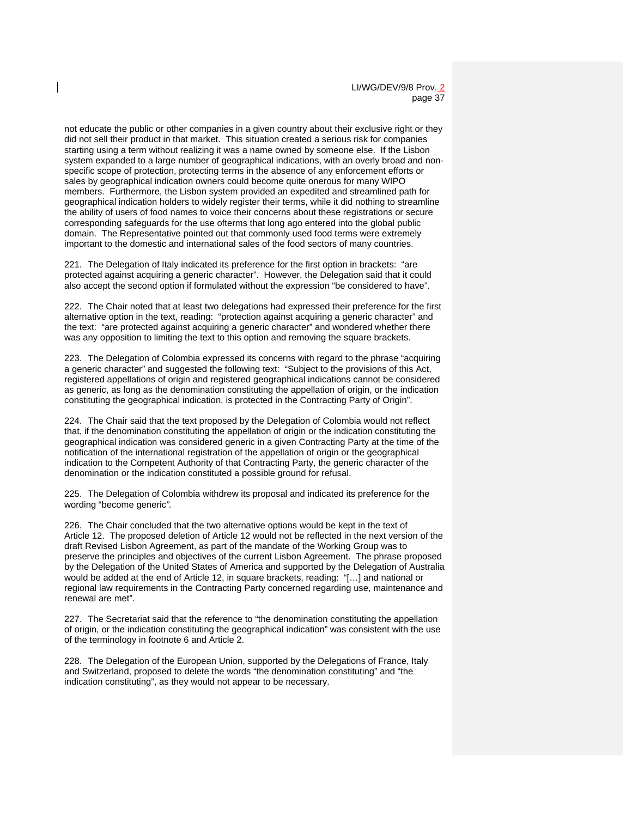LI/WG/DEV/9/8 Prov. 2 page 37

not educate the public or other companies in a given country about their exclusive right or they did not sell their product in that market. This situation created a serious risk for companies starting using a term without realizing it was a name owned by someone else. If the Lisbon system expanded to a large number of geographical indications, with an overly broad and nonspecific scope of protection, protecting terms in the absence of any enforcement efforts or sales by geographical indication owners could become quite onerous for many WIPO members. Furthermore, the Lisbon system provided an expedited and streamlined path for geographical indication holders to widely register their terms, while it did nothing to streamline the ability of users of food names to voice their concerns about these registrations or secure corresponding safeguards for the use ofterms that long ago entered into the global public domain. The Representative pointed out that commonly used food terms were extremely important to the domestic and international sales of the food sectors of many countries.

221. The Delegation of Italy indicated its preference for the first option in brackets: "are protected against acquiring a generic character". However, the Delegation said that it could also accept the second option if formulated without the expression "be considered to have".

222. The Chair noted that at least two delegations had expressed their preference for the first alternative option in the text, reading: "protection against acquiring a generic character" and the text: "are protected against acquiring a generic character" and wondered whether there was any opposition to limiting the text to this option and removing the square brackets.

223. The Delegation of Colombia expressed its concerns with regard to the phrase "acquiring a generic character" and suggested the following text: "Subject to the provisions of this Act, registered appellations of origin and registered geographical indications cannot be considered as generic, as long as the denomination constituting the appellation of origin, or the indication constituting the geographical indication, is protected in the Contracting Party of Origin".

224. The Chair said that the text proposed by the Delegation of Colombia would not reflect that, if the denomination constituting the appellation of origin or the indication constituting the geographical indication was considered generic in a given Contracting Party at the time of the notification of the international registration of the appellation of origin or the geographical indication to the Competent Authority of that Contracting Party, the generic character of the denomination or the indication constituted a possible ground for refusal.

225. The Delegation of Colombia withdrew its proposal and indicated its preference for the wording "become generic*".* 

226. The Chair concluded that the two alternative options would be kept in the text of Article 12. The proposed deletion of Article 12 would not be reflected in the next version of the draft Revised Lisbon Agreement, as part of the mandate of the Working Group was to preserve the principles and objectives of the current Lisbon Agreement. The phrase proposed by the Delegation of the United States of America and supported by the Delegation of Australia would be added at the end of Article 12, in square brackets, reading: "[…] and national or regional law requirements in the Contracting Party concerned regarding use, maintenance and renewal are met".

227. The Secretariat said that the reference to "the denomination constituting the appellation of origin, or the indication constituting the geographical indication" was consistent with the use of the terminology in footnote 6 and Article 2.

228. The Delegation of the European Union, supported by the Delegations of France, Italy and Switzerland, proposed to delete the words "the denomination constituting" and "the indication constituting", as they would not appear to be necessary.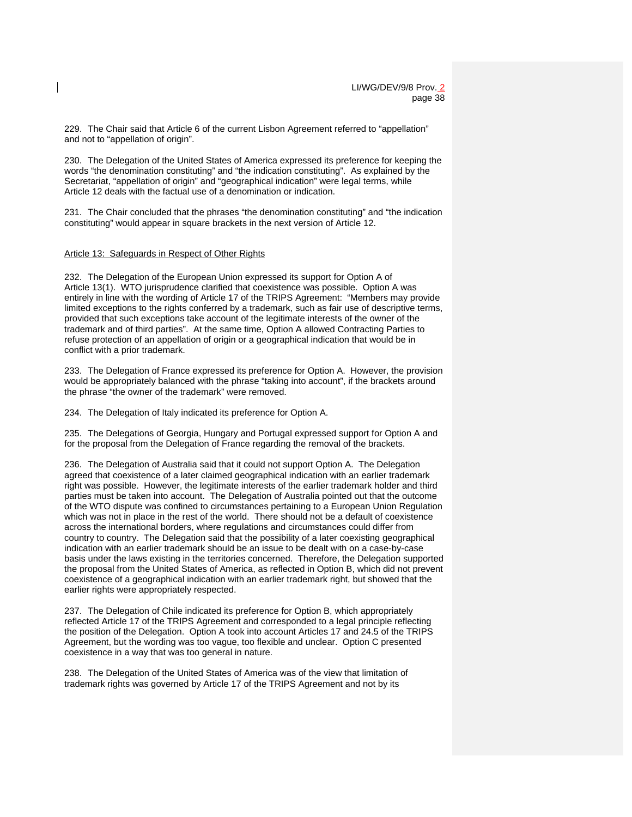229. The Chair said that Article 6 of the current Lisbon Agreement referred to "appellation" and not to "appellation of origin".

230. The Delegation of the United States of America expressed its preference for keeping the words "the denomination constituting" and "the indication constituting". As explained by the Secretariat, "appellation of origin" and "geographical indication" were legal terms, while Article 12 deals with the factual use of a denomination or indication.

231. The Chair concluded that the phrases "the denomination constituting" and "the indication constituting" would appear in square brackets in the next version of Article 12.

#### Article 13: Safeguards in Respect of Other Rights

232. The Delegation of the European Union expressed its support for Option A of Article 13(1). WTO jurisprudence clarified that coexistence was possible. Option A was entirely in line with the wording of Article 17 of the TRIPS Agreement: "Members may provide limited exceptions to the rights conferred by a trademark, such as fair use of descriptive terms, provided that such exceptions take account of the legitimate interests of the owner of the trademark and of third parties". At the same time, Option A allowed Contracting Parties to refuse protection of an appellation of origin or a geographical indication that would be in conflict with a prior trademark.

233. The Delegation of France expressed its preference for Option A. However, the provision would be appropriately balanced with the phrase "taking into account", if the brackets around the phrase "the owner of the trademark" were removed.

234. The Delegation of Italy indicated its preference for Option A.

235. The Delegations of Georgia, Hungary and Portugal expressed support for Option A and for the proposal from the Delegation of France regarding the removal of the brackets.

236. The Delegation of Australia said that it could not support Option A. The Delegation agreed that coexistence of a later claimed geographical indication with an earlier trademark right was possible. However, the legitimate interests of the earlier trademark holder and third parties must be taken into account. The Delegation of Australia pointed out that the outcome of the WTO dispute was confined to circumstances pertaining to a European Union Regulation which was not in place in the rest of the world. There should not be a default of coexistence across the international borders, where regulations and circumstances could differ from country to country. The Delegation said that the possibility of a later coexisting geographical indication with an earlier trademark should be an issue to be dealt with on a case-by-case basis under the laws existing in the territories concerned. Therefore, the Delegation supported the proposal from the United States of America, as reflected in Option B, which did not prevent coexistence of a geographical indication with an earlier trademark right, but showed that the earlier rights were appropriately respected.

237. The Delegation of Chile indicated its preference for Option B, which appropriately reflected Article 17 of the TRIPS Agreement and corresponded to a legal principle reflecting the position of the Delegation. Option A took into account Articles 17 and 24.5 of the TRIPS Agreement, but the wording was too vague, too flexible and unclear. Option C presented coexistence in a way that was too general in nature.

238. The Delegation of the United States of America was of the view that limitation of trademark rights was governed by Article 17 of the TRIPS Agreement and not by its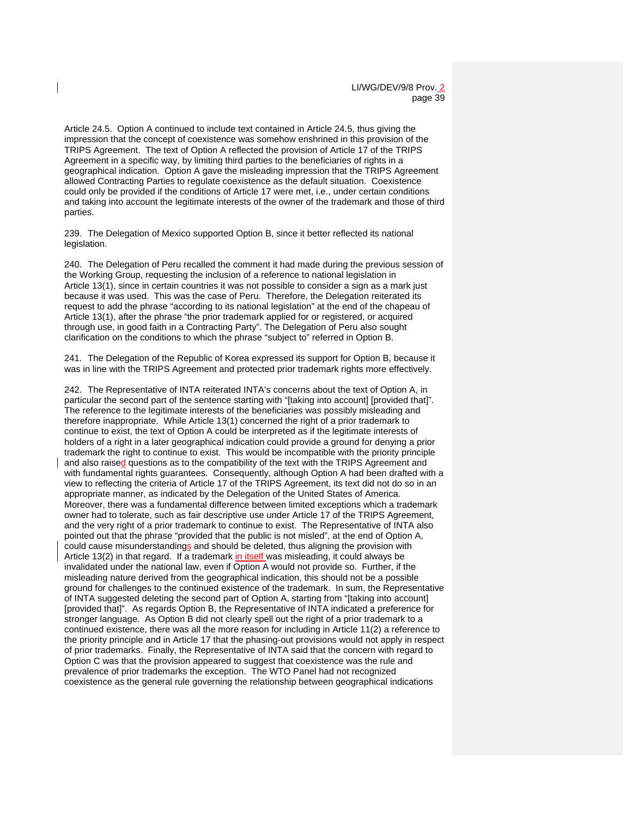Article 24.5. Option A continued to include text contained in Article 24.5, thus giving the impression that the concept of coexistence was somehow enshrined in this provision of the TRIPS Agreement. The text of Option A reflected the provision of Article 17 of the TRIPS Agreement in a specific way, by limiting third parties to the beneficiaries of rights in a geographical indication. Option A gave the misleading impression that the TRIPS Agreement allowed Contracting Parties to regulate coexistence as the default situation. Coexistence could only be provided if the conditions of Article 17 were met, i.e., under certain conditions and taking into account the legitimate interests of the owner of the trademark and those of third parties.

239. The Delegation of Mexico supported Option B, since it better reflected its national legislation.

240. The Delegation of Peru recalled the comment it had made during the previous session of the Working Group, requesting the inclusion of a reference to national legislation in Article 13(1), since in certain countries it was not possible to consider a sign as a mark just because it was used. This was the case of Peru. Therefore, the Delegation reiterated its request to add the phrase "according to its national legislation" at the end of the chapeau of Article 13(1), after the phrase "the prior trademark applied for or registered, or acquired through use, in good faith in a Contracting Party". The Delegation of Peru also sought clarification on the conditions to which the phrase "subject to" referred in Option B.

241. The Delegation of the Republic of Korea expressed its support for Option B, because it was in line with the TRIPS Agreement and protected prior trademark rights more effectively.

242. The Representative of INTA reiterated INTA's concerns about the text of Option A, in particular the second part of the sentence starting with "[taking into account] [provided that]". The reference to the legitimate interests of the beneficiaries was possibly misleading and therefore inappropriate. While Article 13(1) concerned the right of a prior trademark to continue to exist, the text of Option A could be interpreted as if the legitimate interests of holders of a right in a later geographical indication could provide a ground for denying a prior trademark the right to continue to exist. This would be incompatible with the priority principle and also raised questions as to the compatibility of the text with the TRIPS Agreement and with fundamental rights guarantees. Consequently, although Option A had been drafted with a view to reflecting the criteria of Article 17 of the TRIPS Agreement, its text did not do so in an appropriate manner, as indicated by the Delegation of the United States of America. Moreover, there was a fundamental difference between limited exceptions which a trademark owner had to tolerate, such as fair descriptive use under Article 17 of the TRIPS Agreement, and the very right of a prior trademark to continue to exist. The Representative of INTA also pointed out that the phrase "provided that the public is not misled", at the end of Option A, could cause misunderstandings and should be deleted, thus aligning the provision with Article 13(2) in that regard. If a trademark in itself was misleading, it could always be invalidated under the national law, even if Option A would not provide so. Further, if the misleading nature derived from the geographical indication, this should not be a possible ground for challenges to the continued existence of the trademark. In sum, the Representative of INTA suggested deleting the second part of Option A, starting from "[taking into account] [provided that]". As regards Option B, the Representative of INTA indicated a preference for stronger language. As Option B did not clearly spell out the right of a prior trademark to a continued existence, there was all the more reason for including in Article 11(2) a reference to the priority principle and in Article 17 that the phasing-out provisions would not apply in respect of prior trademarks. Finally, the Representative of INTA said that the concern with regard to Option C was that the provision appeared to suggest that coexistence was the rule and prevalence of prior trademarks the exception. The WTO Panel had not recognized coexistence as the general rule governing the relationship between geographical indications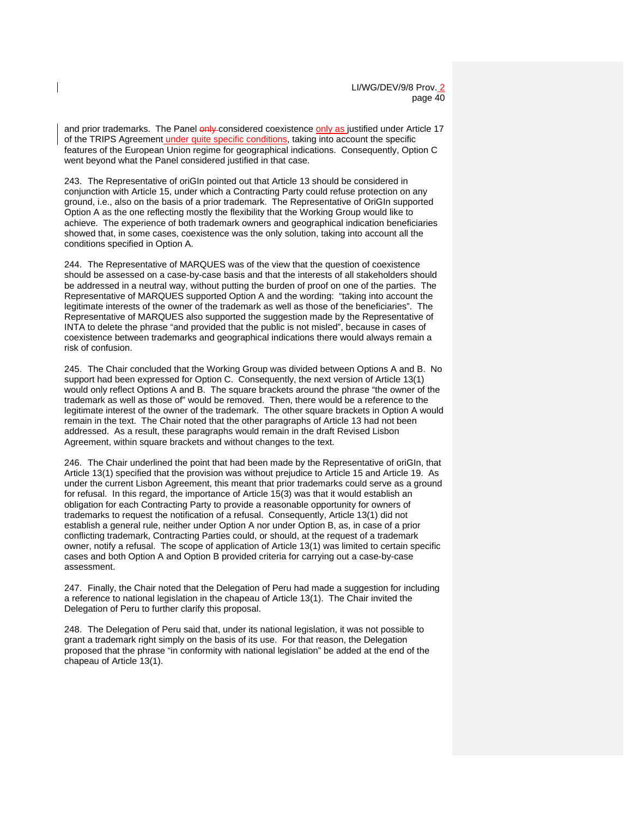and prior trademarks. The Panel only considered coexistence only as justified under Article 17 of the TRIPS Agreement under quite specific conditions, taking into account the specific features of the European Union regime for geographical indications. Consequently, Option C went beyond what the Panel considered justified in that case.

243. The Representative of oriGIn pointed out that Article 13 should be considered in conjunction with Article 15, under which a Contracting Party could refuse protection on any ground, i.e., also on the basis of a prior trademark. The Representative of OriGIn supported Option A as the one reflecting mostly the flexibility that the Working Group would like to achieve. The experience of both trademark owners and geographical indication beneficiaries showed that, in some cases, coexistence was the only solution, taking into account all the conditions specified in Option A.

244. The Representative of MARQUES was of the view that the question of coexistence should be assessed on a case-by-case basis and that the interests of all stakeholders should be addressed in a neutral way, without putting the burden of proof on one of the parties. The Representative of MARQUES supported Option A and the wording: "taking into account the legitimate interests of the owner of the trademark as well as those of the beneficiaries". The Representative of MARQUES also supported the suggestion made by the Representative of INTA to delete the phrase "and provided that the public is not misled", because in cases of coexistence between trademarks and geographical indications there would always remain a risk of confusion.

245. The Chair concluded that the Working Group was divided between Options A and B. No support had been expressed for Option C. Consequently, the next version of Article 13(1) would only reflect Options A and B. The square brackets around the phrase "the owner of the trademark as well as those of" would be removed. Then, there would be a reference to the legitimate interest of the owner of the trademark. The other square brackets in Option A would remain in the text. The Chair noted that the other paragraphs of Article 13 had not been addressed. As a result, these paragraphs would remain in the draft Revised Lisbon Agreement, within square brackets and without changes to the text.

246. The Chair underlined the point that had been made by the Representative of oriGIn, that Article 13(1) specified that the provision was without prejudice to Article 15 and Article 19. As under the current Lisbon Agreement, this meant that prior trademarks could serve as a ground for refusal. In this regard, the importance of Article 15(3) was that it would establish an obligation for each Contracting Party to provide a reasonable opportunity for owners of trademarks to request the notification of a refusal. Consequently, Article 13(1) did not establish a general rule, neither under Option A nor under Option B, as, in case of a prior conflicting trademark, Contracting Parties could, or should, at the request of a trademark owner, notify a refusal. The scope of application of Article 13(1) was limited to certain specific cases and both Option A and Option B provided criteria for carrying out a case-by-case assessment.

247. Finally, the Chair noted that the Delegation of Peru had made a suggestion for including a reference to national legislation in the chapeau of Article 13(1). The Chair invited the Delegation of Peru to further clarify this proposal.

248. The Delegation of Peru said that, under its national legislation, it was not possible to grant a trademark right simply on the basis of its use. For that reason, the Delegation proposed that the phrase "in conformity with national legislation" be added at the end of the chapeau of Article 13(1).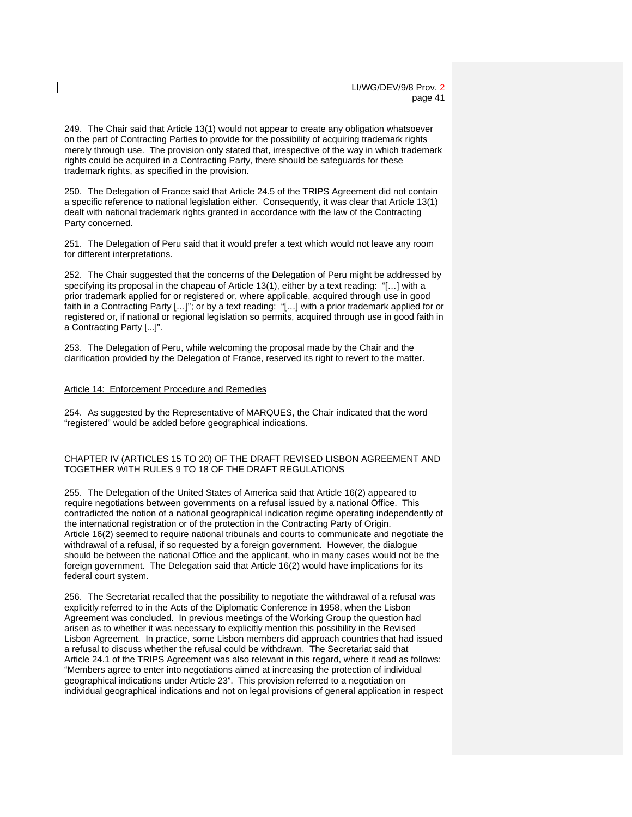249. The Chair said that Article 13(1) would not appear to create any obligation whatsoever on the part of Contracting Parties to provide for the possibility of acquiring trademark rights merely through use. The provision only stated that, irrespective of the way in which trademark rights could be acquired in a Contracting Party, there should be safeguards for these trademark rights, as specified in the provision.

250. The Delegation of France said that Article 24.5 of the TRIPS Agreement did not contain a specific reference to national legislation either. Consequently, it was clear that Article 13(1) dealt with national trademark rights granted in accordance with the law of the Contracting Party concerned.

251. The Delegation of Peru said that it would prefer a text which would not leave any room for different interpretations.

252. The Chair suggested that the concerns of the Delegation of Peru might be addressed by specifying its proposal in the chapeau of Article 13(1), either by a text reading: "[…] with a prior trademark applied for or registered or, where applicable, acquired through use in good faith in a Contracting Party […]"; or by a text reading: "[…] with a prior trademark applied for or registered or, if national or regional legislation so permits, acquired through use in good faith in a Contracting Party [...]".

253. The Delegation of Peru, while welcoming the proposal made by the Chair and the clarification provided by the Delegation of France, reserved its right to revert to the matter.

#### Article 14: Enforcement Procedure and Remedies

254. As suggested by the Representative of MARQUES, the Chair indicated that the word "registered" would be added before geographical indications.

### CHAPTER IV (ARTICLES 15 TO 20) OF THE DRAFT REVISED LISBON AGREEMENT AND TOGETHER WITH RULES 9 TO 18 OF THE DRAFT REGULATIONS

255. The Delegation of the United States of America said that Article 16(2) appeared to require negotiations between governments on a refusal issued by a national Office. This contradicted the notion of a national geographical indication regime operating independently of the international registration or of the protection in the Contracting Party of Origin. Article 16(2) seemed to require national tribunals and courts to communicate and negotiate the withdrawal of a refusal, if so requested by a foreign government. However, the dialogue should be between the national Office and the applicant, who in many cases would not be the foreign government. The Delegation said that Article 16(2) would have implications for its federal court system.

256. The Secretariat recalled that the possibility to negotiate the withdrawal of a refusal was explicitly referred to in the Acts of the Diplomatic Conference in 1958, when the Lisbon Agreement was concluded. In previous meetings of the Working Group the question had arisen as to whether it was necessary to explicitly mention this possibility in the Revised Lisbon Agreement. In practice, some Lisbon members did approach countries that had issued a refusal to discuss whether the refusal could be withdrawn. The Secretariat said that Article 24.1 of the TRIPS Agreement was also relevant in this regard, where it read as follows: "Members agree to enter into negotiations aimed at increasing the protection of individual geographical indications under Article 23". This provision referred to a negotiation on individual geographical indications and not on legal provisions of general application in respect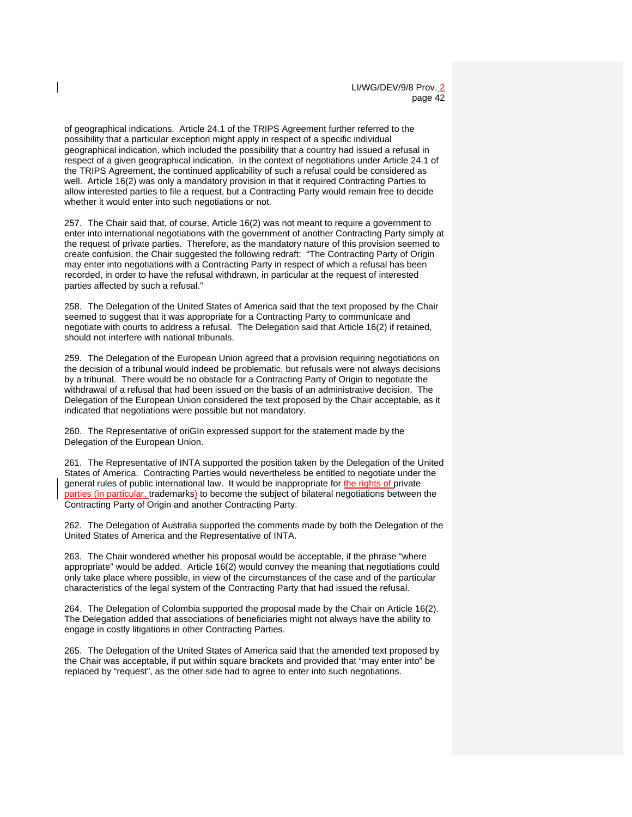of geographical indications. Article 24.1 of the TRIPS Agreement further referred to the possibility that a particular exception might apply in respect of a specific individual geographical indication, which included the possibility that a country had issued a refusal in respect of a given geographical indication. In the context of negotiations under Article 24.1 of the TRIPS Agreement, the continued applicability of such a refusal could be considered as well. Article 16(2) was only a mandatory provision in that it required Contracting Parties to allow interested parties to file a request, but a Contracting Party would remain free to decide whether it would enter into such negotiations or not.

257. The Chair said that, of course, Article 16(2) was not meant to require a government to enter into international negotiations with the government of another Contracting Party simply at the request of private parties. Therefore, as the mandatory nature of this provision seemed to create confusion, the Chair suggested the following redraft: "The Contracting Party of Origin may enter into negotiations with a Contracting Party in respect of which a refusal has been recorded, in order to have the refusal withdrawn, in particular at the request of interested parties affected by such a refusal."

258. The Delegation of the United States of America said that the text proposed by the Chair seemed to suggest that it was appropriate for a Contracting Party to communicate and negotiate with courts to address a refusal. The Delegation said that Article 16(2) if retained, should not interfere with national tribunals.

259. The Delegation of the European Union agreed that a provision requiring negotiations on the decision of a tribunal would indeed be problematic, but refusals were not always decisions by a tribunal. There would be no obstacle for a Contracting Party of Origin to negotiate the withdrawal of a refusal that had been issued on the basis of an administrative decision. The Delegation of the European Union considered the text proposed by the Chair acceptable, as it indicated that negotiations were possible but not mandatory.

260. The Representative of oriGIn expressed support for the statement made by the Delegation of the European Union.

261. The Representative of INTA supported the position taken by the Delegation of the United States of America. Contracting Parties would nevertheless be entitled to negotiate under the general rules of public international law. It would be inappropriate for the rights of private parties (in particular, trademarks) to become the subject of bilateral negotiations between the Contracting Party of Origin and another Contracting Party.

262. The Delegation of Australia supported the comments made by both the Delegation of the United States of America and the Representative of INTA.

263. The Chair wondered whether his proposal would be acceptable, if the phrase "where appropriate" would be added. Article 16(2) would convey the meaning that negotiations could only take place where possible, in view of the circumstances of the case and of the particular characteristics of the legal system of the Contracting Party that had issued the refusal.

264. The Delegation of Colombia supported the proposal made by the Chair on Article 16(2). The Delegation added that associations of beneficiaries might not always have the ability to engage in costly litigations in other Contracting Parties.

265. The Delegation of the United States of America said that the amended text proposed by the Chair was acceptable, if put within square brackets and provided that "may enter into" be replaced by "request", as the other side had to agree to enter into such negotiations.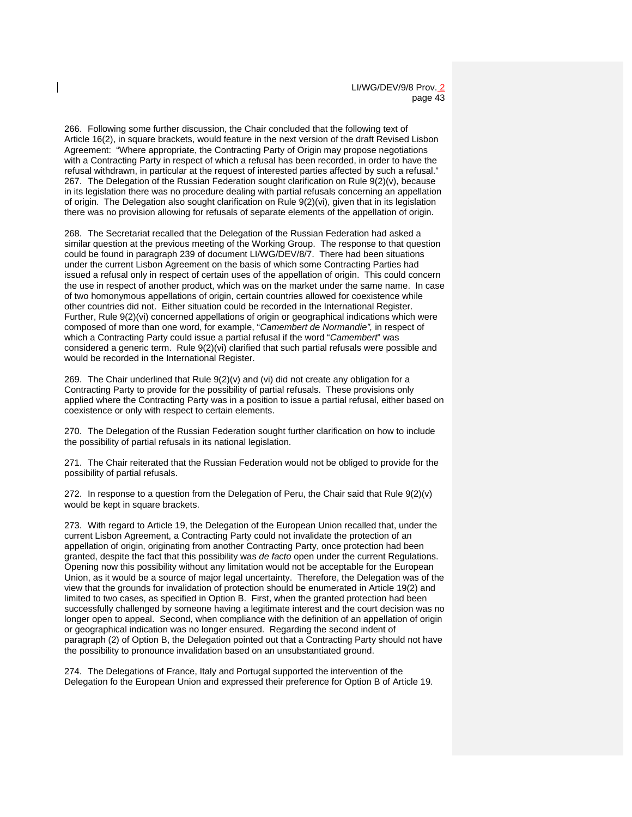266. Following some further discussion, the Chair concluded that the following text of Article 16(2), in square brackets, would feature in the next version of the draft Revised Lisbon Agreement: "Where appropriate, the Contracting Party of Origin may propose negotiations with a Contracting Party in respect of which a refusal has been recorded, in order to have the refusal withdrawn, in particular at the request of interested parties affected by such a refusal." 267. The Delegation of the Russian Federation sought clarification on Rule 9(2)(v), because in its legislation there was no procedure dealing with partial refusals concerning an appellation of origin. The Delegation also sought clarification on Rule 9(2)(vi), given that in its legislation there was no provision allowing for refusals of separate elements of the appellation of origin.

268. The Secretariat recalled that the Delegation of the Russian Federation had asked a similar question at the previous meeting of the Working Group. The response to that question could be found in paragraph 239 of document LI/WG/DEV/8/7. There had been situations under the current Lisbon Agreement on the basis of which some Contracting Parties had issued a refusal only in respect of certain uses of the appellation of origin. This could concern the use in respect of another product, which was on the market under the same name. In case of two homonymous appellations of origin, certain countries allowed for coexistence while other countries did not. Either situation could be recorded in the International Register. Further, Rule 9(2)(vi) concerned appellations of origin or geographical indications which were composed of more than one word, for example, "*Camembert de Normandie",* in respect of which a Contracting Party could issue a partial refusal if the word "*Camembert*" was considered a generic term. Rule 9(2)(vi) clarified that such partial refusals were possible and would be recorded in the International Register.

269. The Chair underlined that Rule 9(2)(v) and (vi) did not create any obligation for a Contracting Party to provide for the possibility of partial refusals. These provisions only applied where the Contracting Party was in a position to issue a partial refusal, either based on coexistence or only with respect to certain elements.

270. The Delegation of the Russian Federation sought further clarification on how to include the possibility of partial refusals in its national legislation.

271. The Chair reiterated that the Russian Federation would not be obliged to provide for the possibility of partial refusals.

272. In response to a question from the Delegation of Peru, the Chair said that Rule  $9(2)(v)$ would be kept in square brackets.

273. With regard to Article 19, the Delegation of the European Union recalled that, under the current Lisbon Agreement, a Contracting Party could not invalidate the protection of an appellation of origin, originating from another Contracting Party, once protection had been granted, despite the fact that this possibility was *de facto* open under the current Regulations. Opening now this possibility without any limitation would not be acceptable for the European Union, as it would be a source of major legal uncertainty. Therefore, the Delegation was of the view that the grounds for invalidation of protection should be enumerated in Article 19(2) and limited to two cases, as specified in Option B. First, when the granted protection had been successfully challenged by someone having a legitimate interest and the court decision was no longer open to appeal. Second, when compliance with the definition of an appellation of origin or geographical indication was no longer ensured. Regarding the second indent of paragraph (2) of Option B, the Delegation pointed out that a Contracting Party should not have the possibility to pronounce invalidation based on an unsubstantiated ground.

274. The Delegations of France, Italy and Portugal supported the intervention of the Delegation fo the European Union and expressed their preference for Option B of Article 19.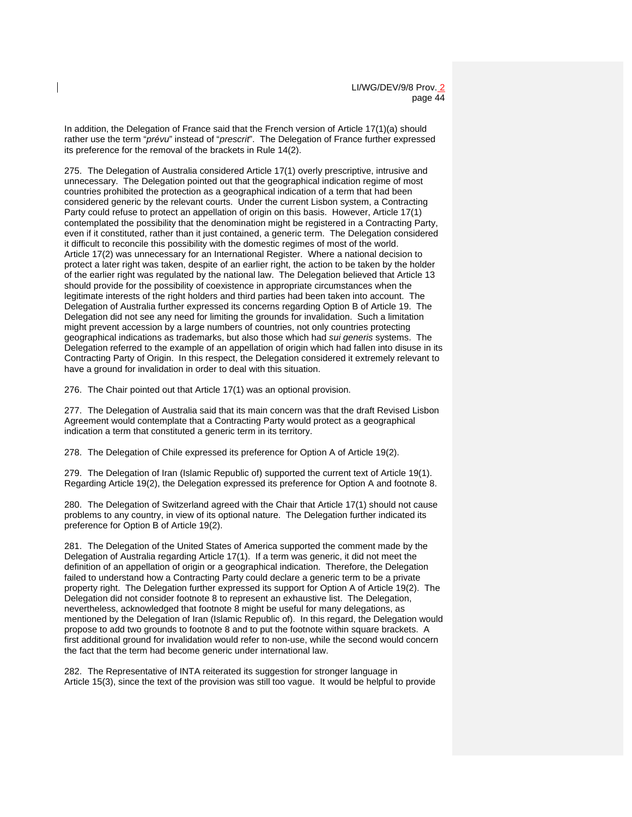In addition, the Delegation of France said that the French version of Article 17(1)(a) should rather use the term "*prévu*" instead of "*prescrit*". The Delegation of France further expressed its preference for the removal of the brackets in Rule 14(2).

275. The Delegation of Australia considered Article 17(1) overly prescriptive, intrusive and unnecessary. The Delegation pointed out that the geographical indication regime of most countries prohibited the protection as a geographical indication of a term that had been considered generic by the relevant courts. Under the current Lisbon system, a Contracting Party could refuse to protect an appellation of origin on this basis. However, Article 17(1) contemplated the possibility that the denomination might be registered in a Contracting Party, even if it constituted, rather than it just contained, a generic term. The Delegation considered it difficult to reconcile this possibility with the domestic regimes of most of the world. Article 17(2) was unnecessary for an International Register. Where a national decision to protect a later right was taken, despite of an earlier right, the action to be taken by the holder of the earlier right was regulated by the national law. The Delegation believed that Article 13 should provide for the possibility of coexistence in appropriate circumstances when the legitimate interests of the right holders and third parties had been taken into account. The Delegation of Australia further expressed its concerns regarding Option B of Article 19. The Delegation did not see any need for limiting the grounds for invalidation. Such a limitation might prevent accession by a large numbers of countries, not only countries protecting geographical indications as trademarks, but also those which had *sui generis* systems. The Delegation referred to the example of an appellation of origin which had fallen into disuse in its Contracting Party of Origin. In this respect, the Delegation considered it extremely relevant to have a ground for invalidation in order to deal with this situation.

276. The Chair pointed out that Article 17(1) was an optional provision.

277. The Delegation of Australia said that its main concern was that the draft Revised Lisbon Agreement would contemplate that a Contracting Party would protect as a geographical indication a term that constituted a generic term in its territory.

278. The Delegation of Chile expressed its preference for Option A of Article 19(2).

279. The Delegation of Iran (Islamic Republic of) supported the current text of Article 19(1). Regarding Article 19(2), the Delegation expressed its preference for Option A and footnote 8.

280. The Delegation of Switzerland agreed with the Chair that Article 17(1) should not cause problems to any country, in view of its optional nature. The Delegation further indicated its preference for Option B of Article 19(2).

281. The Delegation of the United States of America supported the comment made by the Delegation of Australia regarding Article 17(1). If a term was generic, it did not meet the definition of an appellation of origin or a geographical indication. Therefore, the Delegation failed to understand how a Contracting Party could declare a generic term to be a private property right. The Delegation further expressed its support for Option A of Article 19(2). The Delegation did not consider footnote 8 to represent an exhaustive list. The Delegation, nevertheless, acknowledged that footnote 8 might be useful for many delegations, as mentioned by the Delegation of Iran (Islamic Republic of). In this regard, the Delegation would propose to add two grounds to footnote 8 and to put the footnote within square brackets. A first additional ground for invalidation would refer to non-use, while the second would concern the fact that the term had become generic under international law.

282. The Representative of INTA reiterated its suggestion for stronger language in Article 15(3), since the text of the provision was still too vague. It would be helpful to provide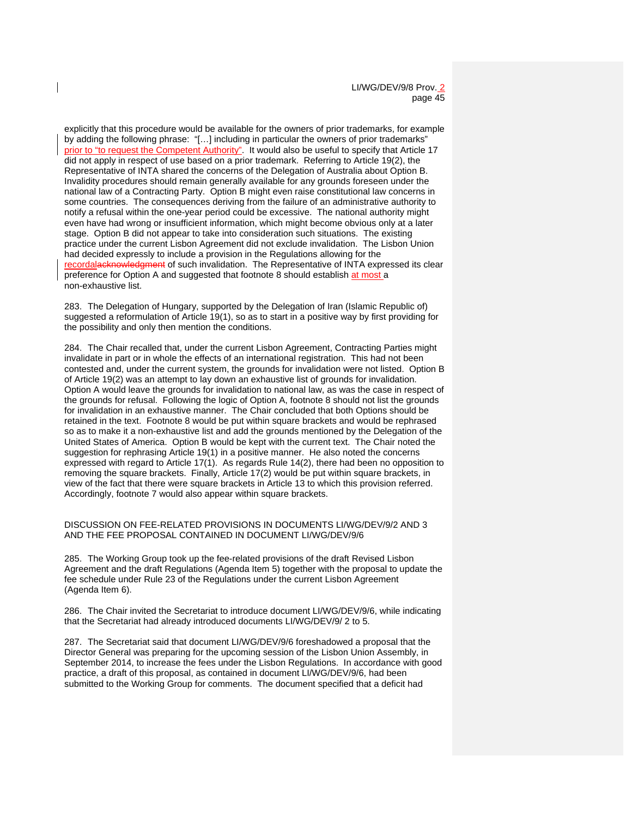explicitly that this procedure would be available for the owners of prior trademarks, for example by adding the following phrase: "[…] including in particular the owners of prior trademarks" prior to "to request the Competent Authority". It would also be useful to specify that Article 17 did not apply in respect of use based on a prior trademark. Referring to Article 19(2), the Representative of INTA shared the concerns of the Delegation of Australia about Option B. Invalidity procedures should remain generally available for any grounds foreseen under the national law of a Contracting Party. Option B might even raise constitutional law concerns in some countries. The consequences deriving from the failure of an administrative authority to notify a refusal within the one-year period could be excessive. The national authority might even have had wrong or insufficient information, which might become obvious only at a later stage. Option B did not appear to take into consideration such situations. The existing practice under the current Lisbon Agreement did not exclude invalidation. The Lisbon Union had decided expressly to include a provision in the Regulations allowing for the recordalacknowledgment of such invalidation. The Representative of INTA expressed its clear preference for Option A and suggested that footnote 8 should establish at most a non-exhaustive list.

283. The Delegation of Hungary, supported by the Delegation of Iran (Islamic Republic of) suggested a reformulation of Article 19(1), so as to start in a positive way by first providing for the possibility and only then mention the conditions.

284. The Chair recalled that, under the current Lisbon Agreement, Contracting Parties might invalidate in part or in whole the effects of an international registration. This had not been contested and, under the current system, the grounds for invalidation were not listed. Option B of Article 19(2) was an attempt to lay down an exhaustive list of grounds for invalidation. Option A would leave the grounds for invalidation to national law, as was the case in respect of the grounds for refusal. Following the logic of Option A, footnote 8 should not list the grounds for invalidation in an exhaustive manner. The Chair concluded that both Options should be retained in the text. Footnote 8 would be put within square brackets and would be rephrased so as to make it a non-exhaustive list and add the grounds mentioned by the Delegation of the United States of America. Option B would be kept with the current text. The Chair noted the suggestion for rephrasing Article 19(1) in a positive manner. He also noted the concerns expressed with regard to Article 17(1). As regards Rule 14(2), there had been no opposition to removing the square brackets. Finally, Article 17(2) would be put within square brackets, in view of the fact that there were square brackets in Article 13 to which this provision referred. Accordingly, footnote 7 would also appear within square brackets.

#### DISCUSSION ON FEE-RELATED PROVISIONS IN DOCUMENTS LI/WG/DEV/9/2 AND 3 AND THE FEE PROPOSAL CONTAINED IN DOCUMENT LI/WG/DEV/9/6

285. The Working Group took up the fee-related provisions of the draft Revised Lisbon Agreement and the draft Regulations (Agenda Item 5) together with the proposal to update the fee schedule under Rule 23 of the Regulations under the current Lisbon Agreement (Agenda Item 6).

286. The Chair invited the Secretariat to introduce document LI/WG/DEV/9/6, while indicating that the Secretariat had already introduced documents LI/WG/DEV/9/ 2 to 5.

287. The Secretariat said that document LI/WG/DEV/9/6 foreshadowed a proposal that the Director General was preparing for the upcoming session of the Lisbon Union Assembly, in September 2014, to increase the fees under the Lisbon Regulations. In accordance with good practice, a draft of this proposal, as contained in document LI/WG/DEV/9/6, had been submitted to the Working Group for comments. The document specified that a deficit had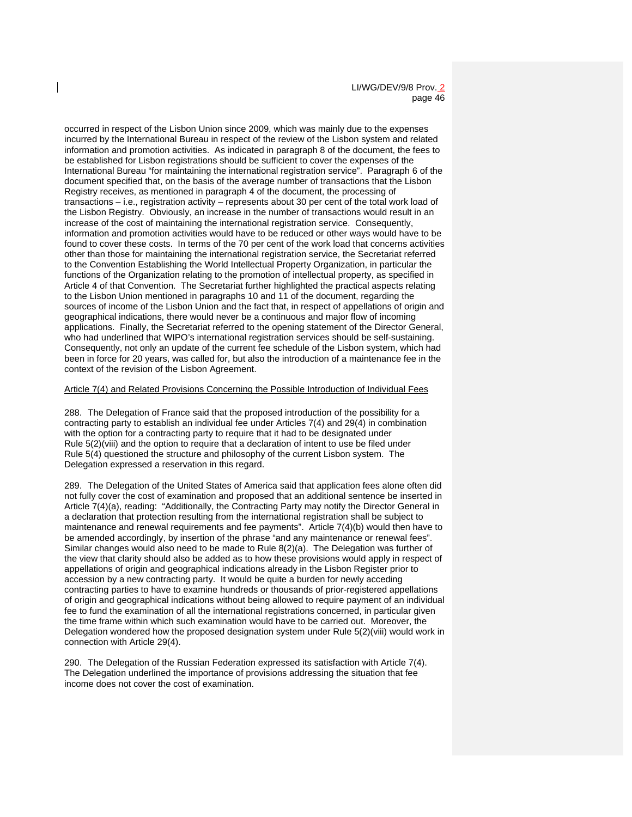occurred in respect of the Lisbon Union since 2009, which was mainly due to the expenses incurred by the International Bureau in respect of the review of the Lisbon system and related information and promotion activities. As indicated in paragraph 8 of the document, the fees to be established for Lisbon registrations should be sufficient to cover the expenses of the International Bureau "for maintaining the international registration service". Paragraph 6 of the document specified that, on the basis of the average number of transactions that the Lisbon Registry receives, as mentioned in paragraph 4 of the document, the processing of transactions – i.e., registration activity – represents about 30 per cent of the total work load of the Lisbon Registry. Obviously, an increase in the number of transactions would result in an increase of the cost of maintaining the international registration service. Consequently, information and promotion activities would have to be reduced or other ways would have to be found to cover these costs. In terms of the 70 per cent of the work load that concerns activities other than those for maintaining the international registration service, the Secretariat referred to the Convention Establishing the World Intellectual Property Organization, in particular the functions of the Organization relating to the promotion of intellectual property, as specified in Article 4 of that Convention. The Secretariat further highlighted the practical aspects relating to the Lisbon Union mentioned in paragraphs 10 and 11 of the document, regarding the sources of income of the Lisbon Union and the fact that, in respect of appellations of origin and geographical indications, there would never be a continuous and major flow of incoming applications. Finally, the Secretariat referred to the opening statement of the Director General, who had underlined that WIPO's international registration services should be self-sustaining. Consequently, not only an update of the current fee schedule of the Lisbon system, which had been in force for 20 years, was called for, but also the introduction of a maintenance fee in the context of the revision of the Lisbon Agreement.

#### Article 7(4) and Related Provisions Concerning the Possible Introduction of Individual Fees

288. The Delegation of France said that the proposed introduction of the possibility for a contracting party to establish an individual fee under Articles 7(4) and 29(4) in combination with the option for a contracting party to require that it had to be designated under Rule 5(2)(viii) and the option to require that a declaration of intent to use be filed under Rule 5(4) questioned the structure and philosophy of the current Lisbon system. The Delegation expressed a reservation in this regard.

289. The Delegation of the United States of America said that application fees alone often did not fully cover the cost of examination and proposed that an additional sentence be inserted in Article 7(4)(a), reading: "Additionally, the Contracting Party may notify the Director General in a declaration that protection resulting from the international registration shall be subject to maintenance and renewal requirements and fee payments". Article 7(4)(b) would then have to be amended accordingly, by insertion of the phrase "and any maintenance or renewal fees". Similar changes would also need to be made to Rule 8(2)(a). The Delegation was further of the view that clarity should also be added as to how these provisions would apply in respect of appellations of origin and geographical indications already in the Lisbon Register prior to accession by a new contracting party. It would be quite a burden for newly acceding contracting parties to have to examine hundreds or thousands of prior-registered appellations of origin and geographical indications without being allowed to require payment of an individual fee to fund the examination of all the international registrations concerned, in particular given the time frame within which such examination would have to be carried out. Moreover, the Delegation wondered how the proposed designation system under Rule 5(2)(viii) would work in connection with Article 29(4).

290. The Delegation of the Russian Federation expressed its satisfaction with Article 7(4). The Delegation underlined the importance of provisions addressing the situation that fee income does not cover the cost of examination.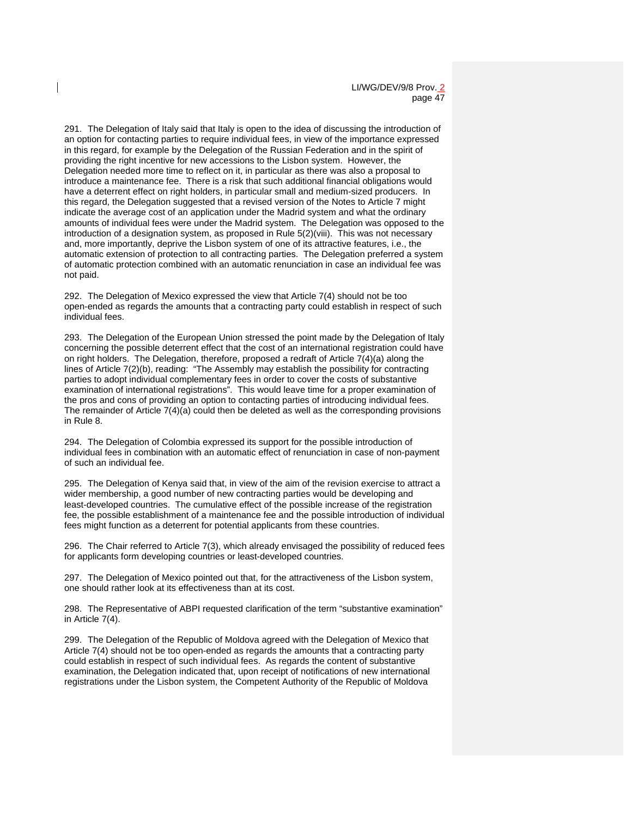291. The Delegation of Italy said that Italy is open to the idea of discussing the introduction of an option for contacting parties to require individual fees, in view of the importance expressed in this regard, for example by the Delegation of the Russian Federation and in the spirit of providing the right incentive for new accessions to the Lisbon system. However, the Delegation needed more time to reflect on it, in particular as there was also a proposal to introduce a maintenance fee. There is a risk that such additional financial obligations would have a deterrent effect on right holders, in particular small and medium-sized producers. In this regard, the Delegation suggested that a revised version of the Notes to Article 7 might indicate the average cost of an application under the Madrid system and what the ordinary amounts of individual fees were under the Madrid system. The Delegation was opposed to the introduction of a designation system, as proposed in Rule 5(2)(viii). This was not necessary and, more importantly, deprive the Lisbon system of one of its attractive features, i.e., the automatic extension of protection to all contracting parties. The Delegation preferred a system of automatic protection combined with an automatic renunciation in case an individual fee was not paid.

292. The Delegation of Mexico expressed the view that Article 7(4) should not be too open-ended as regards the amounts that a contracting party could establish in respect of such individual fees.

293. The Delegation of the European Union stressed the point made by the Delegation of Italy concerning the possible deterrent effect that the cost of an international registration could have on right holders. The Delegation, therefore, proposed a redraft of Article 7(4)(a) along the lines of Article 7(2)(b), reading: "The Assembly may establish the possibility for contracting parties to adopt individual complementary fees in order to cover the costs of substantive examination of international registrations". This would leave time for a proper examination of the pros and cons of providing an option to contacting parties of introducing individual fees. The remainder of Article 7(4)(a) could then be deleted as well as the corresponding provisions in Rule 8.

294. The Delegation of Colombia expressed its support for the possible introduction of individual fees in combination with an automatic effect of renunciation in case of non-payment of such an individual fee.

295. The Delegation of Kenya said that, in view of the aim of the revision exercise to attract a wider membership, a good number of new contracting parties would be developing and least-developed countries. The cumulative effect of the possible increase of the registration fee, the possible establishment of a maintenance fee and the possible introduction of individual fees might function as a deterrent for potential applicants from these countries.

296. The Chair referred to Article 7(3), which already envisaged the possibility of reduced fees for applicants form developing countries or least-developed countries.

297. The Delegation of Mexico pointed out that, for the attractiveness of the Lisbon system, one should rather look at its effectiveness than at its cost.

298. The Representative of ABPI requested clarification of the term "substantive examination" in Article 7(4).

299. The Delegation of the Republic of Moldova agreed with the Delegation of Mexico that Article 7(4) should not be too open-ended as regards the amounts that a contracting party could establish in respect of such individual fees. As regards the content of substantive examination, the Delegation indicated that, upon receipt of notifications of new international registrations under the Lisbon system, the Competent Authority of the Republic of Moldova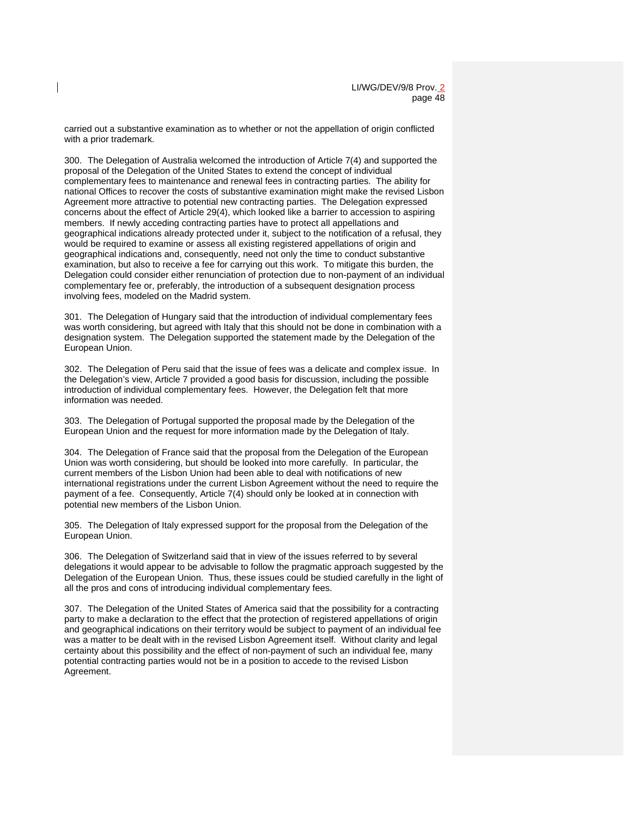carried out a substantive examination as to whether or not the appellation of origin conflicted with a prior trademark.

300. The Delegation of Australia welcomed the introduction of Article 7(4) and supported the proposal of the Delegation of the United States to extend the concept of individual complementary fees to maintenance and renewal fees in contracting parties. The ability for national Offices to recover the costs of substantive examination might make the revised Lisbon Agreement more attractive to potential new contracting parties. The Delegation expressed concerns about the effect of Article 29(4), which looked like a barrier to accession to aspiring members. If newly acceding contracting parties have to protect all appellations and geographical indications already protected under it, subject to the notification of a refusal, they would be required to examine or assess all existing registered appellations of origin and geographical indications and, consequently, need not only the time to conduct substantive examination, but also to receive a fee for carrying out this work. To mitigate this burden, the Delegation could consider either renunciation of protection due to non-payment of an individual complementary fee or, preferably, the introduction of a subsequent designation process involving fees, modeled on the Madrid system.

301. The Delegation of Hungary said that the introduction of individual complementary fees was worth considering, but agreed with Italy that this should not be done in combination with a designation system. The Delegation supported the statement made by the Delegation of the European Union.

302. The Delegation of Peru said that the issue of fees was a delicate and complex issue. In the Delegation's view, Article 7 provided a good basis for discussion, including the possible introduction of individual complementary fees. However, the Delegation felt that more information was needed.

303. The Delegation of Portugal supported the proposal made by the Delegation of the European Union and the request for more information made by the Delegation of Italy.

304. The Delegation of France said that the proposal from the Delegation of the European Union was worth considering, but should be looked into more carefully. In particular, the current members of the Lisbon Union had been able to deal with notifications of new international registrations under the current Lisbon Agreement without the need to require the payment of a fee. Consequently, Article 7(4) should only be looked at in connection with potential new members of the Lisbon Union.

305. The Delegation of Italy expressed support for the proposal from the Delegation of the European Union.

306. The Delegation of Switzerland said that in view of the issues referred to by several delegations it would appear to be advisable to follow the pragmatic approach suggested by the Delegation of the European Union. Thus, these issues could be studied carefully in the light of all the pros and cons of introducing individual complementary fees.

307. The Delegation of the United States of America said that the possibility for a contracting party to make a declaration to the effect that the protection of registered appellations of origin and geographical indications on their territory would be subject to payment of an individual fee was a matter to be dealt with in the revised Lisbon Agreement itself. Without clarity and legal certainty about this possibility and the effect of non-payment of such an individual fee, many potential contracting parties would not be in a position to accede to the revised Lisbon Agreement.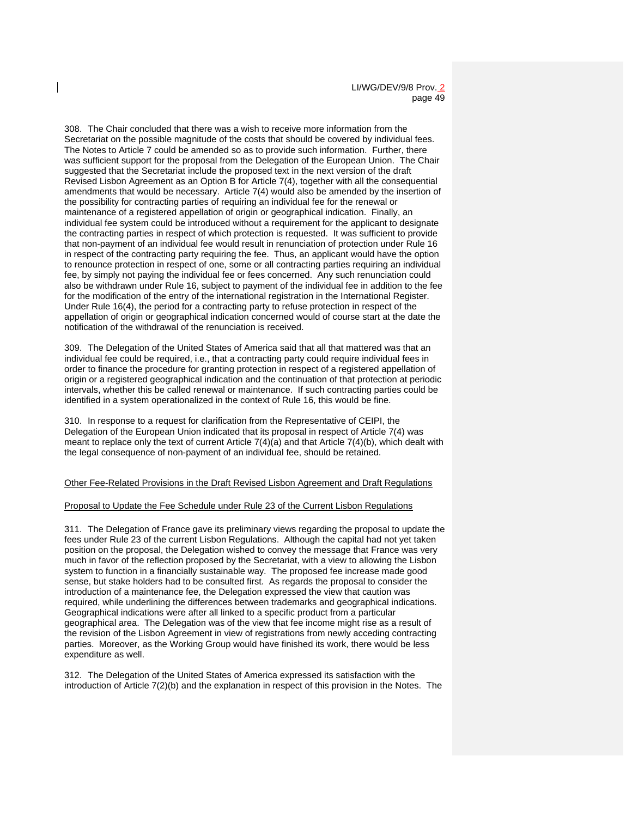308. The Chair concluded that there was a wish to receive more information from the Secretariat on the possible magnitude of the costs that should be covered by individual fees. The Notes to Article 7 could be amended so as to provide such information. Further, there was sufficient support for the proposal from the Delegation of the European Union. The Chair suggested that the Secretariat include the proposed text in the next version of the draft Revised Lisbon Agreement as an Option B for Article 7(4), together with all the consequential amendments that would be necessary. Article 7(4) would also be amended by the insertion of the possibility for contracting parties of requiring an individual fee for the renewal or maintenance of a registered appellation of origin or geographical indication. Finally, an individual fee system could be introduced without a requirement for the applicant to designate the contracting parties in respect of which protection is requested. It was sufficient to provide that non-payment of an individual fee would result in renunciation of protection under Rule 16 in respect of the contracting party requiring the fee. Thus, an applicant would have the option to renounce protection in respect of one, some or all contracting parties requiring an individual fee, by simply not paying the individual fee or fees concerned. Any such renunciation could also be withdrawn under Rule 16, subject to payment of the individual fee in addition to the fee for the modification of the entry of the international registration in the International Register. Under Rule 16(4), the period for a contracting party to refuse protection in respect of the appellation of origin or geographical indication concerned would of course start at the date the notification of the withdrawal of the renunciation is received.

309. The Delegation of the United States of America said that all that mattered was that an individual fee could be required, i.e., that a contracting party could require individual fees in order to finance the procedure for granting protection in respect of a registered appellation of origin or a registered geographical indication and the continuation of that protection at periodic intervals, whether this be called renewal or maintenance. If such contracting parties could be identified in a system operationalized in the context of Rule 16, this would be fine.

310. In response to a request for clarification from the Representative of CEIPI, the Delegation of the European Union indicated that its proposal in respect of Article 7(4) was meant to replace only the text of current Article 7(4)(a) and that Article 7(4)(b), which dealt with the legal consequence of non-payment of an individual fee, should be retained.

#### Other Fee-Related Provisions in the Draft Revised Lisbon Agreement and Draft Regulations

#### Proposal to Update the Fee Schedule under Rule 23 of the Current Lisbon Regulations

311. The Delegation of France gave its preliminary views regarding the proposal to update the fees under Rule 23 of the current Lisbon Regulations. Although the capital had not yet taken position on the proposal, the Delegation wished to convey the message that France was very much in favor of the reflection proposed by the Secretariat, with a view to allowing the Lisbon system to function in a financially sustainable way. The proposed fee increase made good sense, but stake holders had to be consulted first. As regards the proposal to consider the introduction of a maintenance fee, the Delegation expressed the view that caution was required, while underlining the differences between trademarks and geographical indications. Geographical indications were after all linked to a specific product from a particular geographical area. The Delegation was of the view that fee income might rise as a result of the revision of the Lisbon Agreement in view of registrations from newly acceding contracting parties. Moreover, as the Working Group would have finished its work, there would be less expenditure as well.

312. The Delegation of the United States of America expressed its satisfaction with the introduction of Article 7(2)(b) and the explanation in respect of this provision in the Notes. The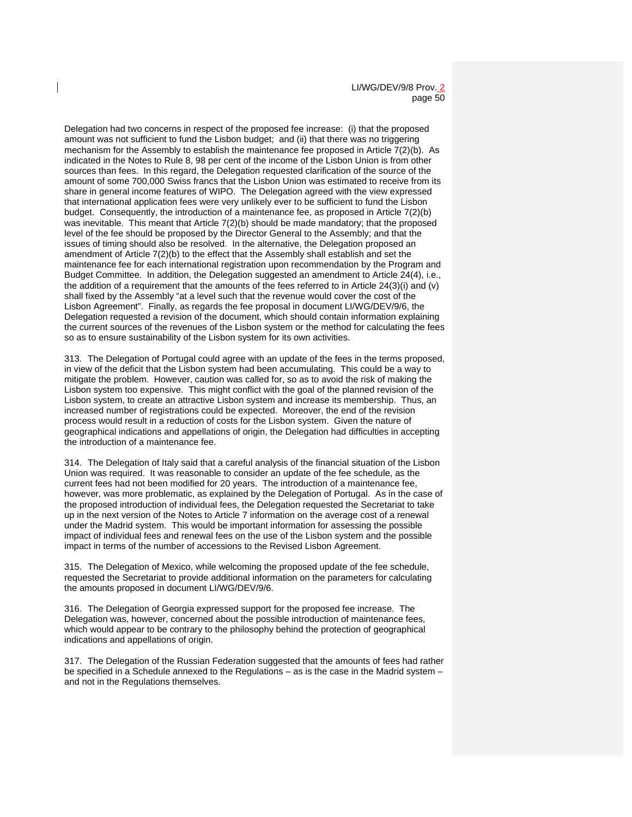Delegation had two concerns in respect of the proposed fee increase: (i) that the proposed amount was not sufficient to fund the Lisbon budget; and (ii) that there was no triggering mechanism for the Assembly to establish the maintenance fee proposed in Article 7(2)(b). As indicated in the Notes to Rule 8, 98 per cent of the income of the Lisbon Union is from other sources than fees. In this regard, the Delegation requested clarification of the source of the amount of some 700,000 Swiss francs that the Lisbon Union was estimated to receive from its share in general income features of WIPO. The Delegation agreed with the view expressed that international application fees were very unlikely ever to be sufficient to fund the Lisbon budget. Consequently, the introduction of a maintenance fee, as proposed in Article 7(2)(b) was inevitable. This meant that Article 7(2)(b) should be made mandatory; that the proposed level of the fee should be proposed by the Director General to the Assembly; and that the issues of timing should also be resolved. In the alternative, the Delegation proposed an amendment of Article 7(2)(b) to the effect that the Assembly shall establish and set the maintenance fee for each international registration upon recommendation by the Program and Budget Committee. In addition, the Delegation suggested an amendment to Article 24(4), i.e., the addition of a requirement that the amounts of the fees referred to in Article 24(3)(i) and (v) shall fixed by the Assembly "at a level such that the revenue would cover the cost of the Lisbon Agreement". Finally, as regards the fee proposal in document LI/WG/DEV/9/6, the Delegation requested a revision of the document, which should contain information explaining the current sources of the revenues of the Lisbon system or the method for calculating the fees so as to ensure sustainability of the Lisbon system for its own activities.

313. The Delegation of Portugal could agree with an update of the fees in the terms proposed, in view of the deficit that the Lisbon system had been accumulating. This could be a way to mitigate the problem. However, caution was called for, so as to avoid the risk of making the Lisbon system too expensive. This might conflict with the goal of the planned revision of the Lisbon system, to create an attractive Lisbon system and increase its membership. Thus, an increased number of registrations could be expected. Moreover, the end of the revision process would result in a reduction of costs for the Lisbon system. Given the nature of geographical indications and appellations of origin, the Delegation had difficulties in accepting the introduction of a maintenance fee.

314. The Delegation of Italy said that a careful analysis of the financial situation of the Lisbon Union was required. It was reasonable to consider an update of the fee schedule, as the current fees had not been modified for 20 years. The introduction of a maintenance fee, however, was more problematic, as explained by the Delegation of Portugal. As in the case of the proposed introduction of individual fees, the Delegation requested the Secretariat to take up in the next version of the Notes to Article 7 information on the average cost of a renewal under the Madrid system. This would be important information for assessing the possible impact of individual fees and renewal fees on the use of the Lisbon system and the possible impact in terms of the number of accessions to the Revised Lisbon Agreement.

315. The Delegation of Mexico, while welcoming the proposed update of the fee schedule, requested the Secretariat to provide additional information on the parameters for calculating the amounts proposed in document LI/WG/DEV/9/6.

316. The Delegation of Georgia expressed support for the proposed fee increase. The Delegation was, however, concerned about the possible introduction of maintenance fees, which would appear to be contrary to the philosophy behind the protection of geographical indications and appellations of origin.

317. The Delegation of the Russian Federation suggested that the amounts of fees had rather be specified in a Schedule annexed to the Regulations – as is the case in the Madrid system – and not in the Regulations themselves.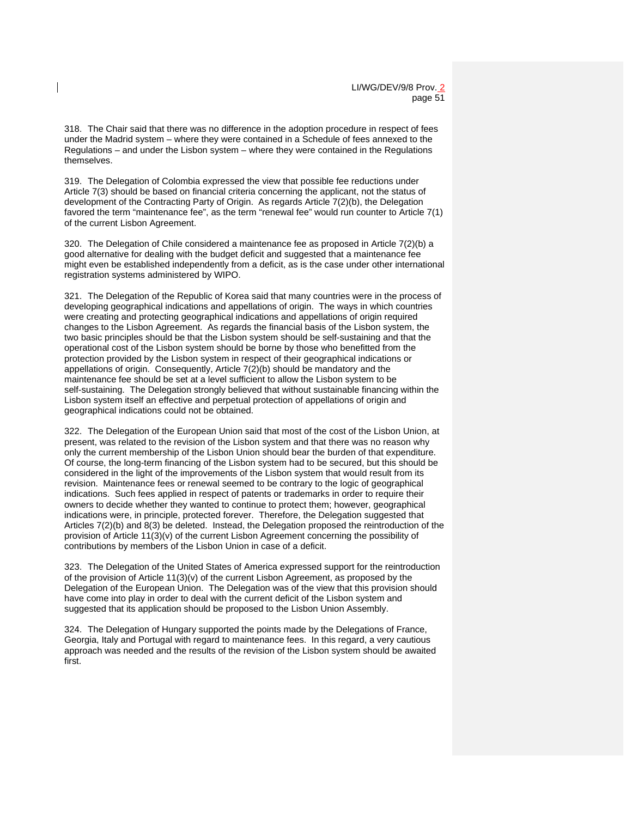318. The Chair said that there was no difference in the adoption procedure in respect of fees under the Madrid system – where they were contained in a Schedule of fees annexed to the Regulations – and under the Lisbon system – where they were contained in the Regulations themselves.

319. The Delegation of Colombia expressed the view that possible fee reductions under Article 7(3) should be based on financial criteria concerning the applicant, not the status of development of the Contracting Party of Origin. As regards Article 7(2)(b), the Delegation favored the term "maintenance fee", as the term "renewal fee" would run counter to Article 7(1) of the current Lisbon Agreement.

320. The Delegation of Chile considered a maintenance fee as proposed in Article 7(2)(b) a good alternative for dealing with the budget deficit and suggested that a maintenance fee might even be established independently from a deficit, as is the case under other international registration systems administered by WIPO.

321. The Delegation of the Republic of Korea said that many countries were in the process of developing geographical indications and appellations of origin. The ways in which countries were creating and protecting geographical indications and appellations of origin required changes to the Lisbon Agreement. As regards the financial basis of the Lisbon system, the two basic principles should be that the Lisbon system should be self-sustaining and that the operational cost of the Lisbon system should be borne by those who benefitted from the protection provided by the Lisbon system in respect of their geographical indications or appellations of origin. Consequently, Article 7(2)(b) should be mandatory and the maintenance fee should be set at a level sufficient to allow the Lisbon system to be self-sustaining. The Delegation strongly believed that without sustainable financing within the Lisbon system itself an effective and perpetual protection of appellations of origin and geographical indications could not be obtained.

322. The Delegation of the European Union said that most of the cost of the Lisbon Union, at present, was related to the revision of the Lisbon system and that there was no reason why only the current membership of the Lisbon Union should bear the burden of that expenditure. Of course, the long-term financing of the Lisbon system had to be secured, but this should be considered in the light of the improvements of the Lisbon system that would result from its revision. Maintenance fees or renewal seemed to be contrary to the logic of geographical indications. Such fees applied in respect of patents or trademarks in order to require their owners to decide whether they wanted to continue to protect them; however, geographical indications were, in principle, protected forever. Therefore, the Delegation suggested that Articles 7(2)(b) and 8(3) be deleted. Instead, the Delegation proposed the reintroduction of the provision of Article 11(3)(v) of the current Lisbon Agreement concerning the possibility of contributions by members of the Lisbon Union in case of a deficit.

323. The Delegation of the United States of America expressed support for the reintroduction of the provision of Article  $11(3)(v)$  of the current Lisbon Agreement, as proposed by the Delegation of the European Union. The Delegation was of the view that this provision should have come into play in order to deal with the current deficit of the Lisbon system and suggested that its application should be proposed to the Lisbon Union Assembly.

324. The Delegation of Hungary supported the points made by the Delegations of France, Georgia, Italy and Portugal with regard to maintenance fees. In this regard, a very cautious approach was needed and the results of the revision of the Lisbon system should be awaited first.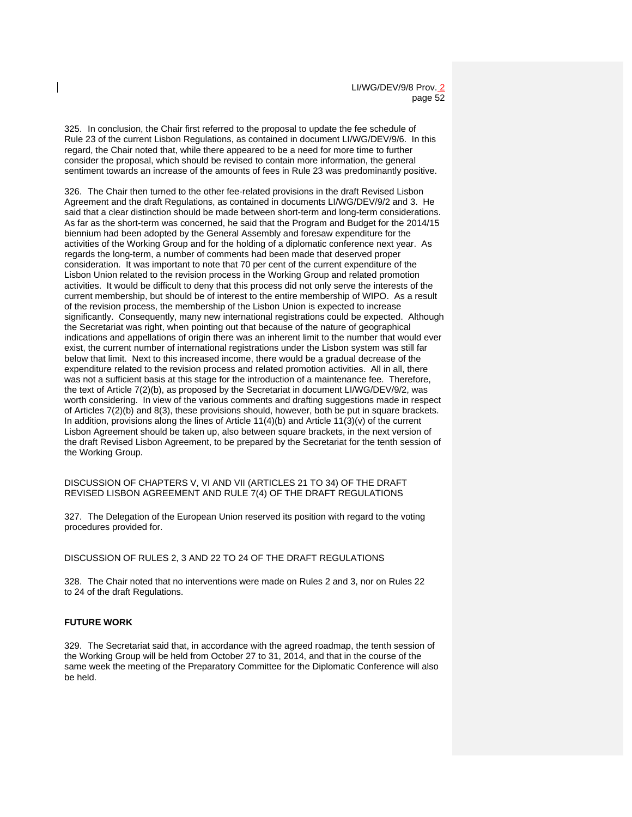325. In conclusion, the Chair first referred to the proposal to update the fee schedule of Rule 23 of the current Lisbon Regulations, as contained in document LI/WG/DEV/9/6. In this regard, the Chair noted that, while there appeared to be a need for more time to further consider the proposal, which should be revised to contain more information, the general sentiment towards an increase of the amounts of fees in Rule 23 was predominantly positive.

326. The Chair then turned to the other fee-related provisions in the draft Revised Lisbon Agreement and the draft Regulations, as contained in documents LI/WG/DEV/9/2 and 3. He said that a clear distinction should be made between short-term and long-term considerations. As far as the short-term was concerned, he said that the Program and Budget for the 2014/15 biennium had been adopted by the General Assembly and foresaw expenditure for the activities of the Working Group and for the holding of a diplomatic conference next year. As regards the long-term, a number of comments had been made that deserved proper consideration. It was important to note that 70 per cent of the current expenditure of the Lisbon Union related to the revision process in the Working Group and related promotion activities. It would be difficult to deny that this process did not only serve the interests of the current membership, but should be of interest to the entire membership of WIPO. As a result of the revision process, the membership of the Lisbon Union is expected to increase significantly. Consequently, many new international registrations could be expected. Although the Secretariat was right, when pointing out that because of the nature of geographical indications and appellations of origin there was an inherent limit to the number that would ever exist, the current number of international registrations under the Lisbon system was still far below that limit. Next to this increased income, there would be a gradual decrease of the expenditure related to the revision process and related promotion activities. All in all, there was not a sufficient basis at this stage for the introduction of a maintenance fee. Therefore, the text of Article 7(2)(b), as proposed by the Secretariat in document LI/WG/DEV/9/2, was worth considering. In view of the various comments and drafting suggestions made in respect of Articles 7(2)(b) and 8(3), these provisions should, however, both be put in square brackets. In addition, provisions along the lines of Article  $11(4)(b)$  and Article  $11(3)(v)$  of the current Lisbon Agreement should be taken up, also between square brackets, in the next version of the draft Revised Lisbon Agreement, to be prepared by the Secretariat for the tenth session of the Working Group.

#### DISCUSSION OF CHAPTERS V, VI AND VII (ARTICLES 21 TO 34) OF THE DRAFT REVISED LISBON AGREEMENT AND RULE 7(4) OF THE DRAFT REGULATIONS

327. The Delegation of the European Union reserved its position with regard to the voting procedures provided for.

#### DISCUSSION OF RULES 2, 3 AND 22 TO 24 OF THE DRAFT REGULATIONS

328. The Chair noted that no interventions were made on Rules 2 and 3, nor on Rules 22 to 24 of the draft Regulations.

#### **FUTURE WORK**

329. The Secretariat said that, in accordance with the agreed roadmap, the tenth session of the Working Group will be held from October 27 to 31, 2014, and that in the course of the same week the meeting of the Preparatory Committee for the Diplomatic Conference will also be held.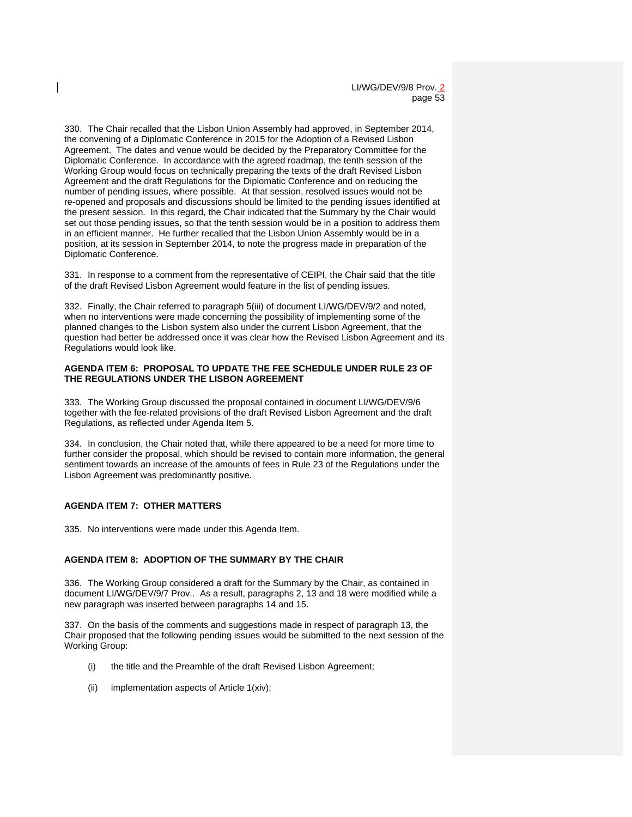330. The Chair recalled that the Lisbon Union Assembly had approved, in September 2014, the convening of a Diplomatic Conference in 2015 for the Adoption of a Revised Lisbon Agreement. The dates and venue would be decided by the Preparatory Committee for the Diplomatic Conference. In accordance with the agreed roadmap, the tenth session of the Working Group would focus on technically preparing the texts of the draft Revised Lisbon Agreement and the draft Regulations for the Diplomatic Conference and on reducing the number of pending issues, where possible. At that session, resolved issues would not be re-opened and proposals and discussions should be limited to the pending issues identified at the present session. In this regard, the Chair indicated that the Summary by the Chair would set out those pending issues, so that the tenth session would be in a position to address them in an efficient manner. He further recalled that the Lisbon Union Assembly would be in a position, at its session in September 2014, to note the progress made in preparation of the Diplomatic Conference.

331. In response to a comment from the representative of CEIPI, the Chair said that the title of the draft Revised Lisbon Agreement would feature in the list of pending issues.

332. Finally, the Chair referred to paragraph 5(iii) of document LI/WG/DEV/9/2 and noted, when no interventions were made concerning the possibility of implementing some of the planned changes to the Lisbon system also under the current Lisbon Agreement, that the question had better be addressed once it was clear how the Revised Lisbon Agreement and its Regulations would look like.

### **AGENDA ITEM 6: PROPOSAL TO UPDATE THE FEE SCHEDULE UNDER RULE 23 OF THE REGULATIONS UNDER THE LISBON AGREEMENT**

333. The Working Group discussed the proposal contained in document LI/WG/DEV/9/6 together with the fee-related provisions of the draft Revised Lisbon Agreement and the draft Regulations, as reflected under Agenda Item 5.

334. In conclusion, the Chair noted that, while there appeared to be a need for more time to further consider the proposal, which should be revised to contain more information, the general sentiment towards an increase of the amounts of fees in Rule 23 of the Regulations under the Lisbon Agreement was predominantly positive.

# **AGENDA ITEM 7: OTHER MATTERS**

335. No interventions were made under this Agenda Item.

### **AGENDA ITEM 8: ADOPTION OF THE SUMMARY BY THE CHAIR**

336. The Working Group considered a draft for the Summary by the Chair, as contained in document LI/WG/DEV/9/7 Prov.. As a result, paragraphs 2, 13 and 18 were modified while a new paragraph was inserted between paragraphs 14 and 15.

337. On the basis of the comments and suggestions made in respect of paragraph 13, the Chair proposed that the following pending issues would be submitted to the next session of the Working Group:

- (i) the title and the Preamble of the draft Revised Lisbon Agreement;
- (ii) implementation aspects of Article 1(xiv);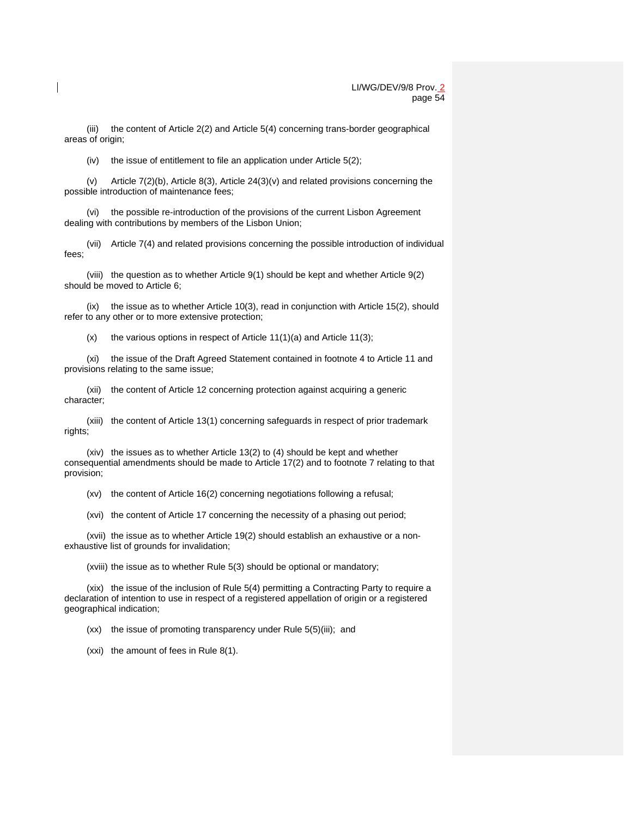(iii) the content of Article 2(2) and Article 5(4) concerning trans-border geographical areas of origin;

(iv) the issue of entitlement to file an application under Article  $5(2)$ ;

(v) Article 7(2)(b), Article 8(3), Article 24(3)(v) and related provisions concerning the possible introduction of maintenance fees;

(vi) the possible re-introduction of the provisions of the current Lisbon Agreement dealing with contributions by members of the Lisbon Union;

(vii) Article 7(4) and related provisions concerning the possible introduction of individual fees;

(viii) the question as to whether Article 9(1) should be kept and whether Article 9(2) should be moved to Article 6;

(ix) the issue as to whether Article 10(3), read in conjunction with Article 15(2), should refer to any other or to more extensive protection;

 $(x)$  the various options in respect of Article 11(1)(a) and Article 11(3);

(xi) the issue of the Draft Agreed Statement contained in footnote 4 to Article 11 and provisions relating to the same issue;

(xii) the content of Article 12 concerning protection against acquiring a generic character;

(xiii) the content of Article 13(1) concerning safeguards in respect of prior trademark rights;

(xiv) the issues as to whether Article 13(2) to (4) should be kept and whether consequential amendments should be made to Article 17(2) and to footnote 7 relating to that provision;

(xv) the content of Article 16(2) concerning negotiations following a refusal;

(xvi) the content of Article 17 concerning the necessity of a phasing out period;

(xvii) the issue as to whether Article 19(2) should establish an exhaustive or a nonexhaustive list of grounds for invalidation;

(xviii) the issue as to whether Rule 5(3) should be optional or mandatory;

(xix) the issue of the inclusion of Rule 5(4) permitting a Contracting Party to require a declaration of intention to use in respect of a registered appellation of origin or a registered geographical indication;

(xx) the issue of promoting transparency under Rule 5(5)(iii); and

(xxi) the amount of fees in Rule 8(1).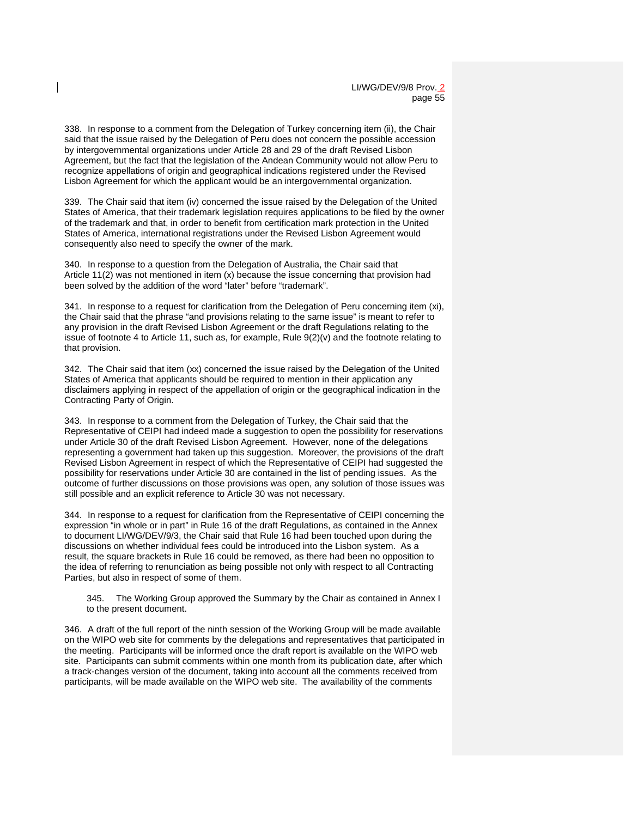338. In response to a comment from the Delegation of Turkey concerning item (ii), the Chair said that the issue raised by the Delegation of Peru does not concern the possible accession by intergovernmental organizations under Article 28 and 29 of the draft Revised Lisbon Agreement, but the fact that the legislation of the Andean Community would not allow Peru to recognize appellations of origin and geographical indications registered under the Revised Lisbon Agreement for which the applicant would be an intergovernmental organization.

339. The Chair said that item (iv) concerned the issue raised by the Delegation of the United States of America, that their trademark legislation requires applications to be filed by the owner of the trademark and that, in order to benefit from certification mark protection in the United States of America, international registrations under the Revised Lisbon Agreement would consequently also need to specify the owner of the mark.

340. In response to a question from the Delegation of Australia, the Chair said that Article 11(2) was not mentioned in item (x) because the issue concerning that provision had been solved by the addition of the word "later" before "trademark".

341. In response to a request for clarification from the Delegation of Peru concerning item (xi), the Chair said that the phrase "and provisions relating to the same issue" is meant to refer to any provision in the draft Revised Lisbon Agreement or the draft Regulations relating to the issue of footnote 4 to Article 11, such as, for example, Rule  $9(2)(v)$  and the footnote relating to that provision.

342. The Chair said that item (xx) concerned the issue raised by the Delegation of the United States of America that applicants should be required to mention in their application any disclaimers applying in respect of the appellation of origin or the geographical indication in the Contracting Party of Origin.

343. In response to a comment from the Delegation of Turkey, the Chair said that the Representative of CEIPI had indeed made a suggestion to open the possibility for reservations under Article 30 of the draft Revised Lisbon Agreement. However, none of the delegations representing a government had taken up this suggestion. Moreover, the provisions of the draft Revised Lisbon Agreement in respect of which the Representative of CEIPI had suggested the possibility for reservations under Article 30 are contained in the list of pending issues. As the outcome of further discussions on those provisions was open, any solution of those issues was still possible and an explicit reference to Article 30 was not necessary.

344. In response to a request for clarification from the Representative of CEIPI concerning the expression "in whole or in part" in Rule 16 of the draft Regulations, as contained in the Annex to document LI/WG/DEV/9/3, the Chair said that Rule 16 had been touched upon during the discussions on whether individual fees could be introduced into the Lisbon system. As a result, the square brackets in Rule 16 could be removed, as there had been no opposition to the idea of referring to renunciation as being possible not only with respect to all Contracting Parties, but also in respect of some of them.

345. The Working Group approved the Summary by the Chair as contained in Annex I to the present document.

346. A draft of the full report of the ninth session of the Working Group will be made available on the WIPO web site for comments by the delegations and representatives that participated in the meeting. Participants will be informed once the draft report is available on the WIPO web site. Participants can submit comments within one month from its publication date, after which a track-changes version of the document, taking into account all the comments received from participants, will be made available on the WIPO web site. The availability of the comments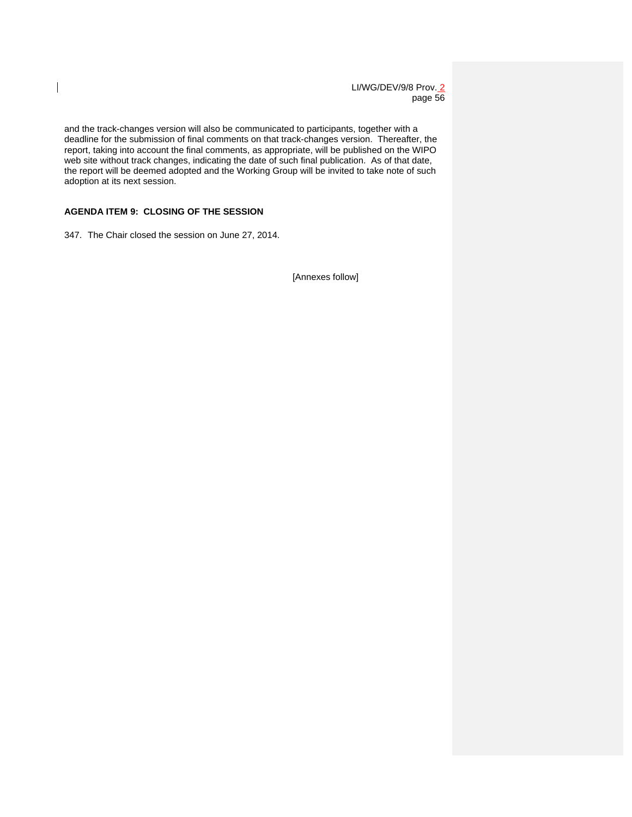LI/WG/DEV/9/8 Prov. 2 page 56

and the track-changes version will also be communicated to participants, together with a deadline for the submission of final comments on that track-changes version. Thereafter, the report, taking into account the final comments, as appropriate, will be published on the WIPO web site without track changes, indicating the date of such final publication. As of that date, the report will be deemed adopted and the Working Group will be invited to take note of such adoption at its next session.

# **AGENDA ITEM 9: CLOSING OF THE SESSION**

 $\overline{\phantom{a}}$ 

347. The Chair closed the session on June 27, 2014.

[Annexes follow]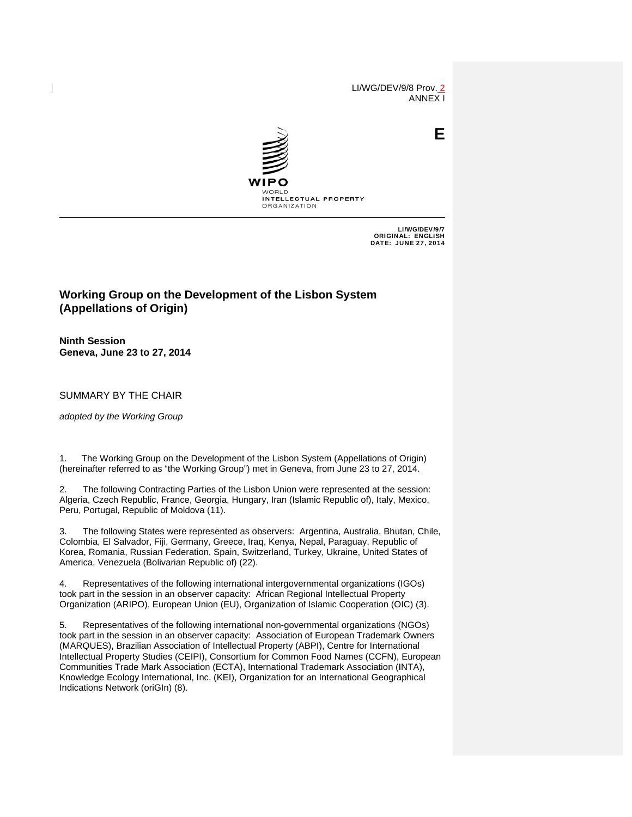LI/WG/DEV/9/8 Prov. 2 ANNEX I

**E**



LI/WG/DEV/9/7 ORIGINAL: ENGLISH DATE: JUNE 27, 2014

# **Working Group on the Development of the Lisbon System (Appellations of Origin)**

**Ninth Session Geneva, June 23 to 27, 2014** 

SUMMARY BY THE CHAIR

*adopted by the Working Group*

1. The Working Group on the Development of the Lisbon System (Appellations of Origin) (hereinafter referred to as "the Working Group") met in Geneva, from June 23 to 27, 2014.

2. The following Contracting Parties of the Lisbon Union were represented at the session: Algeria, Czech Republic, France, Georgia, Hungary, Iran (Islamic Republic of), Italy, Mexico, Peru, Portugal, Republic of Moldova (11).

3. The following States were represented as observers: Argentina, Australia, Bhutan, Chile, Colombia, El Salvador, Fiji, Germany, Greece, Iraq, Kenya, Nepal, Paraguay, Republic of Korea, Romania, Russian Federation, Spain, Switzerland, Turkey, Ukraine, United States of America, Venezuela (Bolivarian Republic of) (22).

4. Representatives of the following international intergovernmental organizations (IGOs) took part in the session in an observer capacity: African Regional Intellectual Property Organization (ARIPO), European Union (EU), Organization of Islamic Cooperation (OIC) (3).

5. Representatives of the following international non-governmental organizations (NGOs) took part in the session in an observer capacity: Association of European Trademark Owners (MARQUES), Brazilian Association of Intellectual Property (ABPI), Centre for International Intellectual Property Studies (CEIPI), Consortium for Common Food Names (CCFN), European Communities Trade Mark Association (ECTA), International Trademark Association (INTA), Knowledge Ecology International, Inc. (KEI), Organization for an International Geographical Indications Network (oriGIn) (8).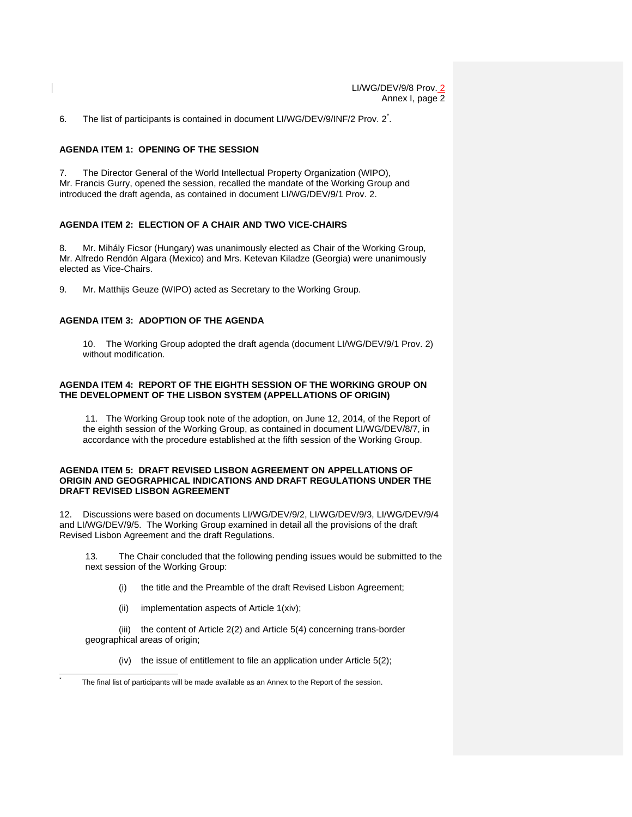6. The list of participants is contained in document LI/WG/DEV/9/INF/2 Prov. 2<sup>\*</sup>.

#### **AGENDA ITEM 1: OPENING OF THE SESSION**

7. The Director General of the World Intellectual Property Organization (WIPO), Mr. Francis Gurry, opened the session, recalled the mandate of the Working Group and introduced the draft agenda, as contained in document LI/WG/DEV/9/1 Prov. 2.

### **AGENDA ITEM 2: ELECTION OF A CHAIR AND TWO VICE-CHAIRS**

8. Mr. Mihály Ficsor (Hungary) was unanimously elected as Chair of the Working Group, Mr. Alfredo Rendón Algara (Mexico) and Mrs. Ketevan Kiladze (Georgia) were unanimously elected as Vice-Chairs.

9. Mr. Matthijs Geuze (WIPO) acted as Secretary to the Working Group.

## **AGENDA ITEM 3: ADOPTION OF THE AGENDA**

10. The Working Group adopted the draft agenda (document LI/WG/DEV/9/1 Prov. 2) without modification.

### **AGENDA ITEM 4: REPORT OF THE EIGHTH SESSION OF THE WORKING GROUP ON THE DEVELOPMENT OF THE LISBON SYSTEM (APPELLATIONS OF ORIGIN)**

11. The Working Group took note of the adoption, on June 12, 2014, of the Report of the eighth session of the Working Group, as contained in document LI/WG/DEV/8/7, in accordance with the procedure established at the fifth session of the Working Group.

### **AGENDA ITEM 5: DRAFT REVISED LISBON AGREEMENT ON APPELLATIONS OF ORIGIN AND GEOGRAPHICAL INDICATIONS AND DRAFT REGULATIONS UNDER THE DRAFT REVISED LISBON AGREEMENT**

12. Discussions were based on documents LI/WG/DEV/9/2, LI/WG/DEV/9/3, LI/WG/DEV/9/4 and LI/WG/DEV/9/5. The Working Group examined in detail all the provisions of the draft Revised Lisbon Agreement and the draft Regulations.

 13. The Chair concluded that the following pending issues would be submitted to the next session of the Working Group:

- (i) the title and the Preamble of the draft Revised Lisbon Agreement;
- (ii) implementation aspects of Article 1(xiv);

 $\overline{a}$ \*

(iii) the content of Article 2(2) and Article 5(4) concerning trans-border geographical areas of origin;

(iv) the issue of entitlement to file an application under Article 5(2);

The final list of participants will be made available as an Annex to the Report of the session.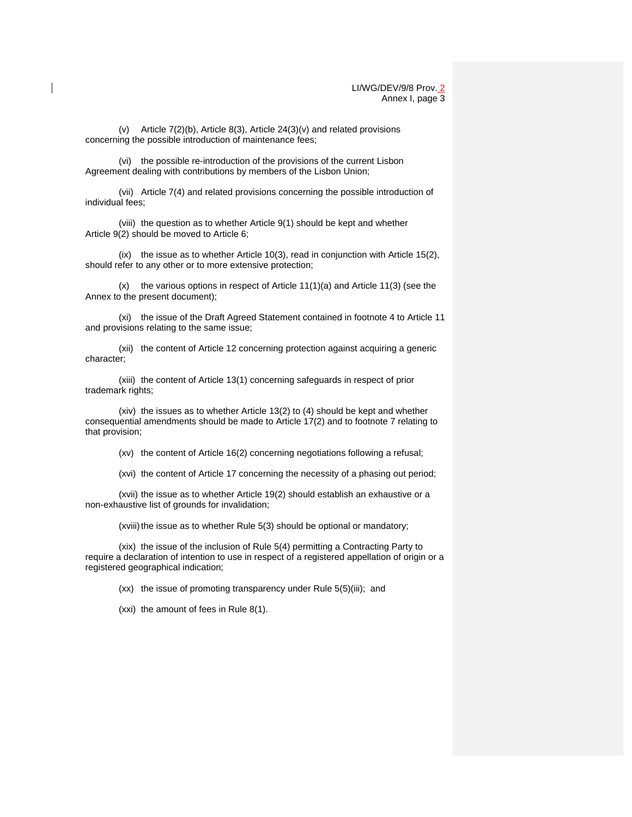(v) Article 7(2)(b), Article 8(3), Article 24(3)(v) and related provisions concerning the possible introduction of maintenance fees;

(vi) the possible re-introduction of the provisions of the current Lisbon Agreement dealing with contributions by members of the Lisbon Union;

(vii) Article 7(4) and related provisions concerning the possible introduction of individual fees;

(viii) the question as to whether Article 9(1) should be kept and whether Article 9(2) should be moved to Article 6;

(ix) the issue as to whether Article 10(3), read in conjunction with Article 15(2), should refer to any other or to more extensive protection;

(x) the various options in respect of Article 11(1)(a) and Article 11(3) (see the Annex to the present document);

(xi) the issue of the Draft Agreed Statement contained in footnote 4 to Article 11 and provisions relating to the same issue;

(xii) the content of Article 12 concerning protection against acquiring a generic character;

(xiii) the content of Article 13(1) concerning safeguards in respect of prior trademark rights;

(xiv) the issues as to whether Article 13(2) to (4) should be kept and whether consequential amendments should be made to Article 17(2) and to footnote 7 relating to that provision;

(xv) the content of Article 16(2) concerning negotiations following a refusal;

(xvi) the content of Article 17 concerning the necessity of a phasing out period;

(xvii) the issue as to whether Article 19(2) should establish an exhaustive or a non-exhaustive list of grounds for invalidation;

(xviii) the issue as to whether Rule 5(3) should be optional or mandatory;

(xix) the issue of the inclusion of Rule 5(4) permitting a Contracting Party to require a declaration of intention to use in respect of a registered appellation of origin or a registered geographical indication;

(xx) the issue of promoting transparency under Rule 5(5)(iii); and

(xxi) the amount of fees in Rule 8(1).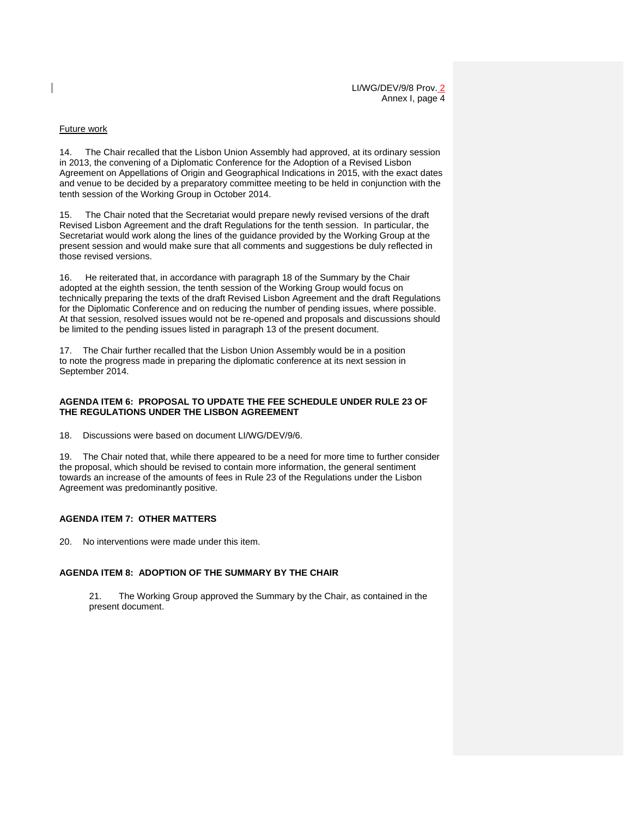#### Future work

14. The Chair recalled that the Lisbon Union Assembly had approved, at its ordinary session in 2013, the convening of a Diplomatic Conference for the Adoption of a Revised Lisbon Agreement on Appellations of Origin and Geographical Indications in 2015, with the exact dates and venue to be decided by a preparatory committee meeting to be held in conjunction with the tenth session of the Working Group in October 2014.

15. The Chair noted that the Secretariat would prepare newly revised versions of the draft Revised Lisbon Agreement and the draft Regulations for the tenth session. In particular, the Secretariat would work along the lines of the guidance provided by the Working Group at the present session and would make sure that all comments and suggestions be duly reflected in those revised versions.

16. He reiterated that, in accordance with paragraph 18 of the Summary by the Chair adopted at the eighth session, the tenth session of the Working Group would focus on technically preparing the texts of the draft Revised Lisbon Agreement and the draft Regulations for the Diplomatic Conference and on reducing the number of pending issues, where possible. At that session, resolved issues would not be re-opened and proposals and discussions should be limited to the pending issues listed in paragraph 13 of the present document.

17. The Chair further recalled that the Lisbon Union Assembly would be in a position to note the progress made in preparing the diplomatic conference at its next session in September 2014.

### **AGENDA ITEM 6: PROPOSAL TO UPDATE THE FEE SCHEDULE UNDER RULE 23 OF THE REGULATIONS UNDER THE LISBON AGREEMENT**

18. Discussions were based on document LI/WG/DEV/9/6.

19. The Chair noted that, while there appeared to be a need for more time to further consider the proposal, which should be revised to contain more information, the general sentiment towards an increase of the amounts of fees in Rule 23 of the Regulations under the Lisbon Agreement was predominantly positive.

### **AGENDA ITEM 7: OTHER MATTERS**

20. No interventions were made under this item.

### **AGENDA ITEM 8: ADOPTION OF THE SUMMARY BY THE CHAIR**

21. The Working Group approved the Summary by the Chair, as contained in the present document.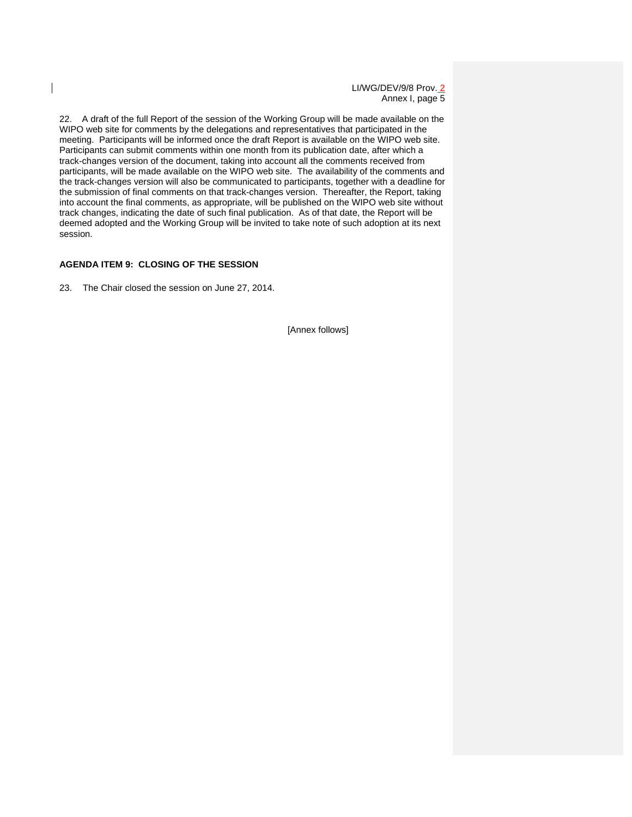LI/WG/DEV/9/8 Prov. 2 Annex I, page 5

22. A draft of the full Report of the session of the Working Group will be made available on the WIPO web site for comments by the delegations and representatives that participated in the meeting. Participants will be informed once the draft Report is available on the WIPO web site. Participants can submit comments within one month from its publication date, after which a track-changes version of the document, taking into account all the comments received from participants, will be made available on the WIPO web site. The availability of the comments and the track-changes version will also be communicated to participants, together with a deadline for the submission of final comments on that track-changes version. Thereafter, the Report, taking into account the final comments, as appropriate, will be published on the WIPO web site without track changes, indicating the date of such final publication. As of that date, the Report will be deemed adopted and the Working Group will be invited to take note of such adoption at its next session.

### **AGENDA ITEM 9: CLOSING OF THE SESSION**

23. The Chair closed the session on June 27, 2014.

[Annex follows]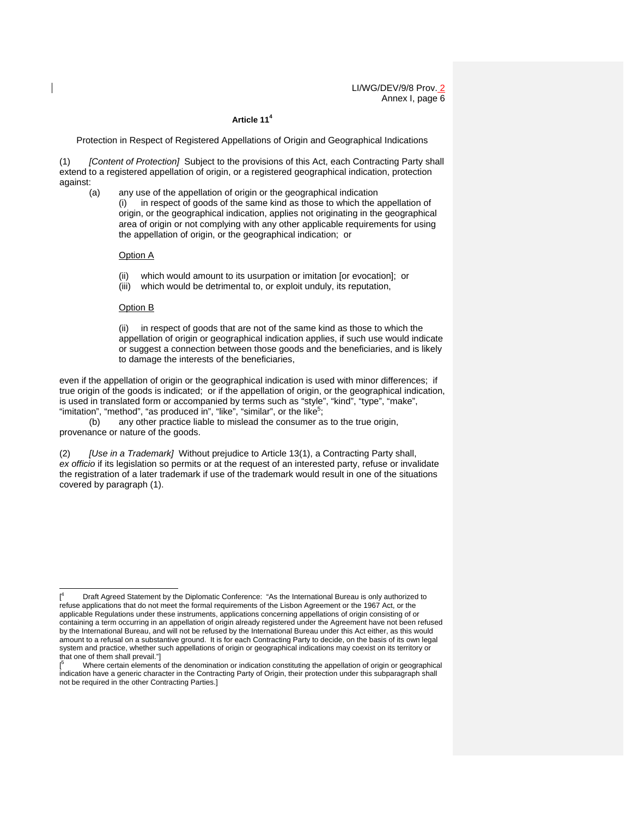# **Article 11<sup>4</sup>**

Protection in Respect of Registered Appellations of Origin and Geographical Indications

(1) *[Content of Protection]* Subject to the provisions of this Act, each Contracting Party shall extend to a registered appellation of origin, or a registered geographical indication, protection against:

(a) any use of the appellation of origin or the geographical indication (i) in respect of goods of the same kind as those to which the appellation of origin, or the geographical indication, applies not originating in the geographical area of origin or not complying with any other applicable requirements for using the appellation of origin, or the geographical indication; or

#### Option A

- (ii) which would amount to its usurpation or imitation [or evocation]; or
- (iii) which would be detrimental to, or exploit unduly, its reputation,

#### Option B

(ii) in respect of goods that are not of the same kind as those to which the appellation of origin or geographical indication applies, if such use would indicate or suggest a connection between those goods and the beneficiaries, and is likely to damage the interests of the beneficiaries,

even if the appellation of origin or the geographical indication is used with minor differences; if true origin of the goods is indicated; or if the appellation of origin, or the geographical indication, is used in translated form or accompanied by terms such as "style", "kind", "type", "make", "imitation", "method", "as produced in", "like", "similar", or the like<sup>5</sup>;

 (b) any other practice liable to mislead the consumer as to the true origin, provenance or nature of the goods.

(2) *[Use in a Trademark]* Without prejudice to Article 13(1), a Contracting Party shall, *ex officio* if its legislation so permits or at the request of an interested party, refuse or invalidate the registration of a later trademark if use of the trademark would result in one of the situations covered by paragraph (1).

<sup>-</sup> $[$ <sup>4</sup> Draft Agreed Statement by the Diplomatic Conference: "As the International Bureau is only authorized to refuse applications that do not meet the formal requirements of the Lisbon Agreement or the 1967 Act, or the applicable Regulations under these instruments, applications concerning appellations of origin consisting of or containing a term occurring in an appellation of origin already registered under the Agreement have not been refused by the International Bureau, and will not be refused by the International Bureau under this Act either, as this would amount to a refusal on a substantive ground. It is for each Contracting Party to decide, on the basis of its own legal system and practice, whether such appellations of origin or geographical indications may coexist on its territory or that one of them shall prevail."]

<sup>5</sup> Where certain elements of the denomination or indication constituting the appellation of origin or geographical indication have a generic character in the Contracting Party of Origin, their protection under this subparagraph shall not be required in the other Contracting Parties.]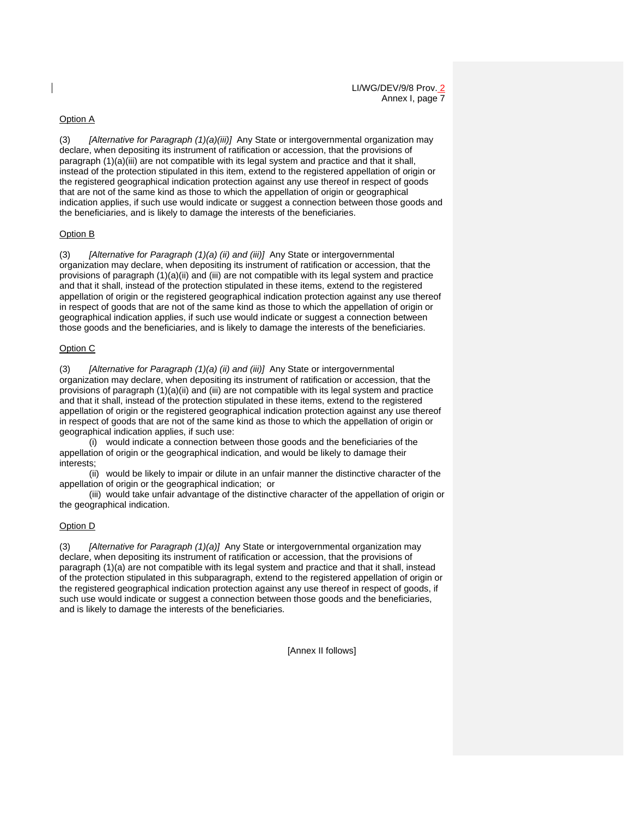### Option A

(3) *[Alternative for Paragraph (1)(a)(iii)]* Any State or intergovernmental organization may declare, when depositing its instrument of ratification or accession, that the provisions of paragraph (1)(a)(iii) are not compatible with its legal system and practice and that it shall, instead of the protection stipulated in this item, extend to the registered appellation of origin or the registered geographical indication protection against any use thereof in respect of goods that are not of the same kind as those to which the appellation of origin or geographical indication applies, if such use would indicate or suggest a connection between those goods and the beneficiaries, and is likely to damage the interests of the beneficiaries.

### Option B

(3) *[Alternative for Paragraph (1)(a) (ii) and (iii)]* Any State or intergovernmental organization may declare, when depositing its instrument of ratification or accession, that the provisions of paragraph (1)(a)(ii) and (iii) are not compatible with its legal system and practice and that it shall, instead of the protection stipulated in these items, extend to the registered appellation of origin or the registered geographical indication protection against any use thereof in respect of goods that are not of the same kind as those to which the appellation of origin or geographical indication applies, if such use would indicate or suggest a connection between those goods and the beneficiaries, and is likely to damage the interests of the beneficiaries.

### Option C

(3) *[Alternative for Paragraph (1)(a) (ii) and (iii)]* Any State or intergovernmental organization may declare, when depositing its instrument of ratification or accession, that the provisions of paragraph (1)(a)(ii) and (iii) are not compatible with its legal system and practice and that it shall, instead of the protection stipulated in these items, extend to the registered appellation of origin or the registered geographical indication protection against any use thereof in respect of goods that are not of the same kind as those to which the appellation of origin or geographical indication applies, if such use:

 (i) would indicate a connection between those goods and the beneficiaries of the appellation of origin or the geographical indication, and would be likely to damage their interests;

 (ii) would be likely to impair or dilute in an unfair manner the distinctive character of the appellation of origin or the geographical indication; or

 (iii) would take unfair advantage of the distinctive character of the appellation of origin or the geographical indication.

### Option D

(3) *[Alternative for Paragraph (1)(a)]* Any State or intergovernmental organization may declare, when depositing its instrument of ratification or accession, that the provisions of paragraph (1)(a) are not compatible with its legal system and practice and that it shall, instead of the protection stipulated in this subparagraph, extend to the registered appellation of origin or the registered geographical indication protection against any use thereof in respect of goods, if such use would indicate or suggest a connection between those goods and the beneficiaries, and is likely to damage the interests of the beneficiaries.

[Annex II follows]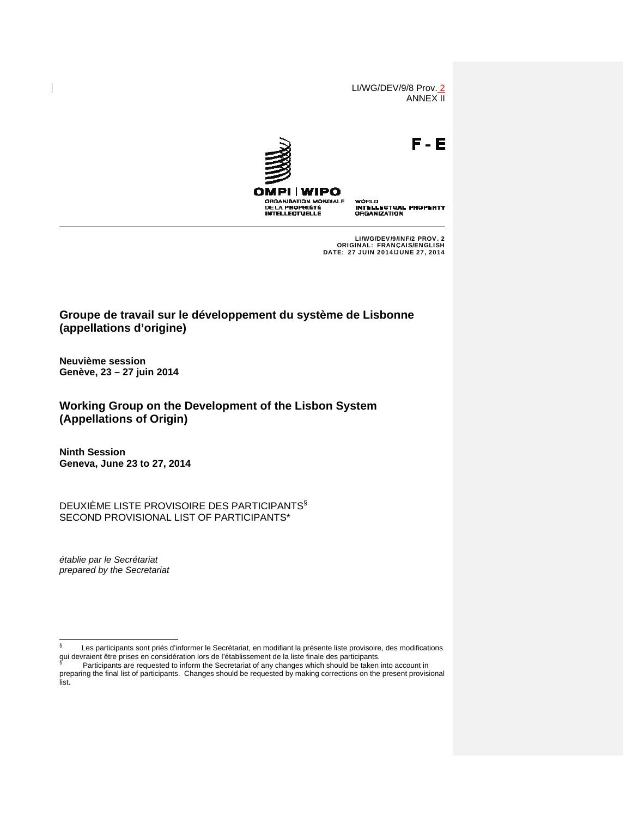LI/WG/DEV/9/8 Prov. 2 ANNEX II



LI/WG/DEV/9/INF/2 PROV. 2 ORIGINAL: FRANÇAIS/ENGLISH DATE: 27 JUIN 2014/JUNE 27, 2014

# **Groupe de travail sur le développement du système de Lisbonne (appellations d'origine)**

**Neuvième session Genève, 23 – 27 juin 2014**

**Working Group on the Development of the Lisbon System (Appellations of Origin)** 

**Ninth Session Geneva, June 23 to 27, 2014**

DEUXIÈME LISTE PROVISOIRE DES PARTICIPANTS§ SECOND PROVISIONAL LIST OF PARTICIPANTS\*

*établie par le Secrétariat prepared by the Secretariat* 

<sup>∫&</sup>lt;br>§ Les participants sont priés d'informer le Secrétariat, en modifiant la présente liste provisoire, des modifications qui devraient être prises en considération lors de l'établissement de la liste finale des participants.<br>Sur l'Octinizante ess requested to inform the Constantial of any observe which ebould be telen i

Participants are requested to inform the Secretariat of any changes which should be taken into account in preparing the final list of participants. Changes should be requested by making corrections on the present provisional list.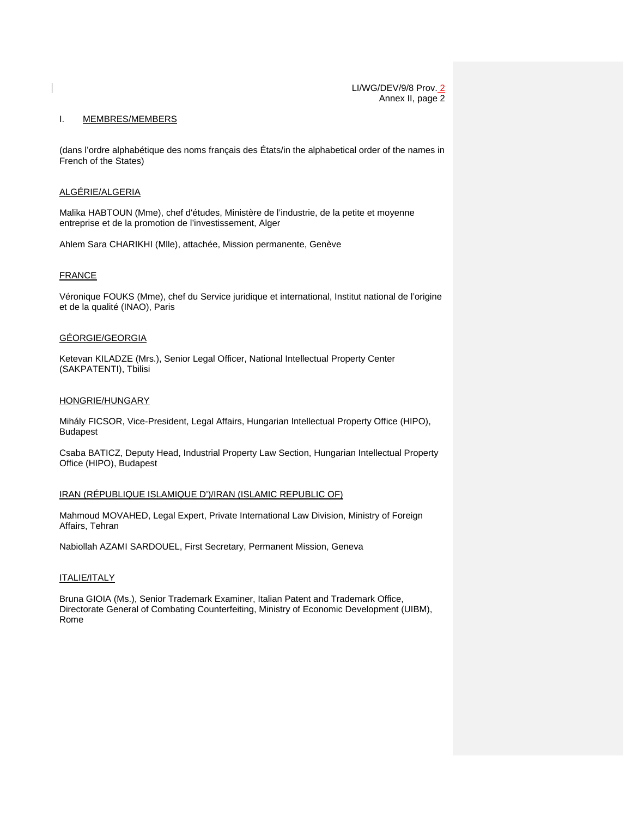#### I. MEMBRES/MEMBERS

(dans l'ordre alphabétique des noms français des États/in the alphabetical order of the names in French of the States)

# ALGÉRIE/ALGERIA

Malika HABTOUN (Mme), chef d'études, Ministère de l'industrie, de la petite et moyenne entreprise et de la promotion de l'investissement, Alger

Ahlem Sara CHARIKHI (Mlle), attachée, Mission permanente, Genève

### FRANCE

Véronique FOUKS (Mme), chef du Service juridique et international, Institut national de l'origine et de la qualité (INAO), Paris

### GÉORGIE/GEORGIA

Ketevan KILADZE (Mrs.), Senior Legal Officer, National Intellectual Property Center (SAKPATENTI), Tbilisi

### HONGRIE/HUNGARY

Mihály FICSOR, Vice-President, Legal Affairs, Hungarian Intellectual Property Office (HIPO), Budapest

Csaba BATICZ, Deputy Head, Industrial Property Law Section, Hungarian Intellectual Property Office (HIPO), Budapest

### IRAN (RÉPUBLIQUE ISLAMIQUE D')/IRAN (ISLAMIC REPUBLIC OF)

Mahmoud MOVAHED, Legal Expert, Private International Law Division, Ministry of Foreign Affairs, Tehran

Nabiollah AZAMI SARDOUEL, First Secretary, Permanent Mission, Geneva

## ITALIE/ITALY

Bruna GIOIA (Ms.), Senior Trademark Examiner, Italian Patent and Trademark Office, Directorate General of Combating Counterfeiting, Ministry of Economic Development (UIBM), Rome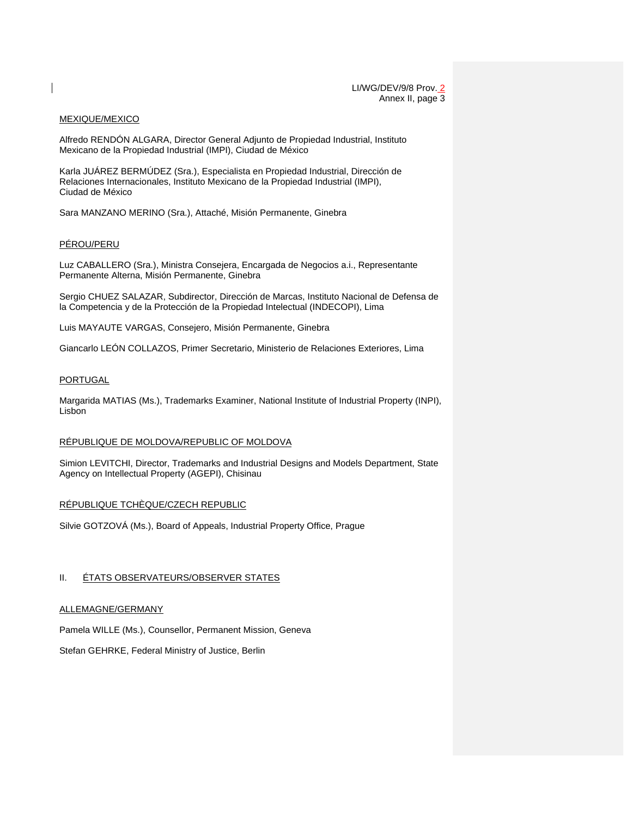#### MEXIQUE/MEXICO

Alfredo RENDÓN ALGARA, Director General Adjunto de Propiedad Industrial, Instituto Mexicano de la Propiedad Industrial (IMPI), Ciudad de México

Karla JUÁREZ BERMÚDEZ (Sra.), Especialista en Propiedad Industrial, Dirección de Relaciones Internacionales, Instituto Mexicano de la Propiedad Industrial (IMPI), Ciudad de México

Sara MANZANO MERINO (Sra.), Attaché, Misión Permanente, Ginebra

## PÉROU/PERU

Luz CABALLERO (Sra.), Ministra Consejera, Encargada de Negocios a.i., Representante Permanente Alterna, Misión Permanente, Ginebra

Sergio CHUEZ SALAZAR, Subdirector, Dirección de Marcas, Instituto Nacional de Defensa de la Competencia y de la Protección de la Propiedad Intelectual (INDECOPI), Lima

Luis MAYAUTE VARGAS, Consejero, Misión Permanente, Ginebra

Giancarlo LEÓN COLLAZOS, Primer Secretario, Ministerio de Relaciones Exteriores, Lima

### **PORTUGAL**

Margarida MATIAS (Ms.), Trademarks Examiner, National Institute of Industrial Property (INPI), Lisbon

### RÉPUBLIQUE DE MOLDOVA/REPUBLIC OF MOLDOVA

Simion LEVITCHI, Director, Trademarks and Industrial Designs and Models Department, State Agency on Intellectual Property (AGEPI), Chisinau

### RÉPUBLIQUE TCHÈQUE/CZECH REPUBLIC

Silvie GOTZOVÁ (Ms.), Board of Appeals, Industrial Property Office, Prague

#### II. ÉTATS OBSERVATEURS/OBSERVER STATES

#### ALLEMAGNE/GERMANY

Pamela WILLE (Ms.), Counsellor, Permanent Mission, Geneva

Stefan GEHRKE, Federal Ministry of Justice, Berlin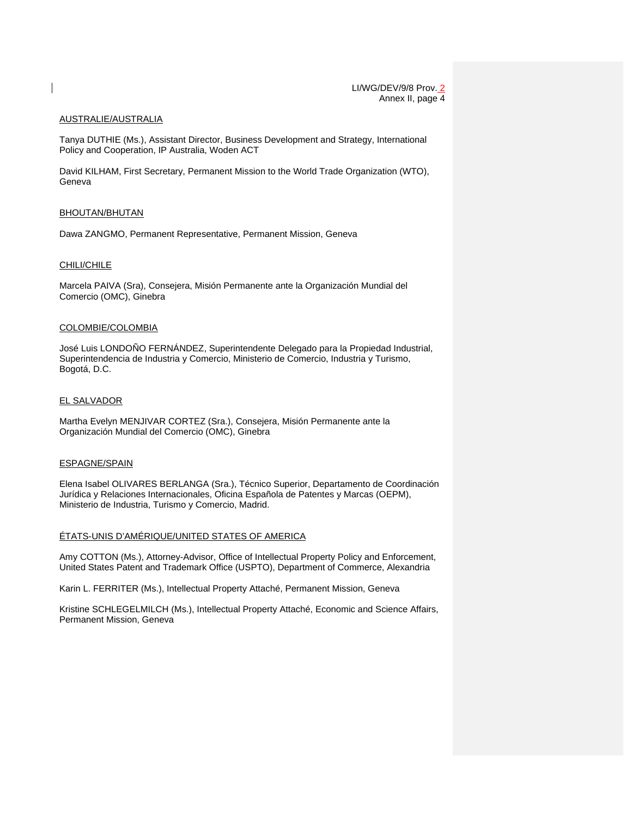#### AUSTRALIE/AUSTRALIA

Tanya DUTHIE (Ms.), Assistant Director, Business Development and Strategy, International Policy and Cooperation, IP Australia, Woden ACT

David KILHAM, First Secretary, Permanent Mission to the World Trade Organization (WTO), Geneva

#### BHOUTAN/BHUTAN

Dawa ZANGMO, Permanent Representative, Permanent Mission, Geneva

### CHILI/CHILE

Marcela PAIVA (Sra), Consejera, Misión Permanente ante la Organización Mundial del Comercio (OMC), Ginebra

#### COLOMBIE/COLOMBIA

José Luis LONDOÑO FERNÁNDEZ, Superintendente Delegado para la Propiedad Industrial, Superintendencia de Industria y Comercio, Ministerio de Comercio, Industria y Turismo, Bogotá, D.C.

### EL SALVADOR

Martha Evelyn MENJIVAR CORTEZ (Sra.), Consejera, Misión Permanente ante la Organización Mundial del Comercio (OMC), Ginebra

#### ESPAGNE/SPAIN

Elena Isabel OLIVARES BERLANGA (Sra.), Técnico Superior, Departamento de Coordinación Jurídica y Relaciones Internacionales, Oficina Española de Patentes y Marcas (OEPM), Ministerio de Industria, Turismo y Comercio, Madrid.

### ÉTATS-UNIS D'AMÉRIQUE/UNITED STATES OF AMERICA

Amy COTTON (Ms.), Attorney-Advisor, Office of Intellectual Property Policy and Enforcement, United States Patent and Trademark Office (USPTO), Department of Commerce, Alexandria

Karin L. FERRITER (Ms.), Intellectual Property Attaché, Permanent Mission, Geneva

Kristine SCHLEGELMILCH (Ms.), Intellectual Property Attaché, Economic and Science Affairs, Permanent Mission, Geneva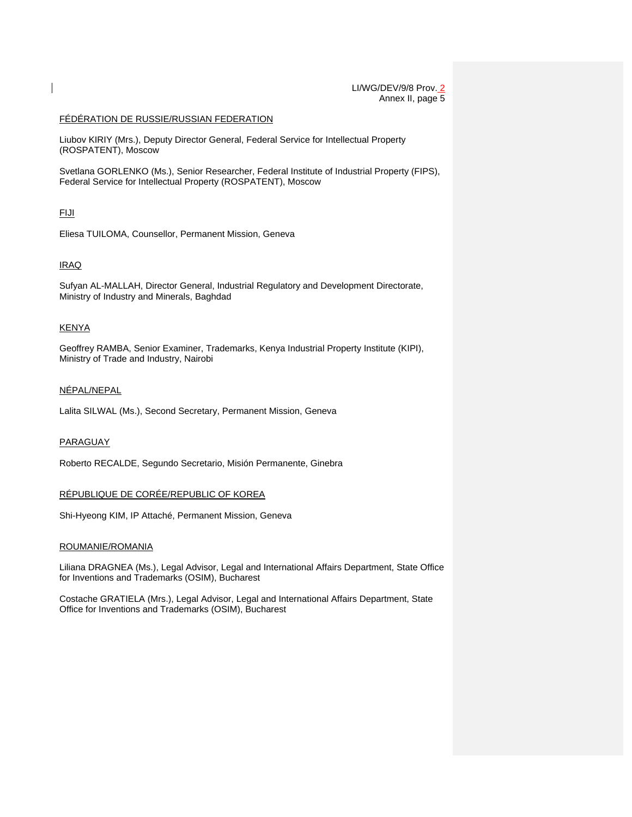### FÉDÉRATION DE RUSSIE/RUSSIAN FEDERATION

Liubov KIRIY (Mrs.), Deputy Director General, Federal Service for Intellectual Property (ROSPATENT), Moscow

Svetlana GORLENKO (Ms.), Senior Researcher, Federal Institute of Industrial Property (FIPS), Federal Service for Intellectual Property (ROSPATENT), Moscow

# FIJI

Eliesa TUILOMA, Counsellor, Permanent Mission, Geneva

# IRAQ

Sufyan AL-MALLAH, Director General, Industrial Regulatory and Development Directorate, Ministry of Industry and Minerals, Baghdad

### **KENYA**

Geoffrey RAMBA, Senior Examiner, Trademarks, Kenya Industrial Property Institute (KIPI), Ministry of Trade and Industry, Nairobi

### NÉPAL/NEPAL

Lalita SILWAL (Ms.), Second Secretary, Permanent Mission, Geneva

### PARAGUAY

Roberto RECALDE, Segundo Secretario, Misión Permanente, Ginebra

### RÉPUBLIQUE DE CORÉE/REPUBLIC OF KOREA

Shi-Hyeong KIM, IP Attaché, Permanent Mission, Geneva

#### ROUMANIE/ROMANIA

Liliana DRAGNEA (Ms.), Legal Advisor, Legal and International Affairs Department, State Office for Inventions and Trademarks (OSIM), Bucharest

Costache GRATIELA (Mrs.), Legal Advisor, Legal and International Affairs Department, State Office for Inventions and Trademarks (OSIM), Bucharest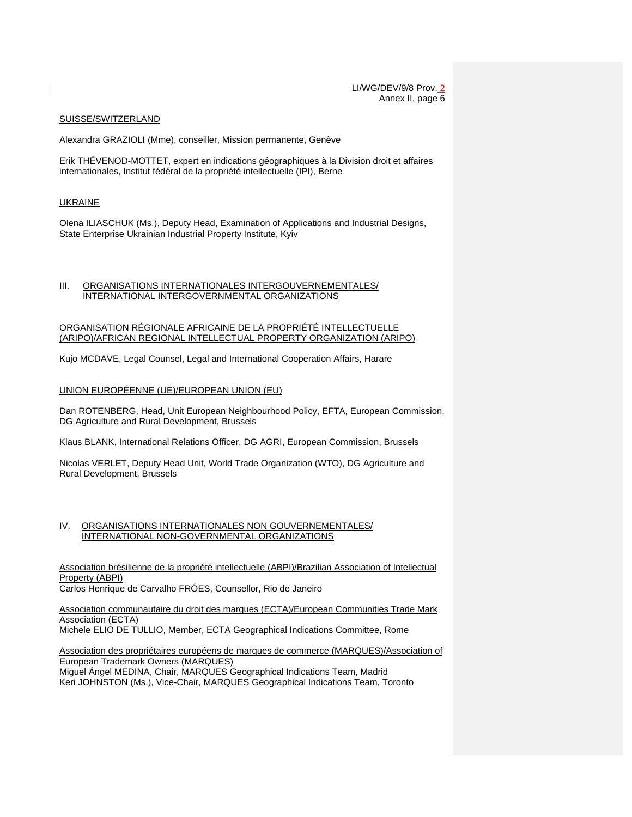#### SUISSE/SWITZERLAND

Alexandra GRAZIOLI (Mme), conseiller, Mission permanente, Genève

Erik THÉVENOD-MOTTET, expert en indications géographiques à la Division droit et affaires internationales, Institut fédéral de la propriété intellectuelle (IPI), Berne

#### UKRAINE

Olena ILIASCHUK (Ms.), Deputy Head, Examination of Applications and Industrial Designs, State Enterprise Ukrainian Industrial Property Institute, Kyiv

#### III. ORGANISATIONS INTERNATIONALES INTERGOUVERNEMENTALES/ INTERNATIONAL INTERGOVERNMENTAL ORGANIZATIONS

#### ORGANISATION RÉGIONALE AFRICAINE DE LA PROPRIÉTÉ INTELLECTUELLE (ARIPO)/AFRICAN REGIONAL INTELLECTUAL PROPERTY ORGANIZATION (ARIPO)

Kujo MCDAVE, Legal Counsel, Legal and International Cooperation Affairs, Harare

#### UNION EUROPÉENNE (UE)/EUROPEAN UNION (EU)

Dan ROTENBERG, Head, Unit European Neighbourhood Policy, EFTA, European Commission, DG Agriculture and Rural Development, Brussels

Klaus BLANK, International Relations Officer, DG AGRI, European Commission, Brussels

Nicolas VERLET, Deputy Head Unit, World Trade Organization (WTO), DG Agriculture and Rural Development, Brussels

#### IV. ORGANISATIONS INTERNATIONALES NON GOUVERNEMENTALES/ INTERNATIONAL NON-GOVERNMENTAL ORGANIZATIONS

Association brésilienne de la propriété intellectuelle (ABPI)/Brazilian Association of Intellectual Property (ABPI) Carlos Henrique de Carvalho FRÓES, Counsellor, Rio de Janeiro

Association communautaire du droit des marques (ECTA)/European Communities Trade Mark Association (ECTA)

Michele ELIO DE TULLIO, Member, ECTA Geographical Indications Committee, Rome

Association des propriétaires européens de marques de commerce (MARQUES)/Association of European Trademark Owners (MARQUES)

Miguel Ángel MEDINA, Chair, MARQUES Geographical Indications Team, Madrid Keri JOHNSTON (Ms.), Vice-Chair, MARQUES Geographical Indications Team, Toronto